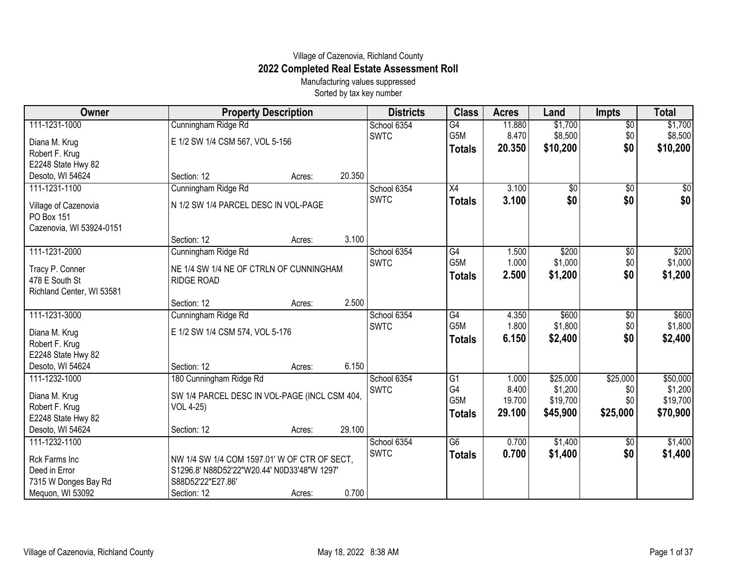## Village of Cazenovia, Richland County **2022 Completed Real Estate Assessment Roll**

Manufacturing values suppressed Sorted by tax key number

| Owner                                                          | <b>Property Description</b>                   |        |        | <b>Districts</b> | <b>Class</b>    | <b>Acres</b> | Land            | <b>Impts</b>    | <b>Total</b> |
|----------------------------------------------------------------|-----------------------------------------------|--------|--------|------------------|-----------------|--------------|-----------------|-----------------|--------------|
| 111-1231-1000                                                  | Cunningham Ridge Rd                           |        |        | School 6354      | $\overline{G4}$ | 11.880       | \$1,700         | $\sqrt{$0}$     | \$1,700      |
| Diana M. Krug                                                  | E 1/2 SW 1/4 CSM 567, VOL 5-156               |        |        | <b>SWTC</b>      | G5M             | 8.470        | \$8,500         | \$0             | \$8,500      |
| Robert F. Krug                                                 |                                               |        |        |                  | <b>Totals</b>   | 20.350       | \$10,200        | \$0             | \$10,200     |
| E2248 State Hwy 82                                             |                                               |        |        |                  |                 |              |                 |                 |              |
| Desoto, WI 54624                                               | Section: 12                                   | Acres: | 20.350 |                  |                 |              |                 |                 |              |
| 111-1231-1100                                                  | Cunningham Ridge Rd                           |        |        | School 6354      | $\overline{X4}$ | 3.100        | $\overline{50}$ | $\overline{50}$ | \$0          |
| Village of Cazenovia<br>PO Box 151<br>Cazenovia, WI 53924-0151 | N 1/2 SW 1/4 PARCEL DESC IN VOL-PAGE          |        |        | <b>SWTC</b>      | <b>Totals</b>   | 3.100        | \$0             | \$0             | \$0          |
|                                                                | Section: 12                                   | Acres: | 3.100  |                  |                 |              |                 |                 |              |
| 111-1231-2000                                                  | Cunningham Ridge Rd                           |        |        | School 6354      | G4              | 1.500        | \$200           | \$0             | \$200        |
| Tracy P. Conner                                                | NE 1/4 SW 1/4 NE OF CTRLN OF CUNNINGHAM       |        |        | <b>SWTC</b>      | G5M             | 1.000        | \$1,000         | \$0             | \$1,000      |
| 478 E South St                                                 | <b>RIDGE ROAD</b>                             |        |        |                  | <b>Totals</b>   | 2.500        | \$1,200         | \$0             | \$1,200      |
| Richland Center, WI 53581                                      |                                               |        |        |                  |                 |              |                 |                 |              |
|                                                                | Section: 12                                   | Acres: | 2.500  |                  |                 |              |                 |                 |              |
| 111-1231-3000                                                  | Cunningham Ridge Rd                           |        |        | School 6354      | G4              | 4.350        | \$600           | \$0             | \$600        |
| Diana M. Krug                                                  | E 1/2 SW 1/4 CSM 574, VOL 5-176               |        |        | <b>SWTC</b>      | G5M             | 1.800        | \$1,800         | \$0             | \$1,800      |
| Robert F. Krug                                                 |                                               |        |        |                  | <b>Totals</b>   | 6.150        | \$2,400         | \$0             | \$2,400      |
| E2248 State Hwy 82                                             |                                               |        |        |                  |                 |              |                 |                 |              |
| Desoto, WI 54624                                               | Section: 12                                   | Acres: | 6.150  |                  |                 |              |                 |                 |              |
| 111-1232-1000                                                  | 180 Cunningham Ridge Rd                       |        |        | School 6354      | $\overline{G1}$ | 1.000        | \$25,000        | \$25,000        | \$50,000     |
| Diana M. Krug                                                  | SW 1/4 PARCEL DESC IN VOL-PAGE (INCL CSM 404, |        |        | <b>SWTC</b>      | G4              | 8.400        | \$1,200         | \$0             | \$1,200      |
| Robert F. Krug                                                 | VOL 4-25)                                     |        |        |                  | G5M             | 19.700       | \$19,700        | \$0             | \$19,700     |
| E2248 State Hwy 82                                             |                                               |        |        |                  | <b>Totals</b>   | 29.100       | \$45,900        | \$25,000        | \$70,900     |
| Desoto, WI 54624                                               | Section: 12                                   | Acres: | 29.100 |                  |                 |              |                 |                 |              |
| 111-1232-1100                                                  |                                               |        |        | School 6354      | $\overline{G6}$ | 0.700        | \$1,400         | \$0             | \$1,400      |
| Rck Farms Inc                                                  | NW 1/4 SW 1/4 COM 1597.01' W OF CTR OF SECT,  |        |        | <b>SWTC</b>      | <b>Totals</b>   | 0.700        | \$1,400         | \$0             | \$1,400      |
| Deed in Error                                                  | S1296.8' N88D52'22"W20.44' N0D33'48"W 1297'   |        |        |                  |                 |              |                 |                 |              |
| 7315 W Donges Bay Rd                                           | S88D52'22"E27.86'                             |        |        |                  |                 |              |                 |                 |              |
| Mequon, WI 53092                                               | Section: 12                                   | Acres: | 0.700  |                  |                 |              |                 |                 |              |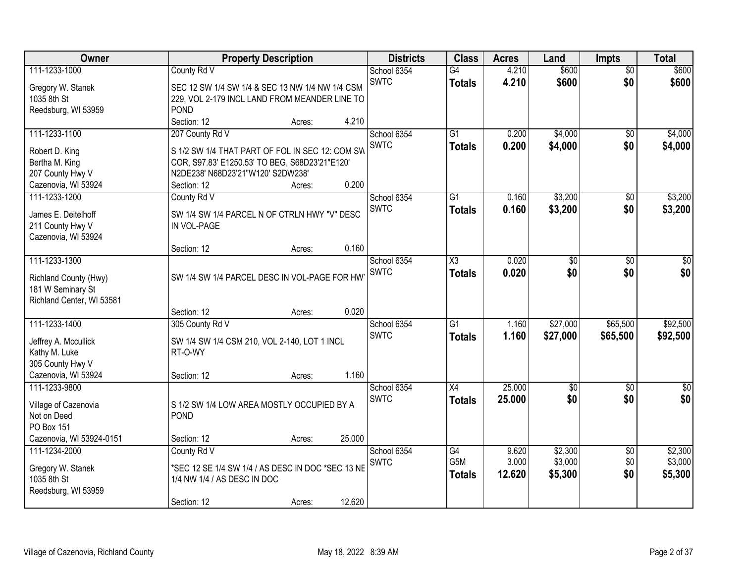| \$600<br>4.210<br>School 6354<br>$\overline{G4}$<br>$\overline{50}$<br><b>SWTC</b><br>\$0<br>\$600<br>4.210<br>\$600<br><b>Totals</b><br>Gregory W. Stanek<br>SEC 12 SW 1/4 SW 1/4 & SEC 13 NW 1/4 NW 1/4 CSM<br>1035 8th St<br>229, VOL 2-179 INCL LAND FROM MEANDER LINE TO<br><b>POND</b><br>Reedsburg, WI 53959<br>Section: 12<br>4.210<br>Acres:<br>\$4,000<br>111-1233-1100<br>207 County Rd V<br>$\overline{G1}$<br>0.200<br>\$4,000<br>School 6354<br>\$0<br><b>SWTC</b><br>0.200<br>\$4,000<br>\$0<br>\$4,000<br><b>Totals</b><br>Robert D. King<br>S 1/2 SW 1/4 THAT PART OF FOL IN SEC 12: COM SW<br>Bertha M. King<br>COR, S97.83' E1250.53' TO BEG, S68D23'21"E120'<br>207 County Hwy V<br>N2DE238' N68D23'21"W120' S2DW238'<br>0.200<br>Cazenovia, WI 53924<br>Section: 12<br>Acres:<br>\$3,200<br>\$3,200<br>111-1233-1200<br>County Rd V<br>School 6354<br>$\overline{G1}$<br>0.160<br>\$0<br><b>SWTC</b><br>\$3,200<br>\$0<br>0.160<br>\$3,200<br><b>Totals</b><br>SW 1/4 SW 1/4 PARCEL N OF CTRLN HWY "V" DESC<br>James E. Deitelhoff<br>211 County Hwy V<br>IN VOL-PAGE<br>Cazenovia, WI 53924<br>0.160<br>Section: 12<br>Acres:<br>111-1233-1300<br>$\overline{\chi_3}$<br>0.020<br>$\sqrt{50}$<br>School 6354<br>\$0<br>$\sqrt[6]{3}$<br><b>SWTC</b><br>0.020<br>\$0<br>\$0<br>\$0<br><b>Totals</b><br>SW 1/4 SW 1/4 PARCEL DESC IN VOL-PAGE FOR HW<br>Richland County (Hwy)<br>181 W Seminary St<br>Richland Center, WI 53581<br>0.020<br>Section: 12<br>Acres:<br>111-1233-1400<br>$\overline{G1}$<br>\$27,000<br>\$65,500<br>\$92,500<br>1.160<br>305 County Rd V<br>School 6354<br><b>SWTC</b><br>1.160<br>\$27,000<br>\$65,500<br>\$92,500<br><b>Totals</b><br>Jeffrey A. Mccullick<br>SW 1/4 SW 1/4 CSM 210, VOL 2-140, LOT 1 INCL<br>Kathy M. Luke<br>RT-O-WY<br>305 County Hwy V<br>Cazenovia, WI 53924<br>1.160<br>Section: 12<br>Acres:<br>111-1233-9800<br>X4<br>25.000<br>\$0<br>School 6354<br>$\sqrt{6}$<br>\$0<br>\$0 <br>\$0<br><b>SWTC</b><br>25.000<br>\$0<br><b>Totals</b><br>Village of Cazenovia<br>S 1/2 SW 1/4 LOW AREA MOSTLY OCCUPIED BY A<br>POND<br>Not on Deed<br>PO Box 151<br>Cazenovia, WI 53924-0151<br>25.000<br>Section: 12<br>Acres:<br>County Rd V<br>\$2,300<br>\$2,300<br>111-1234-2000<br>School 6354<br>G4<br>9.620<br>$\overline{60}$<br>\$3,000<br>\$3,000<br>G5M<br>3.000<br>\$0<br><b>SWTC</b><br>*SEC 12 SE 1/4 SW 1/4 / AS DESC IN DOC *SEC 13 NE<br>Gregory W. Stanek<br>\$5,300<br>\$0<br>12.620<br>\$5,300<br><b>Totals</b><br>1035 8th St<br>1/4 NW 1/4 / AS DESC IN DOC<br>Reedsburg, WI 53959 | Owner         |             | <b>Property Description</b> |        | <b>Districts</b> | <b>Class</b> | <b>Acres</b> | Land  | <b>Impts</b> | <b>Total</b> |
|------------------------------------------------------------------------------------------------------------------------------------------------------------------------------------------------------------------------------------------------------------------------------------------------------------------------------------------------------------------------------------------------------------------------------------------------------------------------------------------------------------------------------------------------------------------------------------------------------------------------------------------------------------------------------------------------------------------------------------------------------------------------------------------------------------------------------------------------------------------------------------------------------------------------------------------------------------------------------------------------------------------------------------------------------------------------------------------------------------------------------------------------------------------------------------------------------------------------------------------------------------------------------------------------------------------------------------------------------------------------------------------------------------------------------------------------------------------------------------------------------------------------------------------------------------------------------------------------------------------------------------------------------------------------------------------------------------------------------------------------------------------------------------------------------------------------------------------------------------------------------------------------------------------------------------------------------------------------------------------------------------------------------------------------------------------------------------------------------------------------------------------------------------------------------------------------------------------------------------------------------------------------------------------------------------------------------------------------------------------------------------------------------------------------------------------------------------------------------------------------------------------------------------------------------------------------|---------------|-------------|-----------------------------|--------|------------------|--------------|--------------|-------|--------------|--------------|
|                                                                                                                                                                                                                                                                                                                                                                                                                                                                                                                                                                                                                                                                                                                                                                                                                                                                                                                                                                                                                                                                                                                                                                                                                                                                                                                                                                                                                                                                                                                                                                                                                                                                                                                                                                                                                                                                                                                                                                                                                                                                                                                                                                                                                                                                                                                                                                                                                                                                                                                                                                        | 111-1233-1000 | County Rd V |                             |        |                  |              |              | \$600 |              |              |
|                                                                                                                                                                                                                                                                                                                                                                                                                                                                                                                                                                                                                                                                                                                                                                                                                                                                                                                                                                                                                                                                                                                                                                                                                                                                                                                                                                                                                                                                                                                                                                                                                                                                                                                                                                                                                                                                                                                                                                                                                                                                                                                                                                                                                                                                                                                                                                                                                                                                                                                                                                        |               |             |                             |        |                  |              |              |       |              |              |
|                                                                                                                                                                                                                                                                                                                                                                                                                                                                                                                                                                                                                                                                                                                                                                                                                                                                                                                                                                                                                                                                                                                                                                                                                                                                                                                                                                                                                                                                                                                                                                                                                                                                                                                                                                                                                                                                                                                                                                                                                                                                                                                                                                                                                                                                                                                                                                                                                                                                                                                                                                        |               |             |                             |        |                  |              |              |       |              |              |
|                                                                                                                                                                                                                                                                                                                                                                                                                                                                                                                                                                                                                                                                                                                                                                                                                                                                                                                                                                                                                                                                                                                                                                                                                                                                                                                                                                                                                                                                                                                                                                                                                                                                                                                                                                                                                                                                                                                                                                                                                                                                                                                                                                                                                                                                                                                                                                                                                                                                                                                                                                        |               |             |                             |        |                  |              |              |       |              |              |
|                                                                                                                                                                                                                                                                                                                                                                                                                                                                                                                                                                                                                                                                                                                                                                                                                                                                                                                                                                                                                                                                                                                                                                                                                                                                                                                                                                                                                                                                                                                                                                                                                                                                                                                                                                                                                                                                                                                                                                                                                                                                                                                                                                                                                                                                                                                                                                                                                                                                                                                                                                        |               |             |                             |        |                  |              |              |       |              |              |
|                                                                                                                                                                                                                                                                                                                                                                                                                                                                                                                                                                                                                                                                                                                                                                                                                                                                                                                                                                                                                                                                                                                                                                                                                                                                                                                                                                                                                                                                                                                                                                                                                                                                                                                                                                                                                                                                                                                                                                                                                                                                                                                                                                                                                                                                                                                                                                                                                                                                                                                                                                        |               |             |                             |        |                  |              |              |       |              |              |
|                                                                                                                                                                                                                                                                                                                                                                                                                                                                                                                                                                                                                                                                                                                                                                                                                                                                                                                                                                                                                                                                                                                                                                                                                                                                                                                                                                                                                                                                                                                                                                                                                                                                                                                                                                                                                                                                                                                                                                                                                                                                                                                                                                                                                                                                                                                                                                                                                                                                                                                                                                        |               |             |                             |        |                  |              |              |       |              |              |
|                                                                                                                                                                                                                                                                                                                                                                                                                                                                                                                                                                                                                                                                                                                                                                                                                                                                                                                                                                                                                                                                                                                                                                                                                                                                                                                                                                                                                                                                                                                                                                                                                                                                                                                                                                                                                                                                                                                                                                                                                                                                                                                                                                                                                                                                                                                                                                                                                                                                                                                                                                        |               |             |                             |        |                  |              |              |       |              |              |
|                                                                                                                                                                                                                                                                                                                                                                                                                                                                                                                                                                                                                                                                                                                                                                                                                                                                                                                                                                                                                                                                                                                                                                                                                                                                                                                                                                                                                                                                                                                                                                                                                                                                                                                                                                                                                                                                                                                                                                                                                                                                                                                                                                                                                                                                                                                                                                                                                                                                                                                                                                        |               |             |                             |        |                  |              |              |       |              |              |
|                                                                                                                                                                                                                                                                                                                                                                                                                                                                                                                                                                                                                                                                                                                                                                                                                                                                                                                                                                                                                                                                                                                                                                                                                                                                                                                                                                                                                                                                                                                                                                                                                                                                                                                                                                                                                                                                                                                                                                                                                                                                                                                                                                                                                                                                                                                                                                                                                                                                                                                                                                        |               |             |                             |        |                  |              |              |       |              |              |
|                                                                                                                                                                                                                                                                                                                                                                                                                                                                                                                                                                                                                                                                                                                                                                                                                                                                                                                                                                                                                                                                                                                                                                                                                                                                                                                                                                                                                                                                                                                                                                                                                                                                                                                                                                                                                                                                                                                                                                                                                                                                                                                                                                                                                                                                                                                                                                                                                                                                                                                                                                        |               |             |                             |        |                  |              |              |       |              |              |
|                                                                                                                                                                                                                                                                                                                                                                                                                                                                                                                                                                                                                                                                                                                                                                                                                                                                                                                                                                                                                                                                                                                                                                                                                                                                                                                                                                                                                                                                                                                                                                                                                                                                                                                                                                                                                                                                                                                                                                                                                                                                                                                                                                                                                                                                                                                                                                                                                                                                                                                                                                        |               |             |                             |        |                  |              |              |       |              |              |
|                                                                                                                                                                                                                                                                                                                                                                                                                                                                                                                                                                                                                                                                                                                                                                                                                                                                                                                                                                                                                                                                                                                                                                                                                                                                                                                                                                                                                                                                                                                                                                                                                                                                                                                                                                                                                                                                                                                                                                                                                                                                                                                                                                                                                                                                                                                                                                                                                                                                                                                                                                        |               |             |                             |        |                  |              |              |       |              |              |
|                                                                                                                                                                                                                                                                                                                                                                                                                                                                                                                                                                                                                                                                                                                                                                                                                                                                                                                                                                                                                                                                                                                                                                                                                                                                                                                                                                                                                                                                                                                                                                                                                                                                                                                                                                                                                                                                                                                                                                                                                                                                                                                                                                                                                                                                                                                                                                                                                                                                                                                                                                        |               |             |                             |        |                  |              |              |       |              |              |
|                                                                                                                                                                                                                                                                                                                                                                                                                                                                                                                                                                                                                                                                                                                                                                                                                                                                                                                                                                                                                                                                                                                                                                                                                                                                                                                                                                                                                                                                                                                                                                                                                                                                                                                                                                                                                                                                                                                                                                                                                                                                                                                                                                                                                                                                                                                                                                                                                                                                                                                                                                        |               |             |                             |        |                  |              |              |       |              |              |
|                                                                                                                                                                                                                                                                                                                                                                                                                                                                                                                                                                                                                                                                                                                                                                                                                                                                                                                                                                                                                                                                                                                                                                                                                                                                                                                                                                                                                                                                                                                                                                                                                                                                                                                                                                                                                                                                                                                                                                                                                                                                                                                                                                                                                                                                                                                                                                                                                                                                                                                                                                        |               |             |                             |        |                  |              |              |       |              |              |
|                                                                                                                                                                                                                                                                                                                                                                                                                                                                                                                                                                                                                                                                                                                                                                                                                                                                                                                                                                                                                                                                                                                                                                                                                                                                                                                                                                                                                                                                                                                                                                                                                                                                                                                                                                                                                                                                                                                                                                                                                                                                                                                                                                                                                                                                                                                                                                                                                                                                                                                                                                        |               |             |                             |        |                  |              |              |       |              |              |
|                                                                                                                                                                                                                                                                                                                                                                                                                                                                                                                                                                                                                                                                                                                                                                                                                                                                                                                                                                                                                                                                                                                                                                                                                                                                                                                                                                                                                                                                                                                                                                                                                                                                                                                                                                                                                                                                                                                                                                                                                                                                                                                                                                                                                                                                                                                                                                                                                                                                                                                                                                        |               |             |                             |        |                  |              |              |       |              |              |
|                                                                                                                                                                                                                                                                                                                                                                                                                                                                                                                                                                                                                                                                                                                                                                                                                                                                                                                                                                                                                                                                                                                                                                                                                                                                                                                                                                                                                                                                                                                                                                                                                                                                                                                                                                                                                                                                                                                                                                                                                                                                                                                                                                                                                                                                                                                                                                                                                                                                                                                                                                        |               |             |                             |        |                  |              |              |       |              |              |
|                                                                                                                                                                                                                                                                                                                                                                                                                                                                                                                                                                                                                                                                                                                                                                                                                                                                                                                                                                                                                                                                                                                                                                                                                                                                                                                                                                                                                                                                                                                                                                                                                                                                                                                                                                                                                                                                                                                                                                                                                                                                                                                                                                                                                                                                                                                                                                                                                                                                                                                                                                        |               |             |                             |        |                  |              |              |       |              |              |
|                                                                                                                                                                                                                                                                                                                                                                                                                                                                                                                                                                                                                                                                                                                                                                                                                                                                                                                                                                                                                                                                                                                                                                                                                                                                                                                                                                                                                                                                                                                                                                                                                                                                                                                                                                                                                                                                                                                                                                                                                                                                                                                                                                                                                                                                                                                                                                                                                                                                                                                                                                        |               |             |                             |        |                  |              |              |       |              |              |
|                                                                                                                                                                                                                                                                                                                                                                                                                                                                                                                                                                                                                                                                                                                                                                                                                                                                                                                                                                                                                                                                                                                                                                                                                                                                                                                                                                                                                                                                                                                                                                                                                                                                                                                                                                                                                                                                                                                                                                                                                                                                                                                                                                                                                                                                                                                                                                                                                                                                                                                                                                        |               |             |                             |        |                  |              |              |       |              |              |
|                                                                                                                                                                                                                                                                                                                                                                                                                                                                                                                                                                                                                                                                                                                                                                                                                                                                                                                                                                                                                                                                                                                                                                                                                                                                                                                                                                                                                                                                                                                                                                                                                                                                                                                                                                                                                                                                                                                                                                                                                                                                                                                                                                                                                                                                                                                                                                                                                                                                                                                                                                        |               |             |                             |        |                  |              |              |       |              |              |
|                                                                                                                                                                                                                                                                                                                                                                                                                                                                                                                                                                                                                                                                                                                                                                                                                                                                                                                                                                                                                                                                                                                                                                                                                                                                                                                                                                                                                                                                                                                                                                                                                                                                                                                                                                                                                                                                                                                                                                                                                                                                                                                                                                                                                                                                                                                                                                                                                                                                                                                                                                        |               |             |                             |        |                  |              |              |       |              |              |
|                                                                                                                                                                                                                                                                                                                                                                                                                                                                                                                                                                                                                                                                                                                                                                                                                                                                                                                                                                                                                                                                                                                                                                                                                                                                                                                                                                                                                                                                                                                                                                                                                                                                                                                                                                                                                                                                                                                                                                                                                                                                                                                                                                                                                                                                                                                                                                                                                                                                                                                                                                        |               |             |                             |        |                  |              |              |       |              |              |
|                                                                                                                                                                                                                                                                                                                                                                                                                                                                                                                                                                                                                                                                                                                                                                                                                                                                                                                                                                                                                                                                                                                                                                                                                                                                                                                                                                                                                                                                                                                                                                                                                                                                                                                                                                                                                                                                                                                                                                                                                                                                                                                                                                                                                                                                                                                                                                                                                                                                                                                                                                        |               |             |                             |        |                  |              |              |       |              |              |
|                                                                                                                                                                                                                                                                                                                                                                                                                                                                                                                                                                                                                                                                                                                                                                                                                                                                                                                                                                                                                                                                                                                                                                                                                                                                                                                                                                                                                                                                                                                                                                                                                                                                                                                                                                                                                                                                                                                                                                                                                                                                                                                                                                                                                                                                                                                                                                                                                                                                                                                                                                        |               |             |                             |        |                  |              |              |       |              |              |
|                                                                                                                                                                                                                                                                                                                                                                                                                                                                                                                                                                                                                                                                                                                                                                                                                                                                                                                                                                                                                                                                                                                                                                                                                                                                                                                                                                                                                                                                                                                                                                                                                                                                                                                                                                                                                                                                                                                                                                                                                                                                                                                                                                                                                                                                                                                                                                                                                                                                                                                                                                        |               |             |                             |        |                  |              |              |       |              |              |
|                                                                                                                                                                                                                                                                                                                                                                                                                                                                                                                                                                                                                                                                                                                                                                                                                                                                                                                                                                                                                                                                                                                                                                                                                                                                                                                                                                                                                                                                                                                                                                                                                                                                                                                                                                                                                                                                                                                                                                                                                                                                                                                                                                                                                                                                                                                                                                                                                                                                                                                                                                        |               |             |                             |        |                  |              |              |       |              |              |
|                                                                                                                                                                                                                                                                                                                                                                                                                                                                                                                                                                                                                                                                                                                                                                                                                                                                                                                                                                                                                                                                                                                                                                                                                                                                                                                                                                                                                                                                                                                                                                                                                                                                                                                                                                                                                                                                                                                                                                                                                                                                                                                                                                                                                                                                                                                                                                                                                                                                                                                                                                        |               |             |                             |        |                  |              |              |       |              |              |
|                                                                                                                                                                                                                                                                                                                                                                                                                                                                                                                                                                                                                                                                                                                                                                                                                                                                                                                                                                                                                                                                                                                                                                                                                                                                                                                                                                                                                                                                                                                                                                                                                                                                                                                                                                                                                                                                                                                                                                                                                                                                                                                                                                                                                                                                                                                                                                                                                                                                                                                                                                        |               |             |                             |        |                  |              |              |       |              |              |
|                                                                                                                                                                                                                                                                                                                                                                                                                                                                                                                                                                                                                                                                                                                                                                                                                                                                                                                                                                                                                                                                                                                                                                                                                                                                                                                                                                                                                                                                                                                                                                                                                                                                                                                                                                                                                                                                                                                                                                                                                                                                                                                                                                                                                                                                                                                                                                                                                                                                                                                                                                        |               |             |                             |        |                  |              |              |       |              |              |
|                                                                                                                                                                                                                                                                                                                                                                                                                                                                                                                                                                                                                                                                                                                                                                                                                                                                                                                                                                                                                                                                                                                                                                                                                                                                                                                                                                                                                                                                                                                                                                                                                                                                                                                                                                                                                                                                                                                                                                                                                                                                                                                                                                                                                                                                                                                                                                                                                                                                                                                                                                        |               |             |                             |        |                  |              |              |       |              |              |
|                                                                                                                                                                                                                                                                                                                                                                                                                                                                                                                                                                                                                                                                                                                                                                                                                                                                                                                                                                                                                                                                                                                                                                                                                                                                                                                                                                                                                                                                                                                                                                                                                                                                                                                                                                                                                                                                                                                                                                                                                                                                                                                                                                                                                                                                                                                                                                                                                                                                                                                                                                        |               |             |                             |        |                  |              |              |       |              |              |
|                                                                                                                                                                                                                                                                                                                                                                                                                                                                                                                                                                                                                                                                                                                                                                                                                                                                                                                                                                                                                                                                                                                                                                                                                                                                                                                                                                                                                                                                                                                                                                                                                                                                                                                                                                                                                                                                                                                                                                                                                                                                                                                                                                                                                                                                                                                                                                                                                                                                                                                                                                        |               | Section: 12 | Acres:                      | 12.620 |                  |              |              |       |              |              |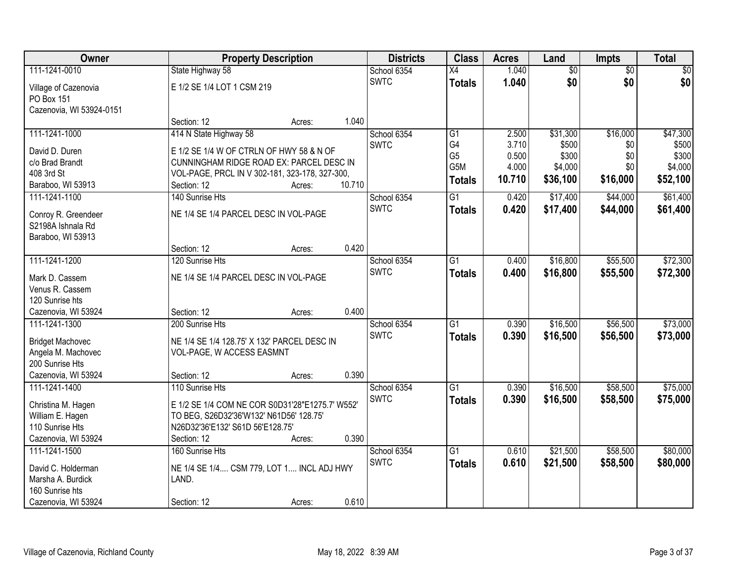| Owner                             |                                                 | <b>Property Description</b> |        | <b>Districts</b> | <b>Class</b>    | <b>Acres</b> | Land            | <b>Impts</b>    | <b>Total</b> |
|-----------------------------------|-------------------------------------------------|-----------------------------|--------|------------------|-----------------|--------------|-----------------|-----------------|--------------|
| 111-1241-0010                     | State Highway 58                                |                             |        | School 6354      | $\overline{X4}$ | 1.040        | $\overline{50}$ | $\overline{50}$ | $\sqrt{30}$  |
| Village of Cazenovia              | E 1/2 SE 1/4 LOT 1 CSM 219                      |                             |        | <b>SWTC</b>      | <b>Totals</b>   | 1.040        | \$0             | \$0             | \$0          |
| PO Box 151                        |                                                 |                             |        |                  |                 |              |                 |                 |              |
| Cazenovia, WI 53924-0151          |                                                 |                             |        |                  |                 |              |                 |                 |              |
|                                   | Section: 12                                     | Acres:                      | 1.040  |                  |                 |              |                 |                 |              |
| 111-1241-1000                     | 414 N State Highway 58                          |                             |        | School 6354      | $\overline{G1}$ | 2.500        | \$31,300        | \$16,000        | \$47,300     |
| David D. Duren                    | E 1/2 SE 1/4 W OF CTRLN OF HWY 58 & N OF        |                             |        | <b>SWTC</b>      | G4              | 3.710        | \$500           | \$0             | \$500        |
| c/o Brad Brandt                   | CUNNINGHAM RIDGE ROAD EX: PARCEL DESC IN        |                             |        |                  | G <sub>5</sub>  | 0.500        | \$300           | \$0             | \$300        |
| 408 3rd St                        | VOL-PAGE, PRCL IN V 302-181, 323-178, 327-300,  |                             |        |                  | G5M             | 4.000        | \$4,000         | \$0             | \$4,000      |
| Baraboo, WI 53913                 | Section: 12                                     | Acres:                      | 10.710 |                  | <b>Totals</b>   | 10.710       | \$36,100        | \$16,000        | \$52,100     |
| 111-1241-1100                     | 140 Sunrise Hts                                 |                             |        | School 6354      | G1              | 0.420        | \$17,400        | \$44,000        | \$61,400     |
| Conroy R. Greendeer               | NE 1/4 SE 1/4 PARCEL DESC IN VOL-PAGE           |                             |        | <b>SWTC</b>      | <b>Totals</b>   | 0.420        | \$17,400        | \$44,000        | \$61,400     |
| S2198A Ishnala Rd                 |                                                 |                             |        |                  |                 |              |                 |                 |              |
| Baraboo, WI 53913                 |                                                 |                             |        |                  |                 |              |                 |                 |              |
|                                   | Section: 12                                     | Acres:                      | 0.420  |                  |                 |              |                 |                 |              |
| 111-1241-1200                     | 120 Sunrise Hts                                 |                             |        | School 6354      | G1              | 0.400        | \$16,800        | \$55,500        | \$72,300     |
|                                   |                                                 |                             |        | <b>SWTC</b>      | <b>Totals</b>   | 0.400        | \$16,800        | \$55,500        | \$72,300     |
| Mark D. Cassem<br>Venus R. Cassem | NE 1/4 SE 1/4 PARCEL DESC IN VOL-PAGE           |                             |        |                  |                 |              |                 |                 |              |
| 120 Sunrise hts                   |                                                 |                             |        |                  |                 |              |                 |                 |              |
| Cazenovia, WI 53924               | Section: 12                                     | Acres:                      | 0.400  |                  |                 |              |                 |                 |              |
| 111-1241-1300                     | 200 Sunrise Hts                                 |                             |        | School 6354      | $\overline{G1}$ | 0.390        | \$16,500        | \$56,500        | \$73,000     |
|                                   |                                                 |                             |        | <b>SWTC</b>      | <b>Totals</b>   | 0.390        | \$16,500        | \$56,500        | \$73,000     |
| <b>Bridget Machovec</b>           | NE 1/4 SE 1/4 128.75' X 132' PARCEL DESC IN     |                             |        |                  |                 |              |                 |                 |              |
| Angela M. Machovec                | VOL-PAGE, W ACCESS EASMNT                       |                             |        |                  |                 |              |                 |                 |              |
| 200 Sunrise Hts                   |                                                 |                             |        |                  |                 |              |                 |                 |              |
| Cazenovia, WI 53924               | Section: 12                                     | Acres:                      | 0.390  |                  |                 |              |                 |                 |              |
| 111-1241-1400                     | 110 Sunrise Hts                                 |                             |        | School 6354      | $\overline{G1}$ | 0.390        | \$16,500        | \$58,500        | \$75,000     |
| Christina M. Hagen                | E 1/2 SE 1/4 COM NE COR S0D31'28"E1275.7' W552' |                             |        | <b>SWTC</b>      | <b>Totals</b>   | 0.390        | \$16,500        | \$58,500        | \$75,000     |
| William E. Hagen                  | TO BEG, S26D32'36'W132' N61D56' 128.75'         |                             |        |                  |                 |              |                 |                 |              |
| 110 Sunrise Hts                   | N26D32'36'E132' S61D 56'E128.75'                |                             |        |                  |                 |              |                 |                 |              |
| Cazenovia, WI 53924               | Section: 12                                     | Acres:                      | 0.390  |                  |                 |              |                 |                 |              |
| 111-1241-1500                     | 160 Sunrise Hts                                 |                             |        | School 6354      | $\overline{G1}$ | 0.610        | \$21,500        | \$58,500        | \$80,000     |
| David C. Holderman                | NE 1/4 SE 1/4 CSM 779, LOT 1 INCL ADJ HWY       |                             |        | <b>SWTC</b>      | <b>Totals</b>   | 0.610        | \$21,500        | \$58,500        | \$80,000     |
| Marsha A. Burdick                 | LAND.                                           |                             |        |                  |                 |              |                 |                 |              |
| 160 Sunrise hts                   |                                                 |                             |        |                  |                 |              |                 |                 |              |
| Cazenovia, WI 53924               | Section: 12                                     | Acres:                      | 0.610  |                  |                 |              |                 |                 |              |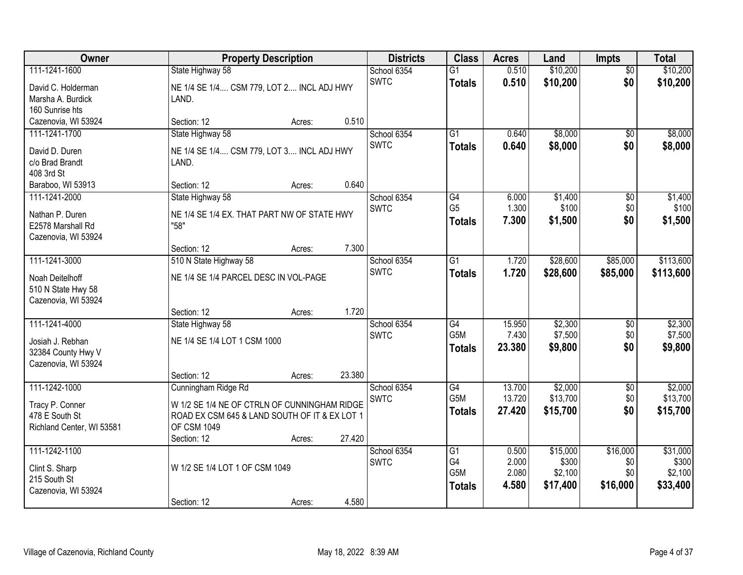| <b>Owner</b>              | <b>Property Description</b>                   | <b>Districts</b> | <b>Class</b>     | <b>Acres</b> | Land     | <b>Impts</b>    | <b>Total</b> |
|---------------------------|-----------------------------------------------|------------------|------------------|--------------|----------|-----------------|--------------|
| 111-1241-1600             | State Highway 58                              | School 6354      | $\overline{G1}$  | 0.510        | \$10,200 | $\overline{60}$ | \$10,200     |
| David C. Holderman        | NE 1/4 SE 1/4 CSM 779, LOT 2 INCL ADJ HWY     | <b>SWTC</b>      | <b>Totals</b>    | 0.510        | \$10,200 | \$0             | \$10,200     |
| Marsha A. Burdick         | LAND.                                         |                  |                  |              |          |                 |              |
| 160 Sunrise hts           |                                               |                  |                  |              |          |                 |              |
| Cazenovia, WI 53924       | 0.510<br>Section: 12<br>Acres:                |                  |                  |              |          |                 |              |
| 111-1241-1700             | State Highway 58                              | School 6354      | $\overline{G1}$  | 0.640        | \$8,000  | $\overline{50}$ | \$8,000      |
| David D. Duren            | NE 1/4 SE 1/4 CSM 779, LOT 3 INCL ADJ HWY     | <b>SWTC</b>      | <b>Totals</b>    | 0.640        | \$8,000  | \$0             | \$8,000      |
| c/o Brad Brandt           | LAND.                                         |                  |                  |              |          |                 |              |
| 408 3rd St                |                                               |                  |                  |              |          |                 |              |
| Baraboo, WI 53913         | 0.640<br>Section: 12<br>Acres:                |                  |                  |              |          |                 |              |
| 111-1241-2000             | State Highway 58                              | School 6354      | G4               | 6.000        | \$1,400  | \$0             | \$1,400      |
| Nathan P. Duren           | NE 1/4 SE 1/4 EX. THAT PART NW OF STATE HWY   | <b>SWTC</b>      | G <sub>5</sub>   | 1.300        | \$100    | \$0             | \$100        |
| E2578 Marshall Rd         | "58"                                          |                  | <b>Totals</b>    | 7.300        | \$1,500  | \$0             | \$1,500      |
| Cazenovia, WI 53924       |                                               |                  |                  |              |          |                 |              |
|                           | 7.300<br>Section: 12<br>Acres:                |                  |                  |              |          |                 |              |
| 111-1241-3000             | 510 N State Highway 58                        | School 6354      | $\overline{G1}$  | 1.720        | \$28,600 | \$85,000        | \$113,600    |
| Noah Deitelhoff           | NE 1/4 SE 1/4 PARCEL DESC IN VOL-PAGE         | <b>SWTC</b>      | <b>Totals</b>    | 1.720        | \$28,600 | \$85,000        | \$113,600    |
| 510 N State Hwy 58        |                                               |                  |                  |              |          |                 |              |
| Cazenovia, WI 53924       |                                               |                  |                  |              |          |                 |              |
|                           | 1.720<br>Section: 12<br>Acres:                |                  |                  |              |          |                 |              |
| 111-1241-4000             | State Highway 58                              | School 6354      | $\overline{G4}$  | 15.950       | \$2,300  | \$0             | \$2,300      |
| Josiah J. Rebhan          | NE 1/4 SE 1/4 LOT 1 CSM 1000                  | <b>SWTC</b>      | G <sub>5</sub> M | 7.430        | \$7,500  | \$0             | \$7,500      |
| 32384 County Hwy V        |                                               |                  | <b>Totals</b>    | 23.380       | \$9,800  | \$0             | \$9,800      |
| Cazenovia, WI 53924       |                                               |                  |                  |              |          |                 |              |
|                           | 23.380<br>Section: 12<br>Acres:               |                  |                  |              |          |                 |              |
| 111-1242-1000             | Cunningham Ridge Rd                           | School 6354      | G4               | 13.700       | \$2,000  | $\sqrt{6}$      | \$2,000      |
| Tracy P. Conner           | W 1/2 SE 1/4 NE OF CTRLN OF CUNNINGHAM RIDGE  | <b>SWTC</b>      | G5M              | 13.720       | \$13,700 | \$0             | \$13,700     |
| 478 E South St            | ROAD EX CSM 645 & LAND SOUTH OF IT & EX LOT 1 |                  | <b>Totals</b>    | 27.420       | \$15,700 | \$0             | \$15,700     |
| Richland Center, WI 53581 | <b>OF CSM 1049</b>                            |                  |                  |              |          |                 |              |
|                           | 27.420<br>Section: 12<br>Acres:               |                  |                  |              |          |                 |              |
| 111-1242-1100             |                                               | School 6354      | $\overline{G1}$  | 0.500        | \$15,000 | \$16,000        | \$31,000     |
| Clint S. Sharp            | W 1/2 SE 1/4 LOT 1 OF CSM 1049                | <b>SWTC</b>      | G4               | 2.000        | \$300    | \$0             | \$300        |
| 215 South St              |                                               |                  | G5M              | 2.080        | \$2,100  | \$0             | \$2,100      |
| Cazenovia, WI 53924       |                                               |                  | <b>Totals</b>    | 4.580        | \$17,400 | \$16,000        | \$33,400     |
|                           | 4.580<br>Section: 12<br>Acres:                |                  |                  |              |          |                 |              |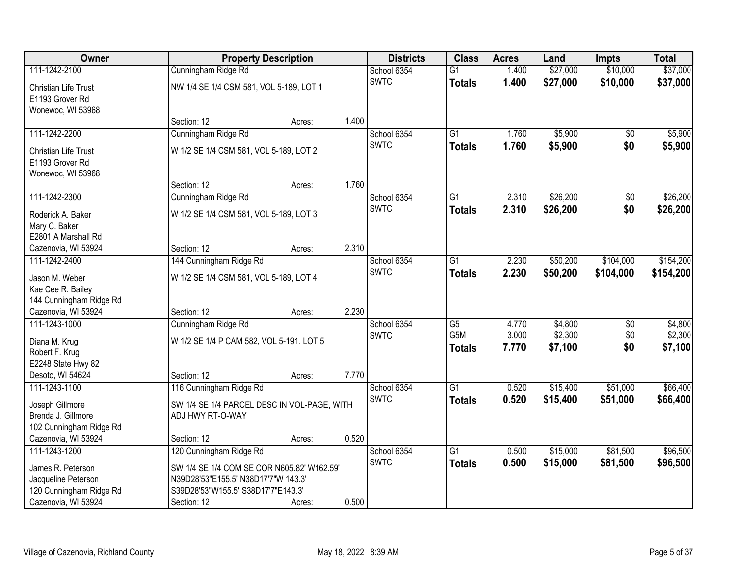| Owner                                                               |                                             | <b>Property Description</b> |       | <b>Districts</b> | <b>Class</b>     | <b>Acres</b> | Land     | <b>Impts</b>    | <b>Total</b> |
|---------------------------------------------------------------------|---------------------------------------------|-----------------------------|-------|------------------|------------------|--------------|----------|-----------------|--------------|
| 111-1242-2100                                                       | Cunningham Ridge Rd                         |                             |       | School 6354      | $\overline{G1}$  | 1.400        | \$27,000 | \$10,000        | \$37,000     |
| <b>Christian Life Trust</b><br>E1193 Grover Rd<br>Wonewoc, WI 53968 | NW 1/4 SE 1/4 CSM 581, VOL 5-189, LOT 1     |                             |       | <b>SWTC</b>      | <b>Totals</b>    | 1.400        | \$27,000 | \$10,000        | \$37,000     |
|                                                                     | Section: 12                                 | Acres:                      | 1.400 |                  |                  |              |          |                 |              |
| 111-1242-2200                                                       | Cunningham Ridge Rd                         |                             |       | School 6354      | $\overline{G1}$  | 1.760        | \$5,900  | $\overline{50}$ | \$5,900      |
| <b>Christian Life Trust</b><br>E1193 Grover Rd<br>Wonewoc, WI 53968 | W 1/2 SE 1/4 CSM 581, VOL 5-189, LOT 2      |                             |       | <b>SWTC</b>      | <b>Totals</b>    | 1.760        | \$5,900  | \$0             | \$5,900      |
|                                                                     | Section: 12                                 | Acres:                      | 1.760 |                  |                  |              |          |                 |              |
| 111-1242-2300                                                       | Cunningham Ridge Rd                         |                             |       | School 6354      | G1               | 2.310        | \$26,200 | \$0             | \$26,200     |
| Roderick A. Baker<br>Mary C. Baker<br>E2801 A Marshall Rd           | W 1/2 SE 1/4 CSM 581, VOL 5-189, LOT 3      |                             |       | <b>SWTC</b>      | <b>Totals</b>    | 2.310        | \$26,200 | \$0             | \$26,200     |
| Cazenovia, WI 53924                                                 | Section: 12                                 | Acres:                      | 2.310 |                  |                  |              |          |                 |              |
| 111-1242-2400                                                       | 144 Cunningham Ridge Rd                     |                             |       | School 6354      | $\overline{G1}$  | 2.230        | \$50,200 | \$104,000       | \$154,200    |
| Jason M. Weber<br>Kae Cee R. Bailey                                 | W 1/2 SE 1/4 CSM 581, VOL 5-189, LOT 4      |                             |       | <b>SWTC</b>      | <b>Totals</b>    | 2.230        | \$50,200 | \$104,000       | \$154,200    |
| 144 Cunningham Ridge Rd                                             |                                             |                             | 2.230 |                  |                  |              |          |                 |              |
| Cazenovia, WI 53924<br>111-1243-1000                                | Section: 12<br>Cunningham Ridge Rd          | Acres:                      |       | School 6354      | $\overline{G5}$  | 4.770        | \$4,800  | $\overline{50}$ | \$4,800      |
|                                                                     |                                             |                             |       | <b>SWTC</b>      | G <sub>5</sub> M | 3.000        | \$2,300  | \$0             | \$2,300      |
| Diana M. Krug                                                       | W 1/2 SE 1/4 P CAM 582, VOL 5-191, LOT 5    |                             |       |                  | <b>Totals</b>    | 7.770        | \$7,100  | \$0             | \$7,100      |
| Robert F. Krug                                                      |                                             |                             |       |                  |                  |              |          |                 |              |
| E2248 State Hwy 82<br>Desoto, WI 54624                              | Section: 12                                 |                             | 7.770 |                  |                  |              |          |                 |              |
| 111-1243-1100                                                       | 116 Cunningham Ridge Rd                     | Acres:                      |       | School 6354      | $\overline{G1}$  | 0.520        | \$15,400 | \$51,000        | \$66,400     |
|                                                                     |                                             |                             |       | <b>SWTC</b>      | <b>Totals</b>    | 0.520        | \$15,400 | \$51,000        | \$66,400     |
| Joseph Gillmore                                                     | SW 1/4 SE 1/4 PARCEL DESC IN VOL-PAGE, WITH |                             |       |                  |                  |              |          |                 |              |
| Brenda J. Gillmore                                                  | ADJ HWY RT-O-WAY                            |                             |       |                  |                  |              |          |                 |              |
| 102 Cunningham Ridge Rd                                             |                                             |                             | 0.520 |                  |                  |              |          |                 |              |
| Cazenovia, WI 53924<br>111-1243-1200                                | Section: 12<br>120 Cunningham Ridge Rd      | Acres:                      |       | School 6354      | $\overline{G1}$  | 0.500        | \$15,000 | \$81,500        | \$96,500     |
|                                                                     |                                             |                             |       | <b>SWTC</b>      | <b>Totals</b>    | 0.500        | \$15,000 | \$81,500        | \$96,500     |
| James R. Peterson                                                   | SW 1/4 SE 1/4 COM SE COR N605.82' W162.59'  |                             |       |                  |                  |              |          |                 |              |
| Jacqueline Peterson                                                 | N39D28'53"E155.5' N38D17'7"W 143.3'         |                             |       |                  |                  |              |          |                 |              |
| 120 Cunningham Ridge Rd                                             | S39D28'53"W155.5' S38D17'7"E143.3'          |                             |       |                  |                  |              |          |                 |              |
| Cazenovia, WI 53924                                                 | Section: 12                                 | Acres:                      | 0.500 |                  |                  |              |          |                 |              |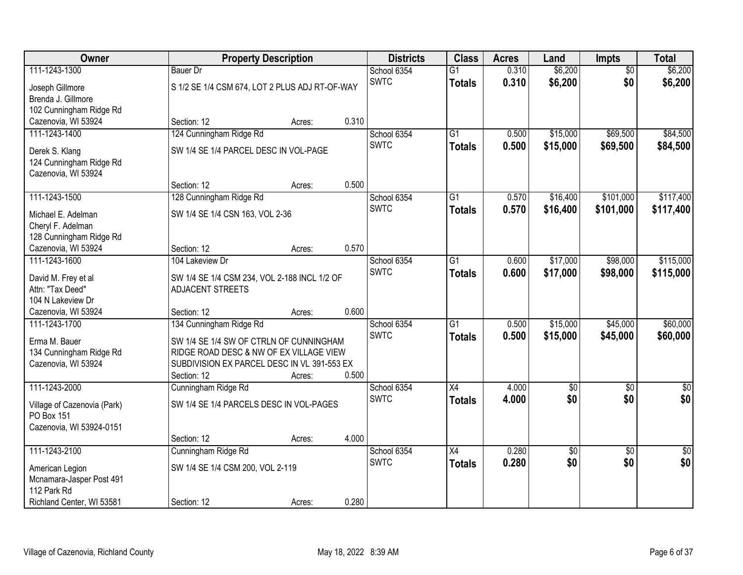| Owner                                 |                                                | <b>Property Description</b> |       | <b>Districts</b>           | <b>Class</b>    | <b>Acres</b> | Land                   | <b>Impts</b>    | <b>Total</b>    |
|---------------------------------------|------------------------------------------------|-----------------------------|-------|----------------------------|-----------------|--------------|------------------------|-----------------|-----------------|
| 111-1243-1300                         | <b>Bauer Dr</b>                                |                             |       | School 6354                | $\overline{G1}$ | 0.310        | \$6,200                | $\overline{50}$ | \$6,200         |
| Joseph Gillmore                       | S 1/2 SE 1/4 CSM 674, LOT 2 PLUS ADJ RT-OF-WAY |                             |       | <b>SWTC</b>                | <b>Totals</b>   | 0.310        | \$6,200                | \$0             | \$6,200         |
| Brenda J. Gillmore                    |                                                |                             |       |                            |                 |              |                        |                 |                 |
| 102 Cunningham Ridge Rd               |                                                |                             |       |                            |                 |              |                        |                 |                 |
| Cazenovia, WI 53924                   | Section: 12                                    | Acres:                      | 0.310 |                            |                 |              |                        |                 |                 |
| 111-1243-1400                         | 124 Cunningham Ridge Rd                        |                             |       | School 6354                | $\overline{G1}$ | 0.500        | \$15,000               | \$69,500        | \$84,500        |
| Derek S. Klang                        | SW 1/4 SE 1/4 PARCEL DESC IN VOL-PAGE          |                             |       | <b>SWTC</b>                | <b>Totals</b>   | 0.500        | \$15,000               | \$69,500        | \$84,500        |
| 124 Cunningham Ridge Rd               |                                                |                             |       |                            |                 |              |                        |                 |                 |
| Cazenovia, WI 53924                   |                                                |                             |       |                            |                 |              |                        |                 |                 |
|                                       | Section: 12                                    | Acres:                      | 0.500 |                            |                 |              |                        |                 |                 |
| 111-1243-1500                         | 128 Cunningham Ridge Rd                        |                             |       | School 6354                | $\overline{G1}$ | 0.570        | \$16,400               | \$101,000       | \$117,400       |
| Michael E. Adelman                    | SW 1/4 SE 1/4 CSN 163, VOL 2-36                |                             |       | <b>SWTC</b>                | <b>Totals</b>   | 0.570        | \$16,400               | \$101,000       | \$117,400       |
| Cheryl F. Adelman                     |                                                |                             |       |                            |                 |              |                        |                 |                 |
| 128 Cunningham Ridge Rd               |                                                |                             |       |                            |                 |              |                        |                 |                 |
| Cazenovia, WI 53924                   | Section: 12                                    | Acres:                      | 0.570 |                            |                 |              |                        |                 |                 |
| 111-1243-1600                         | 104 Lakeview Dr                                |                             |       | School 6354                | G1              | 0.600        | \$17,000               | \$98,000        | \$115,000       |
|                                       |                                                |                             |       | <b>SWTC</b>                | <b>Totals</b>   | 0.600        | \$17,000               | \$98,000        | \$115,000       |
| David M. Frey et al                   | SW 1/4 SE 1/4 CSM 234, VOL 2-188 INCL 1/2 OF   |                             |       |                            |                 |              |                        |                 |                 |
| Attn: "Tax Deed"<br>104 N Lakeview Dr | ADJACENT STREETS                               |                             |       |                            |                 |              |                        |                 |                 |
| Cazenovia, WI 53924                   | Section: 12                                    | Acres:                      | 0.600 |                            |                 |              |                        |                 |                 |
| 111-1243-1700                         | 134 Cunningham Ridge Rd                        |                             |       | School 6354                | $\overline{G1}$ | 0.500        | \$15,000               | \$45,000        | \$60,000        |
|                                       |                                                |                             |       | <b>SWTC</b>                | <b>Totals</b>   | 0.500        | \$15,000               | \$45,000        | \$60,000        |
| Erma M. Bauer                         | SW 1/4 SE 1/4 SW OF CTRLN OF CUNNINGHAM        |                             |       |                            |                 |              |                        |                 |                 |
| 134 Cunningham Ridge Rd               | RIDGE ROAD DESC & NW OF EX VILLAGE VIEW        |                             |       |                            |                 |              |                        |                 |                 |
| Cazenovia, WI 53924                   | SUBDIVISION EX PARCEL DESC IN VL 391-553 EX    |                             |       |                            |                 |              |                        |                 |                 |
|                                       | Section: 12                                    | Acres:                      | 0.500 |                            |                 |              |                        |                 |                 |
| 111-1243-2000                         | Cunningham Ridge Rd                            |                             |       | School 6354<br><b>SWTC</b> | X4              | 4.000        | $\overline{60}$<br>\$0 | $\overline{50}$ | $\sqrt{50}$     |
| Village of Cazenovia (Park)           | SW 1/4 SE 1/4 PARCELS DESC IN VOL-PAGES        |                             |       |                            | <b>Totals</b>   | 4.000        |                        | \$0             | \$0             |
| PO Box 151                            |                                                |                             |       |                            |                 |              |                        |                 |                 |
| Cazenovia, WI 53924-0151              |                                                |                             |       |                            |                 |              |                        |                 |                 |
|                                       | Section: 12                                    | Acres:                      | 4.000 |                            |                 |              |                        |                 |                 |
| 111-1243-2100                         | Cunningham Ridge Rd                            |                             |       | School 6354                | $\overline{X4}$ | 0.280        | $\overline{30}$        | $\overline{50}$ | $\overline{50}$ |
| American Legion                       | SW 1/4 SE 1/4 CSM 200, VOL 2-119               |                             |       | <b>SWTC</b>                | <b>Totals</b>   | 0.280        | \$0                    | \$0             | \$0             |
| Mcnamara-Jasper Post 491              |                                                |                             |       |                            |                 |              |                        |                 |                 |
| 112 Park Rd                           |                                                |                             |       |                            |                 |              |                        |                 |                 |
| Richland Center, WI 53581             | Section: 12                                    | Acres:                      | 0.280 |                            |                 |              |                        |                 |                 |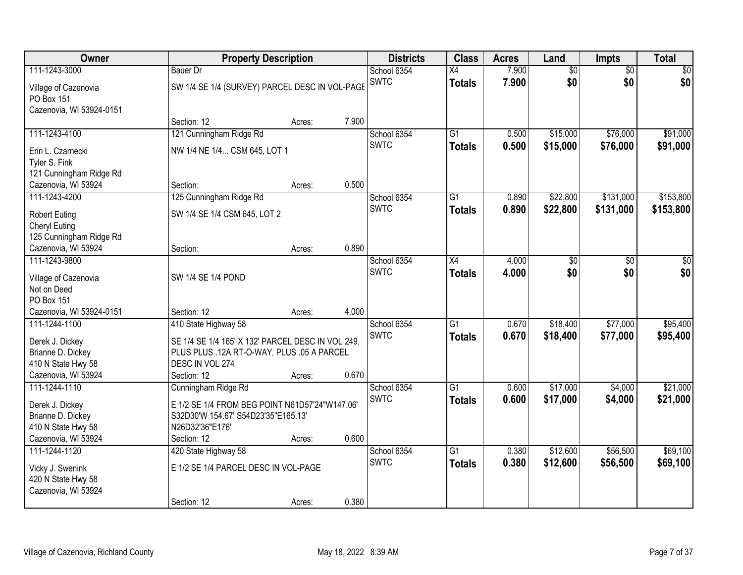| <b>Owner</b>             |                                                   | <b>Property Description</b> |       | <b>Districts</b> | <b>Class</b>    | <b>Acres</b> | Land     | <b>Impts</b>    | <b>Total</b> |
|--------------------------|---------------------------------------------------|-----------------------------|-------|------------------|-----------------|--------------|----------|-----------------|--------------|
| 111-1243-3000            | <b>Bauer Dr</b>                                   |                             |       | School 6354      | X4              | 7.900        | \$0      | $\overline{50}$ | \$0          |
| Village of Cazenovia     | SW 1/4 SE 1/4 (SURVEY) PARCEL DESC IN VOL-PAGE    |                             |       | <b>SWTC</b>      | <b>Totals</b>   | 7.900        | \$0      | \$0             | \$0          |
| PO Box 151               |                                                   |                             |       |                  |                 |              |          |                 |              |
| Cazenovia, WI 53924-0151 |                                                   |                             |       |                  |                 |              |          |                 |              |
|                          | Section: 12                                       | Acres:                      | 7.900 |                  |                 |              |          |                 |              |
| 111-1243-4100            | 121 Cunningham Ridge Rd                           |                             |       | School 6354      | $\overline{G1}$ | 0.500        | \$15,000 | \$76,000        | \$91,000     |
| Erin L. Czarnecki        | NW 1/4 NE 1/4 CSM 645, LOT 1                      |                             |       | <b>SWTC</b>      | <b>Totals</b>   | 0.500        | \$15,000 | \$76,000        | \$91,000     |
| Tyler S. Fink            |                                                   |                             |       |                  |                 |              |          |                 |              |
| 121 Cunningham Ridge Rd  |                                                   |                             |       |                  |                 |              |          |                 |              |
| Cazenovia, WI 53924      | Section:                                          | Acres:                      | 0.500 |                  |                 |              |          |                 |              |
| 111-1243-4200            | 125 Cunningham Ridge Rd                           |                             |       | School 6354      | G1              | 0.890        | \$22,800 | \$131,000       | \$153,800    |
| <b>Robert Euting</b>     | SW 1/4 SE 1/4 CSM 645, LOT 2                      |                             |       | <b>SWTC</b>      | <b>Totals</b>   | 0.890        | \$22,800 | \$131,000       | \$153,800    |
| Cheryl Euting            |                                                   |                             |       |                  |                 |              |          |                 |              |
| 125 Cunningham Ridge Rd  |                                                   |                             |       |                  |                 |              |          |                 |              |
| Cazenovia, WI 53924      | Section:                                          | Acres:                      | 0.890 |                  |                 |              |          |                 |              |
| 111-1243-9800            |                                                   |                             |       | School 6354      | X4              | 4.000        | \$0      | \$0             | \$0          |
| Village of Cazenovia     | SW 1/4 SE 1/4 POND                                |                             |       | <b>SWTC</b>      | <b>Totals</b>   | 4.000        | \$0      | \$0             | \$0          |
| Not on Deed              |                                                   |                             |       |                  |                 |              |          |                 |              |
| PO Box 151               |                                                   |                             |       |                  |                 |              |          |                 |              |
| Cazenovia, WI 53924-0151 | Section: 12                                       | Acres:                      | 4.000 |                  |                 |              |          |                 |              |
| 111-1244-1100            | 410 State Highway 58                              |                             |       | School 6354      | $\overline{G1}$ | 0.670        | \$18,400 | \$77,000        | \$95,400     |
| Derek J. Dickey          | SE 1/4 SE 1/4 165' X 132' PARCEL DESC IN VOL 249, |                             |       | <b>SWTC</b>      | <b>Totals</b>   | 0.670        | \$18,400 | \$77,000        | \$95,400     |
| Brianne D. Dickey        | PLUS PLUS .12A RT-O-WAY, PLUS .05 A PARCEL        |                             |       |                  |                 |              |          |                 |              |
| 410 N State Hwy 58       | DESC IN VOL 274                                   |                             |       |                  |                 |              |          |                 |              |
| Cazenovia, WI 53924      | Section: 12                                       | Acres:                      | 0.670 |                  |                 |              |          |                 |              |
| 111-1244-1110            | Cunningham Ridge Rd                               |                             |       | School 6354      | $\overline{G1}$ | 0.600        | \$17,000 | \$4,000         | \$21,000     |
| Derek J. Dickey          | E 1/2 SE 1/4 FROM BEG POINT N61D57'24"W147.06'    |                             |       | <b>SWTC</b>      | <b>Totals</b>   | 0.600        | \$17,000 | \$4,000         | \$21,000     |
| Brianne D. Dickey        | S32D30'W 154.67' S54D23'35"E165.13'               |                             |       |                  |                 |              |          |                 |              |
| 410 N State Hwy 58       | N26D32'36"E176'                                   |                             |       |                  |                 |              |          |                 |              |
| Cazenovia, WI 53924      | Section: 12                                       | Acres:                      | 0.600 |                  |                 |              |          |                 |              |
| 111-1244-1120            | 420 State Highway 58                              |                             |       | School 6354      | $\overline{G1}$ | 0.380        | \$12,600 | \$56,500        | \$69,100     |
| Vicky J. Swenink         | E 1/2 SE 1/4 PARCEL DESC IN VOL-PAGE              |                             |       | <b>SWTC</b>      | <b>Totals</b>   | 0.380        | \$12,600 | \$56,500        | \$69,100     |
| 420 N State Hwy 58       |                                                   |                             |       |                  |                 |              |          |                 |              |
| Cazenovia, WI 53924      |                                                   |                             |       |                  |                 |              |          |                 |              |
|                          | Section: 12                                       | Acres:                      | 0.380 |                  |                 |              |          |                 |              |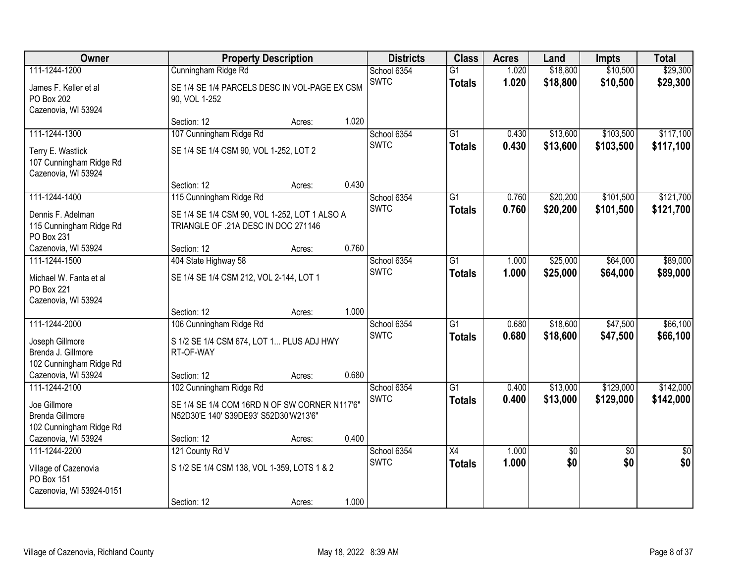| Owner                                                               |                                                                                        | <b>Property Description</b> |       | <b>Districts</b>           | <b>Class</b>                     | <b>Acres</b>   | Land                   | <b>Impts</b>           | <b>Total</b>           |
|---------------------------------------------------------------------|----------------------------------------------------------------------------------------|-----------------------------|-------|----------------------------|----------------------------------|----------------|------------------------|------------------------|------------------------|
| 111-1244-1200                                                       | Cunningham Ridge Rd                                                                    |                             |       | School 6354                | $\overline{G1}$                  | 1.020          | \$18,800               | \$10,500               | \$29,300               |
| James F. Keller et al<br>PO Box 202<br>Cazenovia, WI 53924          | SE 1/4 SE 1/4 PARCELS DESC IN VOL-PAGE EX CSM<br>90, VOL 1-252                         |                             |       | <b>SWTC</b>                | <b>Totals</b>                    | 1.020          | \$18,800               | \$10,500               | \$29,300               |
|                                                                     | Section: 12                                                                            | Acres:                      | 1.020 |                            |                                  |                |                        |                        |                        |
| 111-1244-1300                                                       | 107 Cunningham Ridge Rd                                                                |                             |       | School 6354                | G1                               | 0.430          | \$13,600               | \$103,500              | \$117,100              |
| Terry E. Wastlick<br>107 Cunningham Ridge Rd<br>Cazenovia, WI 53924 | SE 1/4 SE 1/4 CSM 90, VOL 1-252, LOT 2                                                 |                             |       | <b>SWTC</b>                | <b>Totals</b>                    | 0.430          | \$13,600               | \$103,500              | \$117,100              |
|                                                                     | Section: 12                                                                            | Acres:                      | 0.430 |                            |                                  |                |                        |                        |                        |
| 111-1244-1400                                                       | 115 Cunningham Ridge Rd                                                                |                             |       | School 6354                | G1                               | 0.760          | \$20,200               | \$101,500              | \$121,700              |
| Dennis F. Adelman<br>115 Cunningham Ridge Rd<br>PO Box 231          | SE 1/4 SE 1/4 CSM 90, VOL 1-252, LOT 1 ALSO A<br>TRIANGLE OF .21A DESC IN DOC 271146   |                             |       | <b>SWTC</b>                | <b>Totals</b>                    | 0.760          | \$20,200               | \$101,500              | \$121,700              |
| Cazenovia, WI 53924                                                 | Section: 12                                                                            | Acres:                      | 0.760 |                            |                                  |                |                        |                        |                        |
| 111-1244-1500                                                       | 404 State Highway 58                                                                   |                             |       | School 6354                | $\overline{G1}$                  | 1.000          | \$25,000               | \$64,000               | \$89,000               |
| Michael W. Fanta et al<br><b>PO Box 221</b><br>Cazenovia, WI 53924  | SE 1/4 SE 1/4 CSM 212, VOL 2-144, LOT 1                                                |                             |       | <b>SWTC</b>                | <b>Totals</b>                    | 1.000          | \$25,000               | \$64,000               | \$89,000               |
|                                                                     | Section: 12                                                                            | Acres:                      | 1.000 |                            |                                  |                |                        |                        |                        |
| 111-1244-2000                                                       | 106 Cunningham Ridge Rd                                                                |                             |       | School 6354<br><b>SWTC</b> | $\overline{G1}$<br><b>Totals</b> | 0.680<br>0.680 | \$18,600<br>\$18,600   | \$47,500<br>\$47,500   | \$66,100<br>\$66,100   |
| Joseph Gillmore                                                     | S 1/2 SE 1/4 CSM 674, LOT 1 PLUS ADJ HWY                                               |                             |       |                            |                                  |                |                        |                        |                        |
| Brenda J. Gillmore<br>102 Cunningham Ridge Rd                       | RT-OF-WAY                                                                              |                             |       |                            |                                  |                |                        |                        |                        |
| Cazenovia, WI 53924                                                 | Section: 12                                                                            | Acres:                      | 0.680 |                            |                                  |                |                        |                        |                        |
| 111-1244-2100                                                       | 102 Cunningham Ridge Rd                                                                |                             |       | School 6354                | $\overline{G1}$                  | 0.400          | \$13,000               | \$129,000              | \$142,000              |
| Joe Gillmore<br><b>Brenda Gillmore</b><br>102 Cunningham Ridge Rd   | SE 1/4 SE 1/4 COM 16RD N OF SW CORNER N117'6"<br>N52D30'E 140' S39DE93' S52D30'W213'6" |                             |       | <b>SWTC</b>                | <b>Totals</b>                    | 0.400          | \$13,000               | \$129,000              | \$142,000              |
| Cazenovia, WI 53924                                                 | Section: 12                                                                            | Acres:                      | 0.400 |                            |                                  |                |                        |                        |                        |
| 111-1244-2200                                                       | 121 County Rd V                                                                        |                             |       | School 6354<br><b>SWTC</b> | $\overline{X4}$<br><b>Totals</b> | 1.000<br>1.000 | $\overline{50}$<br>\$0 | $\overline{30}$<br>\$0 | $\overline{30}$<br>\$0 |
| Village of Cazenovia<br>PO Box 151<br>Cazenovia, WI 53924-0151      | S 1/2 SE 1/4 CSM 138, VOL 1-359, LOTS 1 & 2                                            |                             |       |                            |                                  |                |                        |                        |                        |
|                                                                     | Section: 12                                                                            | Acres:                      | 1.000 |                            |                                  |                |                        |                        |                        |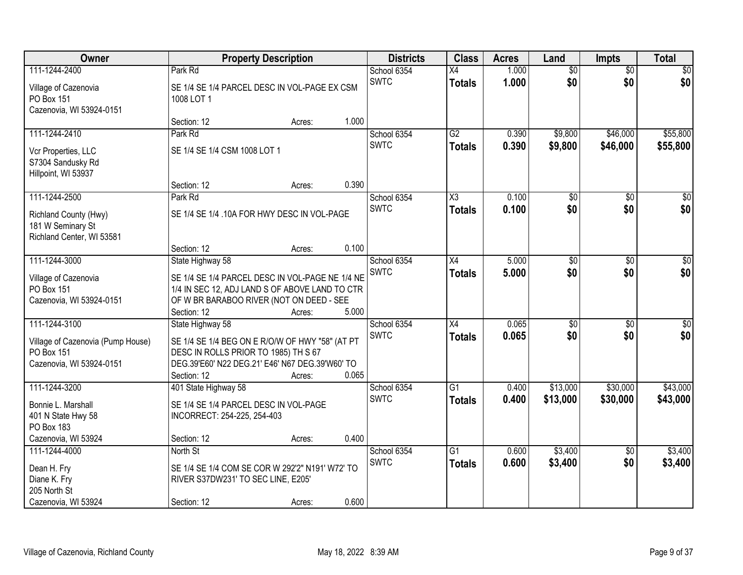| Owner                                                                                               |                                                                                                                                                                               | <b>Property Description</b> |       | <b>Districts</b>           | <b>Class</b>                     | <b>Acres</b>   | Land                   | <b>Impts</b>           | <b>Total</b>         |
|-----------------------------------------------------------------------------------------------------|-------------------------------------------------------------------------------------------------------------------------------------------------------------------------------|-----------------------------|-------|----------------------------|----------------------------------|----------------|------------------------|------------------------|----------------------|
| 111-1244-2400                                                                                       | Park Rd                                                                                                                                                                       |                             |       | School 6354                | X4                               | 1.000          | $\overline{50}$        | $\overline{60}$        | \$0                  |
| Village of Cazenovia<br>PO Box 151<br>Cazenovia, WI 53924-0151                                      | SE 1/4 SE 1/4 PARCEL DESC IN VOL-PAGE EX CSM<br>1008 LOT 1                                                                                                                    |                             |       | <b>SWTC</b>                | <b>Totals</b>                    | 1.000          | \$0                    | \$0                    | \$0                  |
|                                                                                                     | Section: 12                                                                                                                                                                   | Acres:                      | 1.000 |                            |                                  |                |                        |                        |                      |
| 111-1244-2410<br>Vcr Properties, LLC                                                                | Park Rd<br>SE 1/4 SE 1/4 CSM 1008 LOT 1                                                                                                                                       |                             |       | School 6354<br><b>SWTC</b> | $\overline{G2}$<br><b>Totals</b> | 0.390<br>0.390 | \$9,800<br>\$9,800     | \$46,000<br>\$46,000   | \$55,800<br>\$55,800 |
| S7304 Sandusky Rd<br>Hillpoint, WI 53937                                                            | Section: 12                                                                                                                                                                   | Acres:                      | 0.390 |                            |                                  |                |                        |                        |                      |
| 111-1244-2500                                                                                       | Park Rd                                                                                                                                                                       |                             |       | School 6354                | X3                               | 0.100          | \$0                    | \$0                    | $\overline{50}$      |
| Richland County (Hwy)<br>181 W Seminary St<br>Richland Center, WI 53581                             | SE 1/4 SE 1/4 .10A FOR HWY DESC IN VOL-PAGE                                                                                                                                   |                             |       | <b>SWTC</b>                | <b>Totals</b>                    | 0.100          | \$0                    | \$0                    | \$0                  |
|                                                                                                     | Section: 12                                                                                                                                                                   | Acres:                      | 0.100 |                            |                                  |                |                        |                        |                      |
| 111-1244-3000                                                                                       | State Highway 58                                                                                                                                                              |                             |       | School 6354<br><b>SWTC</b> | X4<br><b>Totals</b>              | 5.000<br>5.000 | $\overline{50}$<br>\$0 | \$0<br>\$0             | $\sqrt{50}$<br>\$0   |
| Village of Cazenovia<br>PO Box 151<br>Cazenovia, WI 53924-0151                                      | SE 1/4 SE 1/4 PARCEL DESC IN VOL-PAGE NE 1/4 NE<br>1/4 IN SEC 12, ADJ LAND S OF ABOVE LAND TO CTR<br>OF W BR BARABOO RIVER (NOT ON DEED - SEE<br>Section: 12                  | Acres:                      | 5.000 |                            |                                  |                |                        |                        |                      |
| 111-1244-3100<br>Village of Cazenovia (Pump House)<br><b>PO Box 151</b><br>Cazenovia, WI 53924-0151 | State Highway 58<br>SE 1/4 SE 1/4 BEG ON E R/O/W OF HWY "58" (AT PT<br>DESC IN ROLLS PRIOR TO 1985) TH S 67<br>DEG.39'E60' N22 DEG.21' E46' N67 DEG.39'W60' TO<br>Section: 12 | Acres:                      | 0.065 | School 6354<br><b>SWTC</b> | $\overline{X4}$<br><b>Totals</b> | 0.065<br>0.065 | $\overline{50}$<br>\$0 | \$0<br>\$0             | $\sqrt{50}$<br>\$0   |
| 111-1244-3200<br>Bonnie L. Marshall<br>401 N State Hwy 58<br>PO Box 183<br>Cazenovia, WI 53924      | 401 State Highway 58<br>SE 1/4 SE 1/4 PARCEL DESC IN VOL-PAGE<br>INCORRECT: 254-225, 254-403<br>Section: 12                                                                   | Acres:                      | 0.400 | School 6354<br><b>SWTC</b> | $\overline{G1}$<br><b>Totals</b> | 0.400<br>0.400 | \$13,000<br>\$13,000   | \$30,000<br>\$30,000   | \$43,000<br>\$43,000 |
| 111-1244-4000<br>Dean H. Fry<br>Diane K. Fry<br>205 North St<br>Cazenovia, WI 53924                 | North St<br>SE 1/4 SE 1/4 COM SE COR W 292'2" N191' W72' TO<br>RIVER S37DW231' TO SEC LINE, E205'<br>Section: 12                                                              | Acres:                      | 0.600 | School 6354<br><b>SWTC</b> | G1<br><b>Totals</b>              | 0.600<br>0.600 | \$3,400<br>\$3,400     | $\overline{50}$<br>\$0 | \$3,400<br>\$3,400   |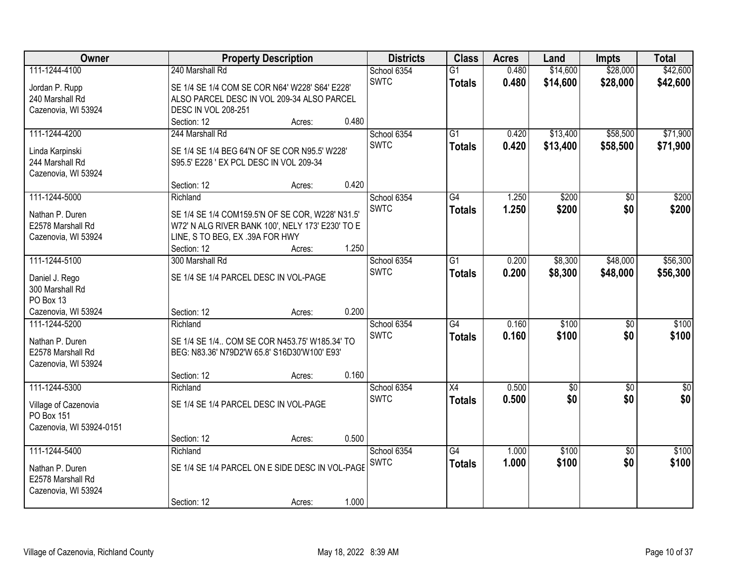| Owner                    |                                            | <b>Property Description</b>                      |       | <b>Districts</b>           | <b>Class</b>    | <b>Acres</b>   | Land                 | <b>Impts</b>         | <b>Total</b>         |
|--------------------------|--------------------------------------------|--------------------------------------------------|-------|----------------------------|-----------------|----------------|----------------------|----------------------|----------------------|
| 111-1244-4100            | 240 Marshall Rd                            |                                                  |       | School 6354<br><b>SWTC</b> | $\overline{G1}$ | 0.480<br>0.480 | \$14,600<br>\$14,600 | \$28,000<br>\$28,000 | \$42,600<br>\$42,600 |
| Jordan P. Rupp           |                                            | SE 1/4 SE 1/4 COM SE COR N64' W228' S64' E228'   |       |                            | <b>Totals</b>   |                |                      |                      |                      |
| 240 Marshall Rd          | ALSO PARCEL DESC IN VOL 209-34 ALSO PARCEL |                                                  |       |                            |                 |                |                      |                      |                      |
| Cazenovia, WI 53924      | <b>DESC IN VOL 208-251</b>                 |                                                  |       |                            |                 |                |                      |                      |                      |
|                          | Section: 12                                | Acres:                                           | 0.480 |                            |                 |                |                      |                      |                      |
| 111-1244-4200            | 244 Marshall Rd                            |                                                  |       | School 6354<br><b>SWTC</b> | $\overline{G1}$ | 0.420<br>0.420 | \$13,400<br>\$13,400 | \$58,500<br>\$58,500 | \$71,900<br>\$71,900 |
| Linda Karpinski          |                                            | SE 1/4 SE 1/4 BEG 64'N OF SE COR N95.5' W228'    |       |                            | <b>Totals</b>   |                |                      |                      |                      |
| 244 Marshall Rd          | S95.5' E228 ' EX PCL DESC IN VOL 209-34    |                                                  |       |                            |                 |                |                      |                      |                      |
| Cazenovia, WI 53924      |                                            |                                                  |       |                            |                 |                |                      |                      |                      |
|                          | Section: 12                                | Acres:                                           | 0.420 |                            |                 |                |                      |                      |                      |
| 111-1244-5000            | Richland                                   |                                                  |       | School 6354                | G4              | 1.250          | \$200                | \$0                  | \$200                |
| Nathan P. Duren          |                                            | SE 1/4 SE 1/4 COM159.5'N OF SE COR, W228' N31.5' |       | <b>SWTC</b>                | <b>Totals</b>   | 1.250          | \$200                | \$0                  | \$200                |
| E2578 Marshall Rd        |                                            | W72' N ALG RIVER BANK 100', NELY 173' E230' TO E |       |                            |                 |                |                      |                      |                      |
|                          | LINE, S TO BEG, EX .39A FOR HWY            |                                                  |       |                            |                 |                |                      |                      |                      |
| Cazenovia, WI 53924      | Section: 12                                | Acres:                                           | 1.250 |                            |                 |                |                      |                      |                      |
| 111-1244-5100            | 300 Marshall Rd                            |                                                  |       | School 6354                | G1              | 0.200          | \$8,300              | \$48,000             | \$56,300             |
|                          |                                            |                                                  |       | <b>SWTC</b>                |                 |                |                      |                      |                      |
| Daniel J. Rego           | SE 1/4 SE 1/4 PARCEL DESC IN VOL-PAGE      |                                                  |       |                            | <b>Totals</b>   | 0.200          | \$8,300              | \$48,000             | \$56,300             |
| 300 Marshall Rd          |                                            |                                                  |       |                            |                 |                |                      |                      |                      |
| PO Box 13                |                                            |                                                  |       |                            |                 |                |                      |                      |                      |
| Cazenovia, WI 53924      | Section: 12                                | Acres:                                           | 0.200 |                            |                 |                |                      |                      |                      |
| 111-1244-5200            | Richland                                   |                                                  |       | School 6354                | $\overline{G4}$ | 0.160          | \$100                | $\overline{30}$      | \$100                |
| Nathan P. Duren          |                                            | SE 1/4 SE 1/4 COM SE COR N453.75' W185.34' TO    |       | <b>SWTC</b>                | <b>Totals</b>   | 0.160          | \$100                | \$0                  | \$100                |
| E2578 Marshall Rd        |                                            | BEG: N83.36' N79D2'W 65.8' S16D30'W100' E93'     |       |                            |                 |                |                      |                      |                      |
| Cazenovia, WI 53924      |                                            |                                                  |       |                            |                 |                |                      |                      |                      |
|                          | Section: 12                                | Acres:                                           | 0.160 |                            |                 |                |                      |                      |                      |
| 111-1244-5300            | Richland                                   |                                                  |       | School 6354                | $\overline{X4}$ | 0.500          | $\overline{50}$      | $\overline{50}$      | $\overline{\$0}$     |
|                          |                                            |                                                  |       | <b>SWTC</b>                | <b>Totals</b>   | 0.500          | \$0                  | \$0                  | \$0                  |
| Village of Cazenovia     | SE 1/4 SE 1/4 PARCEL DESC IN VOL-PAGE      |                                                  |       |                            |                 |                |                      |                      |                      |
| PO Box 151               |                                            |                                                  |       |                            |                 |                |                      |                      |                      |
| Cazenovia, WI 53924-0151 |                                            |                                                  |       |                            |                 |                |                      |                      |                      |
|                          | Section: 12                                | Acres:                                           | 0.500 |                            |                 |                |                      |                      |                      |
| 111-1244-5400            | Richland                                   |                                                  |       | School 6354                | G4              | 1.000          | \$100                | $\overline{50}$      | \$100                |
| Nathan P. Duren          |                                            | SE 1/4 SE 1/4 PARCEL ON E SIDE DESC IN VOL-PAGE  |       | <b>SWTC</b>                | <b>Totals</b>   | 1.000          | \$100                | \$0                  | \$100                |
| E2578 Marshall Rd        |                                            |                                                  |       |                            |                 |                |                      |                      |                      |
| Cazenovia, WI 53924      |                                            |                                                  |       |                            |                 |                |                      |                      |                      |
|                          | Section: 12                                | Acres:                                           | 1.000 |                            |                 |                |                      |                      |                      |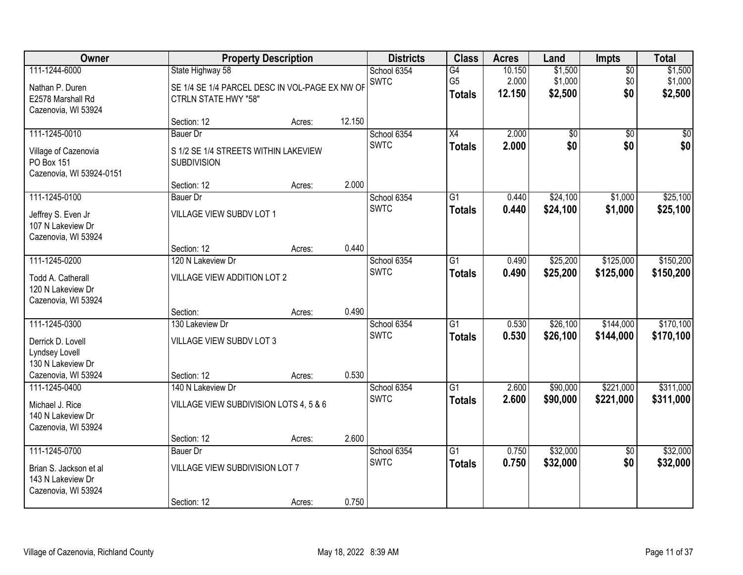| 111-1244-6000<br>\$1,500<br>State Highway 58<br>School 6354<br>G4<br>10.150<br>$\overline{50}$<br>\$1,000<br><b>SWTC</b><br>G <sub>5</sub><br>2.000<br>\$0<br>SE 1/4 SE 1/4 PARCEL DESC IN VOL-PAGE EX NW OF<br>Nathan P. Duren<br>\$0<br>12.150<br>\$2,500<br><b>Totals</b><br>E2578 Marshall Rd<br><b>CTRLN STATE HWY "58"</b><br>Cazenovia, WI 53924<br>12.150<br>Section: 12<br>Acres:<br>111-1245-0010<br>$\overline{X4}$<br>2.000<br>School 6354<br>$\overline{50}$<br>$\overline{50}$<br><b>Bauer Dr</b><br><b>SWTC</b><br>2.000<br>\$0<br>\$0<br><b>Totals</b><br>S 1/2 SE 1/4 STREETS WITHIN LAKEVIEW<br>Village of Cazenovia<br>PO Box 151<br><b>SUBDIVISION</b><br>Cazenovia, WI 53924-0151<br>2.000<br>Section: 12<br>Acres:<br>\$24,100<br>111-1245-0100<br>School 6354<br>G1<br>\$1,000<br><b>Bauer</b> Dr<br>0.440<br><b>SWTC</b><br>\$24,100<br>0.440<br>\$1,000<br><b>Totals</b><br><b>VILLAGE VIEW SUBDV LOT 1</b><br>Jeffrey S. Even Jr<br>107 N Lakeview Dr<br>Cazenovia, WI 53924<br>0.440<br>Section: 12<br>Acres:<br>111-1245-0200<br>\$25,200<br>\$125,000<br>120 N Lakeview Dr<br>School 6354<br>G1<br>0.490<br><b>SWTC</b><br>0.490<br>\$25,200<br>\$125,000<br><b>Totals</b><br>VILLAGE VIEW ADDITION LOT 2<br>Todd A. Catherall<br>120 N Lakeview Dr<br>Cazenovia, WI 53924<br>0.490<br>Section:<br>Acres:<br>111-1245-0300<br>$\overline{G1}$<br>0.530<br>\$26,100<br>\$144,000<br>130 Lakeview Dr<br>School 6354<br>0.530<br><b>SWTC</b><br>\$26,100<br>\$144,000<br><b>Totals</b><br>VILLAGE VIEW SUBDV LOT 3<br>Derrick D. Lovell<br>Lyndsey Lovell<br>130 N Lakeview Dr<br>0.530<br>Cazenovia, WI 53924<br>Section: 12<br>Acres:<br>$\overline{G1}$<br>\$90,000<br>\$221,000<br>111-1245-0400<br>School 6354<br>2.600<br>140 N Lakeview Dr<br><b>SWTC</b><br>2.600<br>\$90,000<br>\$221,000<br><b>Totals</b><br>VILLAGE VIEW SUBDIVISION LOTS 4, 5 & 6<br>Michael J. Rice<br>140 N Lakeview Dr<br>Cazenovia, WI 53924<br>2.600<br>Section: 12<br>Acres:<br>111-1245-0700<br>$\overline{G1}$<br>\$32,000<br>School 6354<br>0.750<br>$\overline{50}$<br><b>Bauer Dr</b><br>\$0<br><b>SWTC</b><br>0.750<br>\$32,000<br><b>Totals</b><br>VILLAGE VIEW SUBDIVISION LOT 7<br>Brian S. Jackson et al<br>143 N Lakeview Dr<br>Cazenovia, WI 53924 | Owner |             | <b>Property Description</b> |       | <b>Districts</b> | <b>Class</b> | <b>Acres</b> | Land | Impts | <b>Total</b>                  |
|----------------------------------------------------------------------------------------------------------------------------------------------------------------------------------------------------------------------------------------------------------------------------------------------------------------------------------------------------------------------------------------------------------------------------------------------------------------------------------------------------------------------------------------------------------------------------------------------------------------------------------------------------------------------------------------------------------------------------------------------------------------------------------------------------------------------------------------------------------------------------------------------------------------------------------------------------------------------------------------------------------------------------------------------------------------------------------------------------------------------------------------------------------------------------------------------------------------------------------------------------------------------------------------------------------------------------------------------------------------------------------------------------------------------------------------------------------------------------------------------------------------------------------------------------------------------------------------------------------------------------------------------------------------------------------------------------------------------------------------------------------------------------------------------------------------------------------------------------------------------------------------------------------------------------------------------------------------------------------------------------------------------------------------------------------------------------------------------------------------------------------------------------------------------------------------------------------------------------------------------------------------------------|-------|-------------|-----------------------------|-------|------------------|--------------|--------------|------|-------|-------------------------------|
|                                                                                                                                                                                                                                                                                                                                                                                                                                                                                                                                                                                                                                                                                                                                                                                                                                                                                                                                                                                                                                                                                                                                                                                                                                                                                                                                                                                                                                                                                                                                                                                                                                                                                                                                                                                                                                                                                                                                                                                                                                                                                                                                                                                                                                                                            |       |             |                             |       |                  |              |              |      |       | \$1,500<br>\$1,000<br>\$2,500 |
|                                                                                                                                                                                                                                                                                                                                                                                                                                                                                                                                                                                                                                                                                                                                                                                                                                                                                                                                                                                                                                                                                                                                                                                                                                                                                                                                                                                                                                                                                                                                                                                                                                                                                                                                                                                                                                                                                                                                                                                                                                                                                                                                                                                                                                                                            |       |             |                             |       |                  |              |              |      |       |                               |
|                                                                                                                                                                                                                                                                                                                                                                                                                                                                                                                                                                                                                                                                                                                                                                                                                                                                                                                                                                                                                                                                                                                                                                                                                                                                                                                                                                                                                                                                                                                                                                                                                                                                                                                                                                                                                                                                                                                                                                                                                                                                                                                                                                                                                                                                            |       |             |                             |       |                  |              |              |      |       | $\sqrt{50}$<br>\$0            |
|                                                                                                                                                                                                                                                                                                                                                                                                                                                                                                                                                                                                                                                                                                                                                                                                                                                                                                                                                                                                                                                                                                                                                                                                                                                                                                                                                                                                                                                                                                                                                                                                                                                                                                                                                                                                                                                                                                                                                                                                                                                                                                                                                                                                                                                                            |       |             |                             |       |                  |              |              |      |       |                               |
|                                                                                                                                                                                                                                                                                                                                                                                                                                                                                                                                                                                                                                                                                                                                                                                                                                                                                                                                                                                                                                                                                                                                                                                                                                                                                                                                                                                                                                                                                                                                                                                                                                                                                                                                                                                                                                                                                                                                                                                                                                                                                                                                                                                                                                                                            |       |             |                             |       |                  |              |              |      |       | \$25,100<br>\$25,100          |
|                                                                                                                                                                                                                                                                                                                                                                                                                                                                                                                                                                                                                                                                                                                                                                                                                                                                                                                                                                                                                                                                                                                                                                                                                                                                                                                                                                                                                                                                                                                                                                                                                                                                                                                                                                                                                                                                                                                                                                                                                                                                                                                                                                                                                                                                            |       |             |                             |       |                  |              |              |      |       |                               |
|                                                                                                                                                                                                                                                                                                                                                                                                                                                                                                                                                                                                                                                                                                                                                                                                                                                                                                                                                                                                                                                                                                                                                                                                                                                                                                                                                                                                                                                                                                                                                                                                                                                                                                                                                                                                                                                                                                                                                                                                                                                                                                                                                                                                                                                                            |       |             |                             |       |                  |              |              |      |       | \$150,200<br>\$150,200        |
|                                                                                                                                                                                                                                                                                                                                                                                                                                                                                                                                                                                                                                                                                                                                                                                                                                                                                                                                                                                                                                                                                                                                                                                                                                                                                                                                                                                                                                                                                                                                                                                                                                                                                                                                                                                                                                                                                                                                                                                                                                                                                                                                                                                                                                                                            |       |             |                             |       |                  |              |              |      |       |                               |
|                                                                                                                                                                                                                                                                                                                                                                                                                                                                                                                                                                                                                                                                                                                                                                                                                                                                                                                                                                                                                                                                                                                                                                                                                                                                                                                                                                                                                                                                                                                                                                                                                                                                                                                                                                                                                                                                                                                                                                                                                                                                                                                                                                                                                                                                            |       |             |                             |       |                  |              |              |      |       | \$170,100<br>\$170,100        |
|                                                                                                                                                                                                                                                                                                                                                                                                                                                                                                                                                                                                                                                                                                                                                                                                                                                                                                                                                                                                                                                                                                                                                                                                                                                                                                                                                                                                                                                                                                                                                                                                                                                                                                                                                                                                                                                                                                                                                                                                                                                                                                                                                                                                                                                                            |       |             |                             |       |                  |              |              |      |       | \$311,000                     |
|                                                                                                                                                                                                                                                                                                                                                                                                                                                                                                                                                                                                                                                                                                                                                                                                                                                                                                                                                                                                                                                                                                                                                                                                                                                                                                                                                                                                                                                                                                                                                                                                                                                                                                                                                                                                                                                                                                                                                                                                                                                                                                                                                                                                                                                                            |       |             |                             |       |                  |              |              |      |       | \$311,000                     |
|                                                                                                                                                                                                                                                                                                                                                                                                                                                                                                                                                                                                                                                                                                                                                                                                                                                                                                                                                                                                                                                                                                                                                                                                                                                                                                                                                                                                                                                                                                                                                                                                                                                                                                                                                                                                                                                                                                                                                                                                                                                                                                                                                                                                                                                                            |       |             |                             |       |                  |              |              |      |       |                               |
|                                                                                                                                                                                                                                                                                                                                                                                                                                                                                                                                                                                                                                                                                                                                                                                                                                                                                                                                                                                                                                                                                                                                                                                                                                                                                                                                                                                                                                                                                                                                                                                                                                                                                                                                                                                                                                                                                                                                                                                                                                                                                                                                                                                                                                                                            |       | Section: 12 | Acres:                      | 0.750 |                  |              |              |      |       | \$32,000<br>\$32,000          |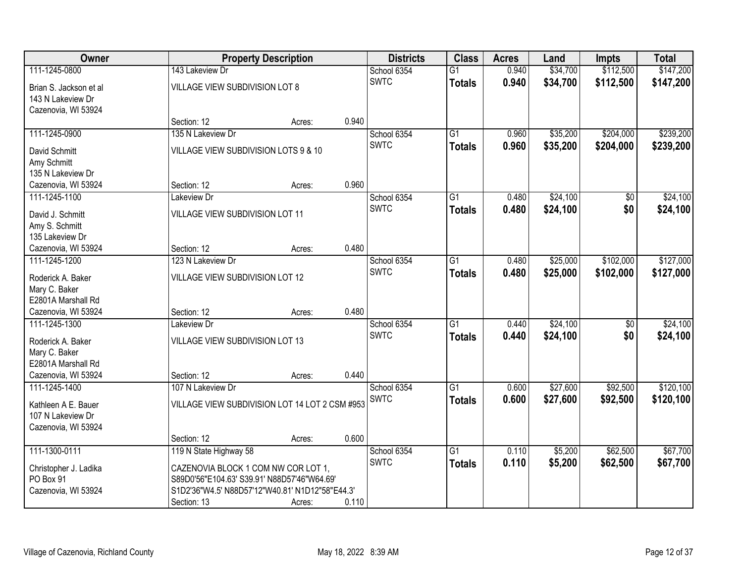| \$147,200<br>143 Lakeview Dr<br>$\overline{G1}$<br>0.940<br>School 6354<br><b>SWTC</b><br>0.940<br>\$34,700<br>\$112,500<br>\$147,200<br><b>Totals</b><br>VILLAGE VIEW SUBDIVISION LOT 8<br>Brian S. Jackson et al<br>143 N Lakeview Dr<br>Cazenovia, WI 53924<br>0.940<br>Section: 12<br>Acres:<br>\$204,000<br>111-1245-0900<br>135 N Lakeview Dr<br>$\overline{G1}$<br>0.960<br>\$35,200<br>School 6354<br><b>SWTC</b><br>0.960<br>\$35,200<br>\$204,000<br>\$239,200<br><b>Totals</b><br>VILLAGE VIEW SUBDIVISION LOTS 9 & 10<br>David Schmitt<br>Amy Schmitt<br>135 N Lakeview Dr<br>0.960<br>Section: 12<br>Cazenovia, WI 53924<br>Acres:<br>\$24,100<br>111-1245-1100<br>G1<br>0.480<br>\$0<br>Lakeview Dr<br>School 6354<br><b>SWTC</b><br>0.480<br>\$24,100<br>\$0<br><b>Totals</b><br>VILLAGE VIEW SUBDIVISION LOT 11<br>David J. Schmitt<br>Amy S. Schmitt<br>135 Lakeview Dr<br>0.480<br>Cazenovia, WI 53924<br>Section: 12<br>Acres:<br>\$102,000<br>$\overline{G1}$<br>\$25,000<br>111-1245-1200<br>123 N Lakeview Dr<br>School 6354<br>0.480<br><b>SWTC</b><br>0.480<br>\$25,000<br>\$102,000<br><b>Totals</b><br>VILLAGE VIEW SUBDIVISION LOT 12<br>Roderick A. Baker<br>Mary C. Baker<br>E2801A Marshall Rd<br>0.480<br>Cazenovia, WI 53924<br>Section: 12<br>Acres:<br>\$24,100<br>$\overline{G1}$<br>$\overline{50}$<br>111-1245-1300<br>Lakeview Dr<br>0.440<br>School 6354<br><b>SWTC</b><br>0.440<br>\$24,100<br>\$0<br>\$24,100<br><b>Totals</b><br>VILLAGE VIEW SUBDIVISION LOT 13<br>Roderick A. Baker<br>Mary C. Baker<br>E2801A Marshall Rd<br>0.440<br>Cazenovia, WI 53924<br>Section: 12<br>Acres:<br>$\overline{G1}$<br>\$27,600<br>\$92,500<br>111-1245-1400<br>107 N Lakeview Dr<br>School 6354<br>0.600<br><b>SWTC</b><br>0.600<br>\$27,600<br>\$92,500<br><b>Totals</b><br>VILLAGE VIEW SUBDIVISION LOT 14 LOT 2 CSM #953<br>Kathleen A E. Bauer<br>107 N Lakeview Dr<br>Cazenovia, WI 53924<br>0.600<br>Section: 12<br>Acres:<br>111-1300-0111<br>119 N State Highway 58<br>$\overline{G1}$<br>\$5,200<br>\$62,500<br>School 6354<br>0.110<br><b>SWTC</b><br>0.110<br>\$5,200<br>\$62,500<br>\$67,700<br><b>Totals</b><br>CAZENOVIA BLOCK 1 COM NW COR LOT 1,<br>Christopher J. Ladika<br>PO Box 91<br>S89D0'56"E104.63' S39.91' N88D57'46"W64.69' | Owner               | <b>Property Description</b> | <b>Districts</b> | <b>Class</b> | <b>Acres</b> | Land     | <b>Impts</b> | <b>Total</b> |
|---------------------------------------------------------------------------------------------------------------------------------------------------------------------------------------------------------------------------------------------------------------------------------------------------------------------------------------------------------------------------------------------------------------------------------------------------------------------------------------------------------------------------------------------------------------------------------------------------------------------------------------------------------------------------------------------------------------------------------------------------------------------------------------------------------------------------------------------------------------------------------------------------------------------------------------------------------------------------------------------------------------------------------------------------------------------------------------------------------------------------------------------------------------------------------------------------------------------------------------------------------------------------------------------------------------------------------------------------------------------------------------------------------------------------------------------------------------------------------------------------------------------------------------------------------------------------------------------------------------------------------------------------------------------------------------------------------------------------------------------------------------------------------------------------------------------------------------------------------------------------------------------------------------------------------------------------------------------------------------------------------------------------------------------------------------------------------------------------------------------------------------------------------------------------------------------------------------------------------------------------------------------------------------|---------------------|-----------------------------|------------------|--------------|--------------|----------|--------------|--------------|
|                                                                                                                                                                                                                                                                                                                                                                                                                                                                                                                                                                                                                                                                                                                                                                                                                                                                                                                                                                                                                                                                                                                                                                                                                                                                                                                                                                                                                                                                                                                                                                                                                                                                                                                                                                                                                                                                                                                                                                                                                                                                                                                                                                                                                                                                                       | 111-1245-0800       |                             |                  |              |              | \$34,700 | \$112,500    |              |
|                                                                                                                                                                                                                                                                                                                                                                                                                                                                                                                                                                                                                                                                                                                                                                                                                                                                                                                                                                                                                                                                                                                                                                                                                                                                                                                                                                                                                                                                                                                                                                                                                                                                                                                                                                                                                                                                                                                                                                                                                                                                                                                                                                                                                                                                                       |                     |                             |                  |              |              |          |              |              |
|                                                                                                                                                                                                                                                                                                                                                                                                                                                                                                                                                                                                                                                                                                                                                                                                                                                                                                                                                                                                                                                                                                                                                                                                                                                                                                                                                                                                                                                                                                                                                                                                                                                                                                                                                                                                                                                                                                                                                                                                                                                                                                                                                                                                                                                                                       |                     |                             |                  |              |              |          |              |              |
|                                                                                                                                                                                                                                                                                                                                                                                                                                                                                                                                                                                                                                                                                                                                                                                                                                                                                                                                                                                                                                                                                                                                                                                                                                                                                                                                                                                                                                                                                                                                                                                                                                                                                                                                                                                                                                                                                                                                                                                                                                                                                                                                                                                                                                                                                       |                     |                             |                  |              |              |          |              |              |
|                                                                                                                                                                                                                                                                                                                                                                                                                                                                                                                                                                                                                                                                                                                                                                                                                                                                                                                                                                                                                                                                                                                                                                                                                                                                                                                                                                                                                                                                                                                                                                                                                                                                                                                                                                                                                                                                                                                                                                                                                                                                                                                                                                                                                                                                                       |                     |                             |                  |              |              |          |              |              |
| \$24,100<br>\$24,100<br>\$127,000<br>\$127,000<br>\$24,100<br>\$120,100<br>\$120,100<br>\$67,700                                                                                                                                                                                                                                                                                                                                                                                                                                                                                                                                                                                                                                                                                                                                                                                                                                                                                                                                                                                                                                                                                                                                                                                                                                                                                                                                                                                                                                                                                                                                                                                                                                                                                                                                                                                                                                                                                                                                                                                                                                                                                                                                                                                      |                     |                             |                  |              |              |          |              | \$239,200    |
|                                                                                                                                                                                                                                                                                                                                                                                                                                                                                                                                                                                                                                                                                                                                                                                                                                                                                                                                                                                                                                                                                                                                                                                                                                                                                                                                                                                                                                                                                                                                                                                                                                                                                                                                                                                                                                                                                                                                                                                                                                                                                                                                                                                                                                                                                       |                     |                             |                  |              |              |          |              |              |
|                                                                                                                                                                                                                                                                                                                                                                                                                                                                                                                                                                                                                                                                                                                                                                                                                                                                                                                                                                                                                                                                                                                                                                                                                                                                                                                                                                                                                                                                                                                                                                                                                                                                                                                                                                                                                                                                                                                                                                                                                                                                                                                                                                                                                                                                                       |                     |                             |                  |              |              |          |              |              |
|                                                                                                                                                                                                                                                                                                                                                                                                                                                                                                                                                                                                                                                                                                                                                                                                                                                                                                                                                                                                                                                                                                                                                                                                                                                                                                                                                                                                                                                                                                                                                                                                                                                                                                                                                                                                                                                                                                                                                                                                                                                                                                                                                                                                                                                                                       |                     |                             |                  |              |              |          |              |              |
|                                                                                                                                                                                                                                                                                                                                                                                                                                                                                                                                                                                                                                                                                                                                                                                                                                                                                                                                                                                                                                                                                                                                                                                                                                                                                                                                                                                                                                                                                                                                                                                                                                                                                                                                                                                                                                                                                                                                                                                                                                                                                                                                                                                                                                                                                       |                     |                             |                  |              |              |          |              |              |
|                                                                                                                                                                                                                                                                                                                                                                                                                                                                                                                                                                                                                                                                                                                                                                                                                                                                                                                                                                                                                                                                                                                                                                                                                                                                                                                                                                                                                                                                                                                                                                                                                                                                                                                                                                                                                                                                                                                                                                                                                                                                                                                                                                                                                                                                                       |                     |                             |                  |              |              |          |              |              |
|                                                                                                                                                                                                                                                                                                                                                                                                                                                                                                                                                                                                                                                                                                                                                                                                                                                                                                                                                                                                                                                                                                                                                                                                                                                                                                                                                                                                                                                                                                                                                                                                                                                                                                                                                                                                                                                                                                                                                                                                                                                                                                                                                                                                                                                                                       |                     |                             |                  |              |              |          |              |              |
|                                                                                                                                                                                                                                                                                                                                                                                                                                                                                                                                                                                                                                                                                                                                                                                                                                                                                                                                                                                                                                                                                                                                                                                                                                                                                                                                                                                                                                                                                                                                                                                                                                                                                                                                                                                                                                                                                                                                                                                                                                                                                                                                                                                                                                                                                       |                     |                             |                  |              |              |          |              |              |
|                                                                                                                                                                                                                                                                                                                                                                                                                                                                                                                                                                                                                                                                                                                                                                                                                                                                                                                                                                                                                                                                                                                                                                                                                                                                                                                                                                                                                                                                                                                                                                                                                                                                                                                                                                                                                                                                                                                                                                                                                                                                                                                                                                                                                                                                                       |                     |                             |                  |              |              |          |              |              |
|                                                                                                                                                                                                                                                                                                                                                                                                                                                                                                                                                                                                                                                                                                                                                                                                                                                                                                                                                                                                                                                                                                                                                                                                                                                                                                                                                                                                                                                                                                                                                                                                                                                                                                                                                                                                                                                                                                                                                                                                                                                                                                                                                                                                                                                                                       |                     |                             |                  |              |              |          |              |              |
|                                                                                                                                                                                                                                                                                                                                                                                                                                                                                                                                                                                                                                                                                                                                                                                                                                                                                                                                                                                                                                                                                                                                                                                                                                                                                                                                                                                                                                                                                                                                                                                                                                                                                                                                                                                                                                                                                                                                                                                                                                                                                                                                                                                                                                                                                       |                     |                             |                  |              |              |          |              |              |
|                                                                                                                                                                                                                                                                                                                                                                                                                                                                                                                                                                                                                                                                                                                                                                                                                                                                                                                                                                                                                                                                                                                                                                                                                                                                                                                                                                                                                                                                                                                                                                                                                                                                                                                                                                                                                                                                                                                                                                                                                                                                                                                                                                                                                                                                                       |                     |                             |                  |              |              |          |              |              |
|                                                                                                                                                                                                                                                                                                                                                                                                                                                                                                                                                                                                                                                                                                                                                                                                                                                                                                                                                                                                                                                                                                                                                                                                                                                                                                                                                                                                                                                                                                                                                                                                                                                                                                                                                                                                                                                                                                                                                                                                                                                                                                                                                                                                                                                                                       |                     |                             |                  |              |              |          |              |              |
|                                                                                                                                                                                                                                                                                                                                                                                                                                                                                                                                                                                                                                                                                                                                                                                                                                                                                                                                                                                                                                                                                                                                                                                                                                                                                                                                                                                                                                                                                                                                                                                                                                                                                                                                                                                                                                                                                                                                                                                                                                                                                                                                                                                                                                                                                       |                     |                             |                  |              |              |          |              |              |
|                                                                                                                                                                                                                                                                                                                                                                                                                                                                                                                                                                                                                                                                                                                                                                                                                                                                                                                                                                                                                                                                                                                                                                                                                                                                                                                                                                                                                                                                                                                                                                                                                                                                                                                                                                                                                                                                                                                                                                                                                                                                                                                                                                                                                                                                                       |                     |                             |                  |              |              |          |              |              |
|                                                                                                                                                                                                                                                                                                                                                                                                                                                                                                                                                                                                                                                                                                                                                                                                                                                                                                                                                                                                                                                                                                                                                                                                                                                                                                                                                                                                                                                                                                                                                                                                                                                                                                                                                                                                                                                                                                                                                                                                                                                                                                                                                                                                                                                                                       |                     |                             |                  |              |              |          |              |              |
|                                                                                                                                                                                                                                                                                                                                                                                                                                                                                                                                                                                                                                                                                                                                                                                                                                                                                                                                                                                                                                                                                                                                                                                                                                                                                                                                                                                                                                                                                                                                                                                                                                                                                                                                                                                                                                                                                                                                                                                                                                                                                                                                                                                                                                                                                       |                     |                             |                  |              |              |          |              |              |
|                                                                                                                                                                                                                                                                                                                                                                                                                                                                                                                                                                                                                                                                                                                                                                                                                                                                                                                                                                                                                                                                                                                                                                                                                                                                                                                                                                                                                                                                                                                                                                                                                                                                                                                                                                                                                                                                                                                                                                                                                                                                                                                                                                                                                                                                                       |                     |                             |                  |              |              |          |              |              |
|                                                                                                                                                                                                                                                                                                                                                                                                                                                                                                                                                                                                                                                                                                                                                                                                                                                                                                                                                                                                                                                                                                                                                                                                                                                                                                                                                                                                                                                                                                                                                                                                                                                                                                                                                                                                                                                                                                                                                                                                                                                                                                                                                                                                                                                                                       |                     |                             |                  |              |              |          |              |              |
|                                                                                                                                                                                                                                                                                                                                                                                                                                                                                                                                                                                                                                                                                                                                                                                                                                                                                                                                                                                                                                                                                                                                                                                                                                                                                                                                                                                                                                                                                                                                                                                                                                                                                                                                                                                                                                                                                                                                                                                                                                                                                                                                                                                                                                                                                       |                     |                             |                  |              |              |          |              |              |
|                                                                                                                                                                                                                                                                                                                                                                                                                                                                                                                                                                                                                                                                                                                                                                                                                                                                                                                                                                                                                                                                                                                                                                                                                                                                                                                                                                                                                                                                                                                                                                                                                                                                                                                                                                                                                                                                                                                                                                                                                                                                                                                                                                                                                                                                                       |                     |                             |                  |              |              |          |              |              |
|                                                                                                                                                                                                                                                                                                                                                                                                                                                                                                                                                                                                                                                                                                                                                                                                                                                                                                                                                                                                                                                                                                                                                                                                                                                                                                                                                                                                                                                                                                                                                                                                                                                                                                                                                                                                                                                                                                                                                                                                                                                                                                                                                                                                                                                                                       |                     |                             |                  |              |              |          |              |              |
|                                                                                                                                                                                                                                                                                                                                                                                                                                                                                                                                                                                                                                                                                                                                                                                                                                                                                                                                                                                                                                                                                                                                                                                                                                                                                                                                                                                                                                                                                                                                                                                                                                                                                                                                                                                                                                                                                                                                                                                                                                                                                                                                                                                                                                                                                       |                     |                             |                  |              |              |          |              |              |
|                                                                                                                                                                                                                                                                                                                                                                                                                                                                                                                                                                                                                                                                                                                                                                                                                                                                                                                                                                                                                                                                                                                                                                                                                                                                                                                                                                                                                                                                                                                                                                                                                                                                                                                                                                                                                                                                                                                                                                                                                                                                                                                                                                                                                                                                                       |                     |                             |                  |              |              |          |              |              |
|                                                                                                                                                                                                                                                                                                                                                                                                                                                                                                                                                                                                                                                                                                                                                                                                                                                                                                                                                                                                                                                                                                                                                                                                                                                                                                                                                                                                                                                                                                                                                                                                                                                                                                                                                                                                                                                                                                                                                                                                                                                                                                                                                                                                                                                                                       |                     |                             |                  |              |              |          |              |              |
|                                                                                                                                                                                                                                                                                                                                                                                                                                                                                                                                                                                                                                                                                                                                                                                                                                                                                                                                                                                                                                                                                                                                                                                                                                                                                                                                                                                                                                                                                                                                                                                                                                                                                                                                                                                                                                                                                                                                                                                                                                                                                                                                                                                                                                                                                       |                     |                             |                  |              |              |          |              |              |
|                                                                                                                                                                                                                                                                                                                                                                                                                                                                                                                                                                                                                                                                                                                                                                                                                                                                                                                                                                                                                                                                                                                                                                                                                                                                                                                                                                                                                                                                                                                                                                                                                                                                                                                                                                                                                                                                                                                                                                                                                                                                                                                                                                                                                                                                                       |                     |                             |                  |              |              |          |              |              |
|                                                                                                                                                                                                                                                                                                                                                                                                                                                                                                                                                                                                                                                                                                                                                                                                                                                                                                                                                                                                                                                                                                                                                                                                                                                                                                                                                                                                                                                                                                                                                                                                                                                                                                                                                                                                                                                                                                                                                                                                                                                                                                                                                                                                                                                                                       |                     |                             |                  |              |              |          |              |              |
|                                                                                                                                                                                                                                                                                                                                                                                                                                                                                                                                                                                                                                                                                                                                                                                                                                                                                                                                                                                                                                                                                                                                                                                                                                                                                                                                                                                                                                                                                                                                                                                                                                                                                                                                                                                                                                                                                                                                                                                                                                                                                                                                                                                                                                                                                       | Cazenovia, WI 53924 |                             |                  |              |              |          |              |              |
| S1D2'36"W4.5' N88D57'12"W40.81' N1D12"58"E44.3'<br>0.110<br>Section: 13<br>Acres:                                                                                                                                                                                                                                                                                                                                                                                                                                                                                                                                                                                                                                                                                                                                                                                                                                                                                                                                                                                                                                                                                                                                                                                                                                                                                                                                                                                                                                                                                                                                                                                                                                                                                                                                                                                                                                                                                                                                                                                                                                                                                                                                                                                                     |                     |                             |                  |              |              |          |              |              |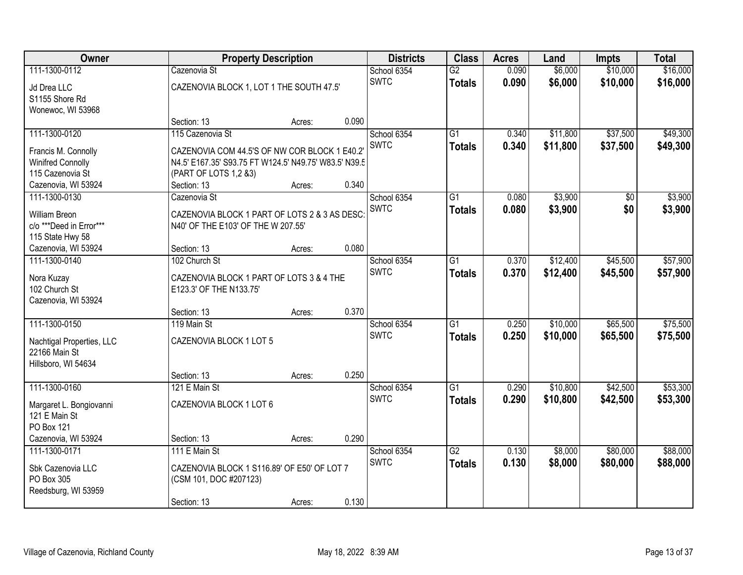| Owner                       |                                                                     | <b>Property Description</b> |       | <b>Districts</b> | <b>Class</b>    | <b>Acres</b> | Land     | <b>Impts</b> | <b>Total</b> |
|-----------------------------|---------------------------------------------------------------------|-----------------------------|-------|------------------|-----------------|--------------|----------|--------------|--------------|
| 111-1300-0112               | Cazenovia St                                                        |                             |       | School 6354      | $\overline{G2}$ | 0.090        | \$6,000  | \$10,000     | \$16,000     |
| Jd Drea LLC                 | CAZENOVIA BLOCK 1, LOT 1 THE SOUTH 47.5'                            |                             |       | <b>SWTC</b>      | <b>Totals</b>   | 0.090        | \$6,000  | \$10,000     | \$16,000     |
| S1155 Shore Rd              |                                                                     |                             |       |                  |                 |              |          |              |              |
| Wonewoc, WI 53968           |                                                                     |                             |       |                  |                 |              |          |              |              |
|                             | Section: 13                                                         | Acres:                      | 0.090 |                  |                 |              |          |              |              |
| 111-1300-0120               | 115 Cazenovia St                                                    |                             |       | School 6354      | $\overline{G1}$ | 0.340        | \$11,800 | \$37,500     | \$49,300     |
| Francis M. Connolly         | CAZENOVIA COM 44.5'S OF NW COR BLOCK 1 E40.2                        |                             |       | <b>SWTC</b>      | <b>Totals</b>   | 0.340        | \$11,800 | \$37,500     | \$49,300     |
| <b>Winifred Connolly</b>    | N4.5' E167.35' S93.75 FT W124.5' N49.75' W83.5' N39.5               |                             |       |                  |                 |              |          |              |              |
| 115 Cazenovia St            | (PART OF LOTS 1,2 &3)                                               |                             |       |                  |                 |              |          |              |              |
| Cazenovia, WI 53924         | Section: 13                                                         | Acres:                      | 0.340 |                  |                 |              |          |              |              |
| 111-1300-0130               | Cazenovia St                                                        |                             |       | School 6354      | $\overline{G1}$ | 0.080        | \$3,900  | \$0          | \$3,900      |
| <b>William Breon</b>        | CAZENOVIA BLOCK 1 PART OF LOTS 2 & 3 AS DESC:                       |                             |       | <b>SWTC</b>      | <b>Totals</b>   | 0.080        | \$3,900  | \$0          | \$3,900      |
| c/o ***Deed in Error***     | N40' OF THE E103' OF THE W 207.55'                                  |                             |       |                  |                 |              |          |              |              |
| 115 State Hwy 58            |                                                                     |                             |       |                  |                 |              |          |              |              |
| Cazenovia, WI 53924         | Section: 13                                                         | Acres:                      | 0.080 |                  |                 |              |          |              |              |
| 111-1300-0140               | 102 Church St                                                       |                             |       | School 6354      | $\overline{G1}$ | 0.370        | \$12,400 | \$45,500     | \$57,900     |
|                             |                                                                     |                             |       | <b>SWTC</b>      | <b>Totals</b>   | 0.370        | \$12,400 | \$45,500     | \$57,900     |
| Nora Kuzay<br>102 Church St | CAZENOVIA BLOCK 1 PART OF LOTS 3 & 4 THE<br>E123.3' OF THE N133.75' |                             |       |                  |                 |              |          |              |              |
| Cazenovia, WI 53924         |                                                                     |                             |       |                  |                 |              |          |              |              |
|                             | Section: 13                                                         | Acres:                      | 0.370 |                  |                 |              |          |              |              |
| 111-1300-0150               | 119 Main St                                                         |                             |       | School 6354      | $\overline{G1}$ | 0.250        | \$10,000 | \$65,500     | \$75,500     |
|                             |                                                                     |                             |       | <b>SWTC</b>      | <b>Totals</b>   | 0.250        | \$10,000 | \$65,500     | \$75,500     |
| Nachtigal Properties, LLC   | CAZENOVIA BLOCK 1 LOT 5                                             |                             |       |                  |                 |              |          |              |              |
| 22166 Main St               |                                                                     |                             |       |                  |                 |              |          |              |              |
| Hillsboro, WI 54634         | Section: 13                                                         | Acres:                      | 0.250 |                  |                 |              |          |              |              |
| 111-1300-0160               | 121 E Main St                                                       |                             |       | School 6354      | $\overline{G1}$ | 0.290        | \$10,800 | \$42,500     | \$53,300     |
|                             |                                                                     |                             |       | <b>SWTC</b>      | <b>Totals</b>   | 0.290        | \$10,800 | \$42,500     | \$53,300     |
| Margaret L. Bongiovanni     | CAZENOVIA BLOCK 1 LOT 6                                             |                             |       |                  |                 |              |          |              |              |
| 121 E Main St               |                                                                     |                             |       |                  |                 |              |          |              |              |
| PO Box 121                  |                                                                     |                             |       |                  |                 |              |          |              |              |
| Cazenovia, WI 53924         | Section: 13                                                         | Acres:                      | 0.290 |                  |                 |              |          |              |              |
| 111-1300-0171               | 111 E Main St                                                       |                             |       | School 6354      | $\overline{G2}$ | 0.130        | \$8,000  | \$80,000     | \$88,000     |
| Sbk Cazenovia LLC           | CAZENOVIA BLOCK 1 S116.89' OF E50' OF LOT 7                         |                             |       | <b>SWTC</b>      | <b>Totals</b>   | 0.130        | \$8,000  | \$80,000     | \$88,000     |
| PO Box 305                  | (CSM 101, DOC #207123)                                              |                             |       |                  |                 |              |          |              |              |
| Reedsburg, WI 53959         |                                                                     |                             |       |                  |                 |              |          |              |              |
|                             | Section: 13                                                         | Acres:                      | 0.130 |                  |                 |              |          |              |              |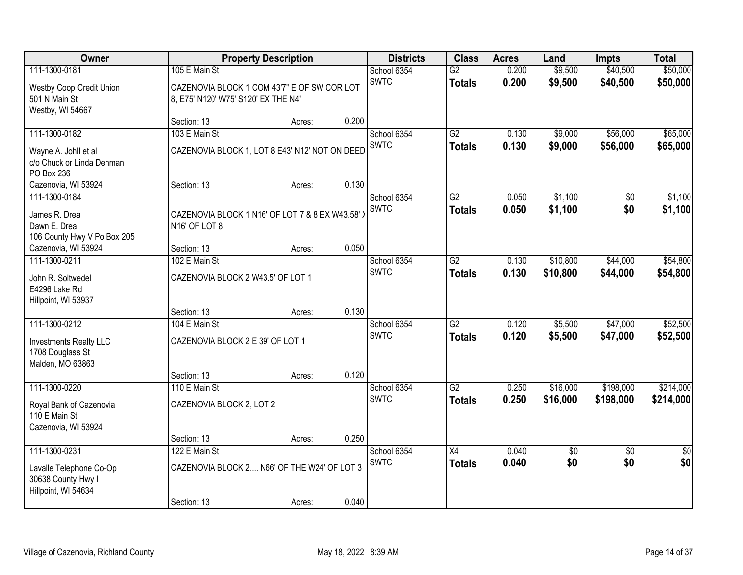| Owner                                                                |                                                                                    | <b>Property Description</b> |       | <b>Districts</b> | <b>Class</b>    | <b>Acres</b> | Land       | <b>Impts</b>    | <b>Total</b>    |
|----------------------------------------------------------------------|------------------------------------------------------------------------------------|-----------------------------|-------|------------------|-----------------|--------------|------------|-----------------|-----------------|
| 111-1300-0181                                                        | 105 E Main St                                                                      |                             |       | School 6354      | $\overline{G2}$ | 0.200        | \$9,500    | \$40,500        | \$50,000        |
| Westby Coop Credit Union<br>501 N Main St<br>Westby, WI 54667        | CAZENOVIA BLOCK 1 COM 43'7" E OF SW COR LOT<br>8, E75' N120' W75' S120' EX THE N4' |                             |       | <b>SWTC</b>      | <b>Totals</b>   | 0.200        | \$9,500    | \$40,500        | \$50,000        |
|                                                                      | Section: 13                                                                        | Acres:                      | 0.200 |                  |                 |              |            |                 |                 |
| 111-1300-0182                                                        | 103 E Main St                                                                      |                             |       | School 6354      | G2              | 0.130        | \$9,000    | \$56,000        | \$65,000        |
| Wayne A. Johll et al<br>c/o Chuck or Linda Denman<br>PO Box 236      | CAZENOVIA BLOCK 1, LOT 8 E43' N12' NOT ON DEED                                     |                             |       | SWTC             | <b>Totals</b>   | 0.130        | \$9,000    | \$56,000        | \$65,000        |
| Cazenovia, WI 53924                                                  | Section: 13                                                                        | Acres:                      | 0.130 |                  |                 |              |            |                 |                 |
| 111-1300-0184                                                        |                                                                                    |                             |       | School 6354      | $\overline{G2}$ | 0.050        | \$1,100    | \$0             | \$1,100         |
| James R. Drea<br>Dawn E. Drea<br>106 County Hwy V Po Box 205         | CAZENOVIA BLOCK 1 N16' OF LOT 7 & 8 EX W43.58')<br>N <sub>16</sub> ' OF LOT 8      |                             |       | <b>SWTC</b>      | <b>Totals</b>   | 0.050        | \$1,100    | \$0             | \$1,100         |
| Cazenovia, WI 53924                                                  | Section: 13                                                                        | Acres:                      | 0.050 |                  |                 |              |            |                 |                 |
| 111-1300-0211                                                        | 102 E Main St                                                                      |                             |       | School 6354      | $\overline{G2}$ | 0.130        | \$10,800   | \$44,000        | \$54,800        |
| John R. Soltwedel<br>E4296 Lake Rd<br>Hillpoint, WI 53937            | CAZENOVIA BLOCK 2 W43.5' OF LOT 1                                                  |                             |       | <b>SWTC</b>      | <b>Totals</b>   | 0.130        | \$10,800   | \$44,000        | \$54,800        |
|                                                                      | Section: 13                                                                        | Acres:                      | 0.130 |                  |                 |              |            |                 |                 |
| 111-1300-0212                                                        | 104 E Main St                                                                      |                             |       | School 6354      | $\overline{G2}$ | 0.120        | \$5,500    | \$47,000        | \$52,500        |
| Investments Realty LLC<br>1708 Douglass St<br>Malden, MO 63863       | CAZENOVIA BLOCK 2 E 39' OF LOT 1                                                   |                             |       | <b>SWTC</b>      | <b>Totals</b>   | 0.120        | \$5,500    | \$47,000        | \$52,500        |
|                                                                      | Section: 13                                                                        | Acres:                      | 0.120 |                  |                 |              |            |                 |                 |
| 111-1300-0220                                                        | 110 E Main St                                                                      |                             |       | School 6354      | $\overline{G2}$ | 0.250        | \$16,000   | \$198,000       | \$214,000       |
| Royal Bank of Cazenovia<br>110 E Main St<br>Cazenovia, WI 53924      | CAZENOVIA BLOCK 2, LOT 2                                                           |                             |       | <b>SWTC</b>      | <b>Totals</b>   | 0.250        | \$16,000   | \$198,000       | \$214,000       |
|                                                                      | Section: 13                                                                        | Acres:                      | 0.250 |                  |                 |              |            |                 |                 |
| 111-1300-0231                                                        | 122 E Main St                                                                      |                             |       | School 6354      | $\overline{X4}$ | 0.040        | $\sqrt{6}$ | $\overline{30}$ | $\overline{50}$ |
| Lavalle Telephone Co-Op<br>30638 County Hwy I<br>Hillpoint, WI 54634 | CAZENOVIA BLOCK 2 N66' OF THE W24' OF LOT 3                                        |                             |       | <b>SWTC</b>      | <b>Totals</b>   | 0.040        | \$0        | \$0             | \$0             |
|                                                                      | Section: 13                                                                        | Acres:                      | 0.040 |                  |                 |              |            |                 |                 |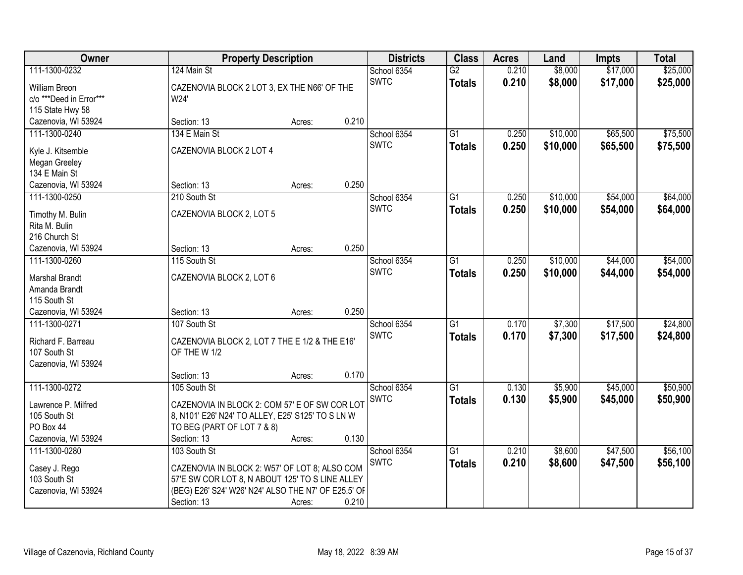| Owner                   |                                                     | <b>Property Description</b> |       | <b>Districts</b>           | <b>Class</b>    | <b>Acres</b> | Land     | <b>Impts</b> | <b>Total</b> |
|-------------------------|-----------------------------------------------------|-----------------------------|-------|----------------------------|-----------------|--------------|----------|--------------|--------------|
| 111-1300-0232           | 124 Main St                                         |                             |       | School 6354<br><b>SWTC</b> | $\overline{G2}$ | 0.210        | \$8,000  | \$17,000     | \$25,000     |
| William Breon           | CAZENOVIA BLOCK 2 LOT 3, EX THE N66' OF THE         |                             |       |                            | <b>Totals</b>   | 0.210        | \$8,000  | \$17,000     | \$25,000     |
| c/o ***Deed in Error*** | W24'                                                |                             |       |                            |                 |              |          |              |              |
| 115 State Hwy 58        |                                                     |                             |       |                            |                 |              |          |              |              |
| Cazenovia, WI 53924     | Section: 13                                         | Acres:                      | 0.210 |                            |                 |              |          |              |              |
| 111-1300-0240           | 134 E Main St                                       |                             |       | School 6354<br><b>SWTC</b> | $\overline{G1}$ | 0.250        | \$10,000 | \$65,500     | \$75,500     |
| Kyle J. Kitsemble       | CAZENOVIA BLOCK 2 LOT 4                             |                             |       |                            | <b>Totals</b>   | 0.250        | \$10,000 | \$65,500     | \$75,500     |
| Megan Greeley           |                                                     |                             |       |                            |                 |              |          |              |              |
| 134 E Main St           |                                                     |                             |       |                            |                 |              |          |              |              |
| Cazenovia, WI 53924     | Section: 13                                         | Acres:                      | 0.250 |                            |                 |              |          |              |              |
| 111-1300-0250           | 210 South St                                        |                             |       | School 6354                | G1              | 0.250        | \$10,000 | \$54,000     | \$64,000     |
| Timothy M. Bulin        | CAZENOVIA BLOCK 2, LOT 5                            |                             |       | <b>SWTC</b>                | <b>Totals</b>   | 0.250        | \$10,000 | \$54,000     | \$64,000     |
| Rita M. Bulin           |                                                     |                             |       |                            |                 |              |          |              |              |
| 216 Church St           |                                                     |                             |       |                            |                 |              |          |              |              |
| Cazenovia, WI 53924     | Section: 13                                         | Acres:                      | 0.250 |                            |                 |              |          |              |              |
| 111-1300-0260           | 115 South St                                        |                             |       | School 6354                | G1              | 0.250        | \$10,000 | \$44,000     | \$54,000     |
|                         |                                                     |                             |       | <b>SWTC</b>                | <b>Totals</b>   | 0.250        | \$10,000 | \$44,000     | \$54,000     |
| Marshal Brandt          | CAZENOVIA BLOCK 2, LOT 6                            |                             |       |                            |                 |              |          |              |              |
| Amanda Brandt           |                                                     |                             |       |                            |                 |              |          |              |              |
| 115 South St            |                                                     |                             |       |                            |                 |              |          |              |              |
| Cazenovia, WI 53924     | Section: 13                                         | Acres:                      | 0.250 |                            |                 |              |          |              |              |
| 111-1300-0271           | 107 South St                                        |                             |       | School 6354                | $\overline{G1}$ | 0.170        | \$7,300  | \$17,500     | \$24,800     |
| Richard F. Barreau      | CAZENOVIA BLOCK 2, LOT 7 THE E 1/2 & THE E16'       |                             |       | <b>SWTC</b>                | <b>Totals</b>   | 0.170        | \$7,300  | \$17,500     | \$24,800     |
| 107 South St            | OF THE W 1/2                                        |                             |       |                            |                 |              |          |              |              |
| Cazenovia, WI 53924     |                                                     |                             |       |                            |                 |              |          |              |              |
|                         | Section: 13                                         | Acres:                      | 0.170 |                            |                 |              |          |              |              |
| 111-1300-0272           | 105 South St                                        |                             |       | School 6354                | $\overline{G1}$ | 0.130        | \$5,900  | \$45,000     | \$50,900     |
| Lawrence P. Milfred     | CAZENOVIA IN BLOCK 2: COM 57' E OF SW COR LOT       |                             |       | <b>SWTC</b>                | <b>Totals</b>   | 0.130        | \$5,900  | \$45,000     | \$50,900     |
| 105 South St            | 8, N101' E26' N24' TO ALLEY, E25' S125' TO S LN W   |                             |       |                            |                 |              |          |              |              |
| PO Box 44               | TO BEG (PART OF LOT 7 & 8)                          |                             |       |                            |                 |              |          |              |              |
| Cazenovia, WI 53924     | Section: 13                                         | Acres:                      | 0.130 |                            |                 |              |          |              |              |
| 111-1300-0280           | 103 South St                                        |                             |       | School 6354                | $\overline{G1}$ | 0.210        | \$8,600  | \$47,500     | \$56,100     |
|                         |                                                     |                             |       | <b>SWTC</b>                | <b>Totals</b>   | 0.210        | \$8,600  | \$47,500     | \$56,100     |
| Casey J. Rego           | CAZENOVIA IN BLOCK 2: W57' OF LOT 8; ALSO COM       |                             |       |                            |                 |              |          |              |              |
| 103 South St            | 57'E SW COR LOT 8, N ABOUT 125' TO S LINE ALLEY     |                             |       |                            |                 |              |          |              |              |
| Cazenovia, WI 53924     | (BEG) E26' S24' W26' N24' ALSO THE N7' OF E25.5' OF |                             |       |                            |                 |              |          |              |              |
|                         | Section: 13                                         | Acres:                      | 0.210 |                            |                 |              |          |              |              |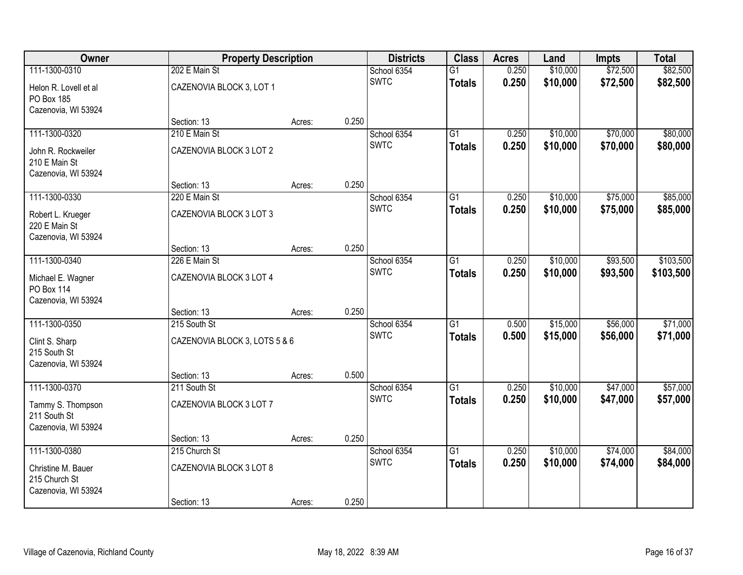| Owner                               | <b>Property Description</b>   |        |       | <b>Districts</b> | <b>Class</b>    | <b>Acres</b> | Land     | <b>Impts</b> | <b>Total</b> |
|-------------------------------------|-------------------------------|--------|-------|------------------|-----------------|--------------|----------|--------------|--------------|
| 111-1300-0310                       | 202 E Main St                 |        |       | School 6354      | $\overline{G1}$ | 0.250        | \$10,000 | \$72,500     | \$82,500     |
| Helon R. Lovell et al               | CAZENOVIA BLOCK 3, LOT 1      |        |       | <b>SWTC</b>      | <b>Totals</b>   | 0.250        | \$10,000 | \$72,500     | \$82,500     |
| PO Box 185                          |                               |        |       |                  |                 |              |          |              |              |
| Cazenovia, WI 53924                 |                               |        |       |                  |                 |              |          |              |              |
| 111-1300-0320                       | Section: 13<br>210 E Main St  | Acres: | 0.250 | School 6354      | $\overline{G1}$ | 0.250        | \$10,000 | \$70,000     | \$80,000     |
|                                     |                               |        |       | <b>SWTC</b>      |                 | 0.250        | \$10,000 | \$70,000     | \$80,000     |
| John R. Rockweiler                  | CAZENOVIA BLOCK 3 LOT 2       |        |       |                  | <b>Totals</b>   |              |          |              |              |
| 210 E Main St                       |                               |        |       |                  |                 |              |          |              |              |
| Cazenovia, WI 53924                 | Section: 13                   | Acres: | 0.250 |                  |                 |              |          |              |              |
| 111-1300-0330                       | 220 E Main St                 |        |       | School 6354      | G1              | 0.250        | \$10,000 | \$75,000     | \$85,000     |
|                                     |                               |        |       | <b>SWTC</b>      | <b>Totals</b>   | 0.250        | \$10,000 | \$75,000     | \$85,000     |
| Robert L. Krueger<br>220 E Main St  | CAZENOVIA BLOCK 3 LOT 3       |        |       |                  |                 |              |          |              |              |
| Cazenovia, WI 53924                 |                               |        |       |                  |                 |              |          |              |              |
|                                     | Section: 13                   | Acres: | 0.250 |                  |                 |              |          |              |              |
| 111-1300-0340                       | 226 E Main St                 |        |       | School 6354      | G1              | 0.250        | \$10,000 | \$93,500     | \$103,500    |
| Michael E. Wagner                   | CAZENOVIA BLOCK 3 LOT 4       |        |       | <b>SWTC</b>      | <b>Totals</b>   | 0.250        | \$10,000 | \$93,500     | \$103,500    |
| PO Box 114                          |                               |        |       |                  |                 |              |          |              |              |
| Cazenovia, WI 53924                 |                               |        |       |                  |                 |              |          |              |              |
|                                     | Section: 13                   | Acres: | 0.250 |                  |                 |              |          |              |              |
| 111-1300-0350                       | 215 South St                  |        |       | School 6354      | $\overline{G1}$ | 0.500        | \$15,000 | \$56,000     | \$71,000     |
| Clint S. Sharp                      | CAZENOVIA BLOCK 3, LOTS 5 & 6 |        |       | <b>SWTC</b>      | <b>Totals</b>   | 0.500        | \$15,000 | \$56,000     | \$71,000     |
| 215 South St                        |                               |        |       |                  |                 |              |          |              |              |
| Cazenovia, WI 53924                 |                               |        |       |                  |                 |              |          |              |              |
| 111-1300-0370                       | Section: 13<br>211 South St   | Acres: | 0.500 | School 6354      | $\overline{G1}$ | 0.250        | \$10,000 | \$47,000     | \$57,000     |
|                                     |                               |        |       | <b>SWTC</b>      | <b>Totals</b>   | 0.250        | \$10,000 | \$47,000     | \$57,000     |
| Tammy S. Thompson                   | CAZENOVIA BLOCK 3 LOT 7       |        |       |                  |                 |              |          |              |              |
| 211 South St<br>Cazenovia, WI 53924 |                               |        |       |                  |                 |              |          |              |              |
|                                     | Section: 13                   | Acres: | 0.250 |                  |                 |              |          |              |              |
| 111-1300-0380                       | 215 Church St                 |        |       | School 6354      | $\overline{G1}$ | 0.250        | \$10,000 | \$74,000     | \$84,000     |
| Christine M. Bauer                  | CAZENOVIA BLOCK 3 LOT 8       |        |       | <b>SWTC</b>      | <b>Totals</b>   | 0.250        | \$10,000 | \$74,000     | \$84,000     |
| 215 Church St                       |                               |        |       |                  |                 |              |          |              |              |
| Cazenovia, WI 53924                 |                               |        |       |                  |                 |              |          |              |              |
|                                     | Section: 13                   | Acres: | 0.250 |                  |                 |              |          |              |              |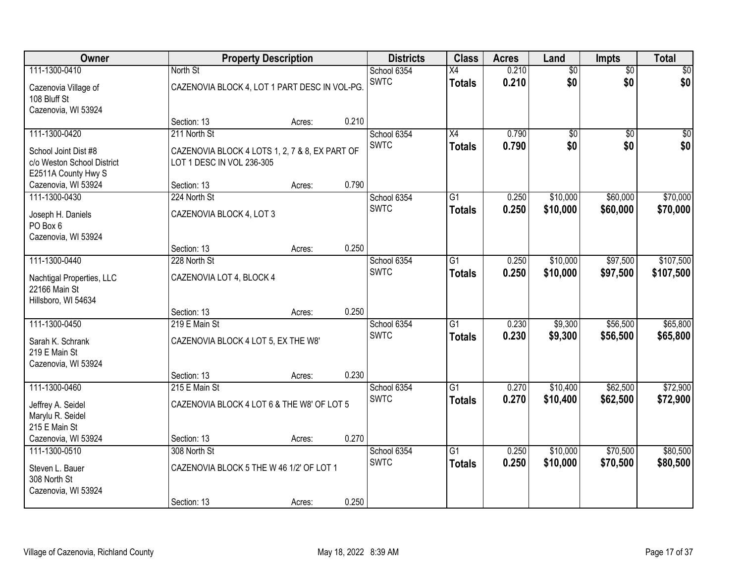| Owner                                                                     |                                                                             | <b>Property Description</b> |       | <b>Districts</b> | <b>Class</b>    | <b>Acres</b> | Land            | <b>Impts</b>    | <b>Total</b>    |
|---------------------------------------------------------------------------|-----------------------------------------------------------------------------|-----------------------------|-------|------------------|-----------------|--------------|-----------------|-----------------|-----------------|
| 111-1300-0410                                                             | North St                                                                    |                             |       | School 6354      | X4              | 0.210        | $\overline{60}$ | $\overline{50}$ | \$0             |
| Cazenovia Village of<br>108 Bluff St<br>Cazenovia, WI 53924               | CAZENOVIA BLOCK 4, LOT 1 PART DESC IN VOL-PG.                               |                             |       | <b>SWTC</b>      | <b>Totals</b>   | 0.210        | \$0             | \$0             | \$0             |
|                                                                           | Section: 13                                                                 | Acres:                      | 0.210 |                  |                 |              |                 |                 |                 |
| 111-1300-0420                                                             | 211 North St                                                                |                             |       | School 6354      | X4              | 0.790        | $\overline{60}$ | $\overline{30}$ | $\overline{50}$ |
| School Joint Dist #8<br>c/o Weston School District<br>E2511A County Hwy S | CAZENOVIA BLOCK 4 LOTS 1, 2, 7 & 8, EX PART OF<br>LOT 1 DESC IN VOL 236-305 |                             |       | <b>SWTC</b>      | <b>Totals</b>   | 0.790        | \$0             | \$0             | \$0             |
| Cazenovia, WI 53924                                                       | Section: 13                                                                 | Acres:                      | 0.790 |                  |                 |              |                 |                 |                 |
| 111-1300-0430                                                             | 224 North St                                                                |                             |       | School 6354      | G1              | 0.250        | \$10,000        | \$60,000        | \$70,000        |
| Joseph H. Daniels<br>PO Box 6<br>Cazenovia, WI 53924                      | CAZENOVIA BLOCK 4, LOT 3                                                    |                             |       | <b>SWTC</b>      | <b>Totals</b>   | 0.250        | \$10,000        | \$60,000        | \$70,000        |
|                                                                           | Section: 13                                                                 | Acres:                      | 0.250 |                  |                 |              |                 |                 |                 |
| 111-1300-0440                                                             | 228 North St                                                                |                             |       | School 6354      | G1              | 0.250        | \$10,000        | \$97,500        | \$107,500       |
| Nachtigal Properties, LLC<br>22166 Main St<br>Hillsboro, WI 54634         | CAZENOVIA LOT 4, BLOCK 4                                                    |                             |       | <b>SWTC</b>      | <b>Totals</b>   | 0.250        | \$10,000        | \$97,500        | \$107,500       |
|                                                                           | Section: 13                                                                 | Acres:                      | 0.250 |                  |                 |              |                 |                 |                 |
| 111-1300-0450                                                             | 219 E Main St                                                               |                             |       | School 6354      | $\overline{G1}$ | 0.230        | \$9,300         | \$56,500        | \$65,800        |
| Sarah K. Schrank<br>219 E Main St<br>Cazenovia, WI 53924                  | CAZENOVIA BLOCK 4 LOT 5, EX THE W8'                                         |                             |       | <b>SWTC</b>      | <b>Totals</b>   | 0.230        | \$9,300         | \$56,500        | \$65,800        |
|                                                                           | Section: 13                                                                 | Acres:                      | 0.230 |                  |                 |              |                 |                 |                 |
| 111-1300-0460                                                             | 215 E Main St                                                               |                             |       | School 6354      | $\overline{G1}$ | 0.270        | \$10,400        | \$62,500        | \$72,900        |
| Jeffrey A. Seidel<br>Marylu R. Seidel<br>215 E Main St                    | CAZENOVIA BLOCK 4 LOT 6 & THE W8' OF LOT 5                                  |                             |       | <b>SWTC</b>      | <b>Totals</b>   | 0.270        | \$10,400        | \$62,500        | \$72,900        |
| Cazenovia, WI 53924                                                       | Section: 13                                                                 | Acres:                      | 0.270 |                  |                 |              |                 |                 |                 |
| 111-1300-0510                                                             | 308 North St                                                                |                             |       | School 6354      | $\overline{G1}$ | 0.250        | \$10,000        | \$70,500        | \$80,500        |
| Steven L. Bauer<br>308 North St<br>Cazenovia, WI 53924                    | CAZENOVIA BLOCK 5 THE W 46 1/2' OF LOT 1                                    |                             |       | <b>SWTC</b>      | <b>Totals</b>   | 0.250        | \$10,000        | \$70,500        | \$80,500        |
|                                                                           | Section: 13                                                                 | Acres:                      | 0.250 |                  |                 |              |                 |                 |                 |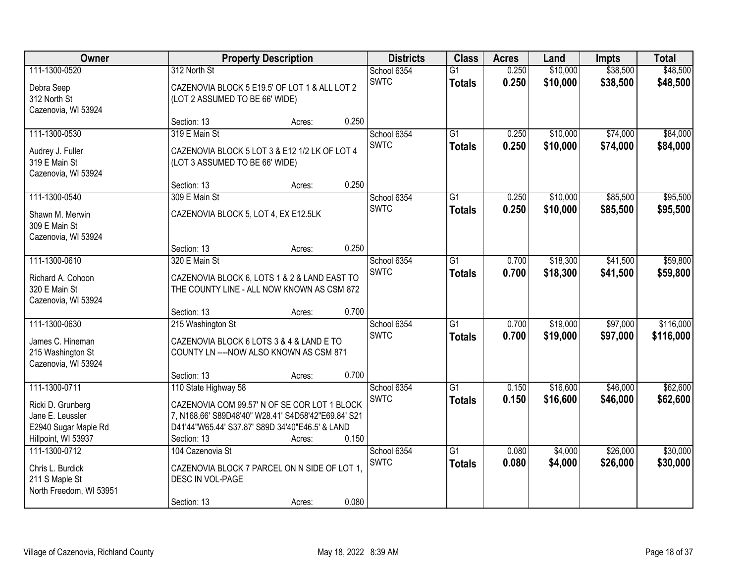| Owner                                                                                | <b>Property Description</b>                                                                                                                                                                   |                 | <b>Districts</b>           | <b>Class</b>                     | <b>Acres</b>   | Land                 | <b>Impts</b>         | <b>Total</b>           |
|--------------------------------------------------------------------------------------|-----------------------------------------------------------------------------------------------------------------------------------------------------------------------------------------------|-----------------|----------------------------|----------------------------------|----------------|----------------------|----------------------|------------------------|
| 111-1300-0520<br>Debra Seep<br>312 North St<br>Cazenovia, WI 53924                   | 312 North St<br>CAZENOVIA BLOCK 5 E19.5' OF LOT 1 & ALL LOT 2<br>(LOT 2 ASSUMED TO BE 66' WIDE)                                                                                               |                 | School 6354<br><b>SWTC</b> | $\overline{G1}$<br><b>Totals</b> | 0.250<br>0.250 | \$10,000<br>\$10,000 | \$38,500<br>\$38,500 | \$48,500<br>\$48,500   |
|                                                                                      | Section: 13                                                                                                                                                                                   | 0.250<br>Acres: |                            |                                  |                |                      |                      |                        |
| 111-1300-0530<br>Audrey J. Fuller<br>319 E Main St<br>Cazenovia, WI 53924            | 319 E Main St<br>CAZENOVIA BLOCK 5 LOT 3 & E12 1/2 LK OF LOT 4<br>(LOT 3 ASSUMED TO BE 66' WIDE)                                                                                              |                 | School 6354<br><b>SWTC</b> | $\overline{G1}$<br><b>Totals</b> | 0.250<br>0.250 | \$10,000<br>\$10,000 | \$74,000<br>\$74,000 | \$84,000<br>\$84,000   |
|                                                                                      | Section: 13                                                                                                                                                                                   | 0.250<br>Acres: |                            |                                  |                |                      |                      |                        |
| 111-1300-0540<br>Shawn M. Merwin<br>309 E Main St<br>Cazenovia, WI 53924             | 309 E Main St<br>CAZENOVIA BLOCK 5, LOT 4, EX E12.5LK                                                                                                                                         |                 | School 6354<br><b>SWTC</b> | G1<br><b>Totals</b>              | 0.250<br>0.250 | \$10,000<br>\$10,000 | \$85,500<br>\$85,500 | \$95,500<br>\$95,500   |
|                                                                                      | Section: 13                                                                                                                                                                                   | 0.250<br>Acres: |                            |                                  |                |                      |                      |                        |
| 111-1300-0610<br>Richard A. Cohoon<br>320 E Main St<br>Cazenovia, WI 53924           | 320 E Main St<br>CAZENOVIA BLOCK 6, LOTS 1 & 2 & LAND EAST TO<br>THE COUNTY LINE - ALL NOW KNOWN AS CSM 872                                                                                   |                 | School 6354<br><b>SWTC</b> | G1<br><b>Totals</b>              | 0.700<br>0.700 | \$18,300<br>\$18,300 | \$41,500<br>\$41,500 | \$59,800<br>\$59,800   |
|                                                                                      | Section: 13                                                                                                                                                                                   | 0.700<br>Acres: |                            |                                  |                |                      |                      |                        |
| 111-1300-0630<br>James C. Hineman<br>215 Washington St<br>Cazenovia, WI 53924        | 215 Washington St<br>CAZENOVIA BLOCK 6 LOTS 3 & 4 & LAND E TO<br>COUNTY LN ---- NOW ALSO KNOWN AS CSM 871                                                                                     |                 | School 6354<br><b>SWTC</b> | $\overline{G1}$<br><b>Totals</b> | 0.700<br>0.700 | \$19,000<br>\$19,000 | \$97,000<br>\$97,000 | \$116,000<br>\$116,000 |
| 111-1300-0711                                                                        | Section: 13                                                                                                                                                                                   | 0.700<br>Acres: | School 6354                | $\overline{G1}$                  | 0.150          | \$16,600             | \$46,000             | \$62,600               |
| Ricki D. Grunberg<br>Jane E. Leussler<br>E2940 Sugar Maple Rd<br>Hillpoint, WI 53937 | 110 State Highway 58<br>CAZENOVIA COM 99.57' N OF SE COR LOT 1 BLOCK<br>7, N168.66' S89D48'40" W28.41' S4D58'42"E69.84' S21<br>D41'44"W65.44' S37.87' S89D 34'40"E46.5' & LAND<br>Section: 13 | 0.150<br>Acres: | <b>SWTC</b>                | <b>Totals</b>                    | 0.150          | \$16,600             | \$46,000             | \$62,600               |
| 111-1300-0712<br>Chris L. Burdick<br>211 S Maple St<br>North Freedom, WI 53951       | 104 Cazenovia St<br>CAZENOVIA BLOCK 7 PARCEL ON N SIDE OF LOT 1,<br>DESC IN VOL-PAGE<br>Section: 13                                                                                           | 0.080<br>Acres: | School 6354<br><b>SWTC</b> | $\overline{G1}$<br><b>Totals</b> | 0.080<br>0.080 | \$4,000<br>\$4,000   | \$26,000<br>\$26,000 | \$30,000<br>\$30,000   |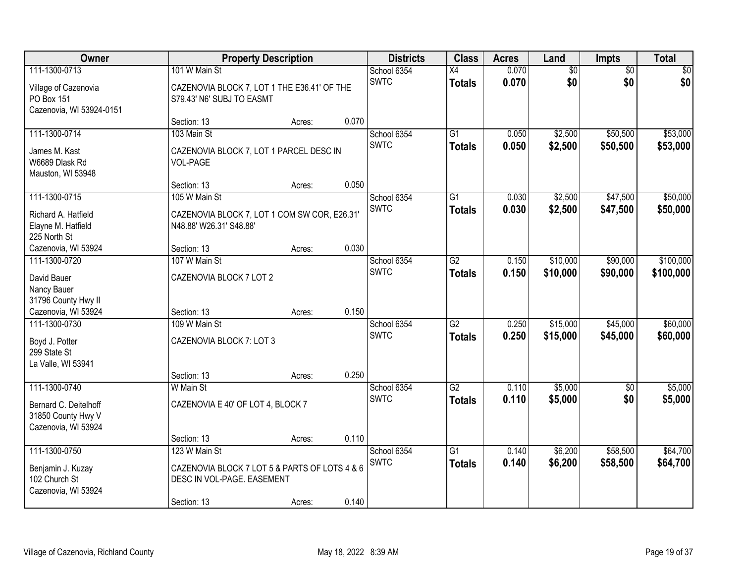| Owner                                                                           |                                                                                                             | <b>Property Description</b> |       | <b>Districts</b>           | <b>Class</b>                     | <b>Acres</b>   | Land                   | <b>Impts</b>           | <b>Total</b>           |
|---------------------------------------------------------------------------------|-------------------------------------------------------------------------------------------------------------|-----------------------------|-------|----------------------------|----------------------------------|----------------|------------------------|------------------------|------------------------|
| 111-1300-0713<br>Village of Cazenovia<br>PO Box 151<br>Cazenovia, WI 53924-0151 | 101 W Main St<br>CAZENOVIA BLOCK 7, LOT 1 THE E36.41' OF THE<br>S79.43' N6' SUBJ TO EASMT                   |                             |       | School 6354<br><b>SWTC</b> | $\overline{X4}$<br><b>Totals</b> | 0.070<br>0.070 | $\overline{50}$<br>\$0 | $\overline{50}$<br>\$0 | $\sqrt{50}$<br>\$0     |
|                                                                                 | Section: 13                                                                                                 | Acres:                      | 0.070 |                            |                                  |                |                        |                        |                        |
| 111-1300-0714<br>James M. Kast<br>W6689 Dlask Rd<br>Mauston, WI 53948           | 103 Main St<br>CAZENOVIA BLOCK 7, LOT 1 PARCEL DESC IN<br>VOL-PAGE                                          |                             |       | School 6354<br><b>SWTC</b> | $\overline{G1}$<br><b>Totals</b> | 0.050<br>0.050 | \$2,500<br>\$2,500     | \$50,500<br>\$50,500   | \$53,000<br>\$53,000   |
|                                                                                 | Section: 13                                                                                                 | Acres:                      | 0.050 |                            |                                  |                |                        |                        |                        |
| 111-1300-0715<br>Richard A. Hatfield<br>Elayne M. Hatfield<br>225 North St      | 105 W Main St<br>CAZENOVIA BLOCK 7, LOT 1 COM SW COR, E26.31'<br>N48.88' W26.31' S48.88'                    |                             |       | School 6354<br><b>SWTC</b> | G1<br><b>Totals</b>              | 0.030<br>0.030 | \$2,500<br>\$2,500     | \$47,500<br>\$47,500   | \$50,000<br>\$50,000   |
| Cazenovia, WI 53924                                                             | Section: 13                                                                                                 | Acres:                      | 0.030 |                            |                                  |                |                        |                        |                        |
| 111-1300-0720<br>David Bauer<br>Nancy Bauer<br>31796 County Hwy II              | 107 W Main St<br>CAZENOVIA BLOCK 7 LOT 2                                                                    |                             |       | School 6354<br><b>SWTC</b> | $\overline{G2}$<br><b>Totals</b> | 0.150<br>0.150 | \$10,000<br>\$10,000   | \$90,000<br>\$90,000   | \$100,000<br>\$100,000 |
| Cazenovia, WI 53924                                                             | Section: 13                                                                                                 | Acres:                      | 0.150 |                            |                                  |                |                        |                        |                        |
| 111-1300-0730<br>Boyd J. Potter<br>299 State St<br>La Valle, WI 53941           | 109 W Main St<br>CAZENOVIA BLOCK 7: LOT 3<br>Section: 13                                                    | Acres:                      | 0.250 | School 6354<br><b>SWTC</b> | $\overline{G2}$<br><b>Totals</b> | 0.250<br>0.250 | \$15,000<br>\$15,000   | \$45,000<br>\$45,000   | \$60,000<br>\$60,000   |
| 111-1300-0740                                                                   | W Main St                                                                                                   |                             |       | School 6354                | $\overline{G2}$                  | 0.110          | \$5,000                | $\overline{60}$        | \$5,000                |
| Bernard C. Deitelhoff<br>31850 County Hwy V<br>Cazenovia, WI 53924              | CAZENOVIA E 40' OF LOT 4, BLOCK 7                                                                           |                             |       | <b>SWTC</b>                | <b>Totals</b>                    | 0.110          | \$5,000                | \$0                    | \$5,000                |
|                                                                                 | Section: 13                                                                                                 | Acres:                      | 0.110 |                            |                                  |                |                        |                        |                        |
| 111-1300-0750<br>Benjamin J. Kuzay<br>102 Church St<br>Cazenovia, WI 53924      | 123 W Main St<br>CAZENOVIA BLOCK 7 LOT 5 & PARTS OF LOTS 4 & 6<br>DESC IN VOL-PAGE. EASEMENT<br>Section: 13 | Acres:                      | 0.140 | School 6354<br><b>SWTC</b> | $\overline{G1}$<br><b>Totals</b> | 0.140<br>0.140 | \$6,200<br>\$6,200     | \$58,500<br>\$58,500   | \$64,700<br>\$64,700   |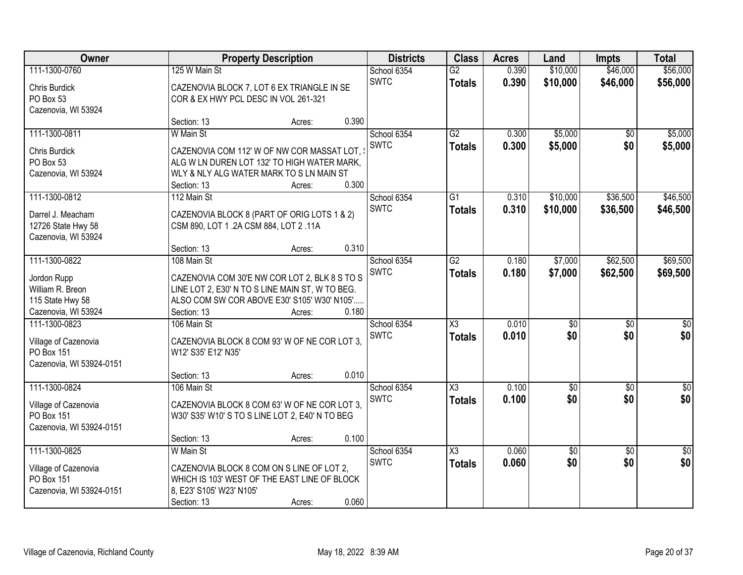| Owner                    |                                                                                           | <b>Property Description</b> |       | <b>Districts</b> | <b>Class</b>           | <b>Acres</b> | Land            | <b>Impts</b>    | <b>Total</b>     |
|--------------------------|-------------------------------------------------------------------------------------------|-----------------------------|-------|------------------|------------------------|--------------|-----------------|-----------------|------------------|
| 111-1300-0760            | 125 W Main St                                                                             |                             |       | School 6354      | $\overline{G2}$        | 0.390        | \$10,000        | \$46,000        | \$56,000         |
| Chris Burdick            | CAZENOVIA BLOCK 7, LOT 6 EX TRIANGLE IN SE                                                |                             |       | <b>SWTC</b>      | <b>Totals</b>          | 0.390        | \$10,000        | \$46,000        | \$56,000         |
| PO Box 53                | COR & EX HWY PCL DESC IN VOL 261-321                                                      |                             |       |                  |                        |              |                 |                 |                  |
| Cazenovia, WI 53924      |                                                                                           |                             |       |                  |                        |              |                 |                 |                  |
|                          | Section: 13                                                                               | Acres:                      | 0.390 |                  |                        |              |                 |                 |                  |
| 111-1300-0811            | W Main St                                                                                 |                             |       | School 6354      | G2                     | 0.300        | \$5,000         | $\overline{50}$ | \$5,000          |
| <b>Chris Burdick</b>     |                                                                                           |                             |       | <b>SWTC</b>      | <b>Totals</b>          | 0.300        | \$5,000         | \$0             | \$5,000          |
| PO Box 53                | CAZENOVIA COM 112' W OF NW COR MASSAT LOT,<br>ALG W LN DUREN LOT 132' TO HIGH WATER MARK, |                             |       |                  |                        |              |                 |                 |                  |
| Cazenovia, WI 53924      | WLY & NLY ALG WATER MARK TO S LN MAIN ST                                                  |                             |       |                  |                        |              |                 |                 |                  |
|                          | Section: 13                                                                               | Acres:                      | 0.300 |                  |                        |              |                 |                 |                  |
| 111-1300-0812            | 112 Main St                                                                               |                             |       | School 6354      | G1                     | 0.310        | \$10,000        | \$36,500        | \$46,500         |
|                          |                                                                                           |                             |       | <b>SWTC</b>      |                        |              |                 |                 |                  |
| Darrel J. Meacham        | CAZENOVIA BLOCK 8 (PART OF ORIG LOTS 1 & 2)                                               |                             |       |                  | <b>Totals</b>          | 0.310        | \$10,000        | \$36,500        | \$46,500         |
| 12726 State Hwy 58       | CSM 890, LOT 1 .2A CSM 884, LOT 2 .11A                                                    |                             |       |                  |                        |              |                 |                 |                  |
| Cazenovia, WI 53924      |                                                                                           |                             |       |                  |                        |              |                 |                 |                  |
|                          | Section: 13                                                                               | Acres:                      | 0.310 |                  |                        |              |                 |                 |                  |
| 111-1300-0822            | 108 Main St                                                                               |                             |       | School 6354      | $\overline{G2}$        | 0.180        | \$7,000         | \$62,500        | \$69,500         |
| Jordon Rupp              | CAZENOVIA COM 30'E NW COR LOT 2, BLK 8 S TO S                                             |                             |       | <b>SWTC</b>      | <b>Totals</b>          | 0.180        | \$7,000         | \$62,500        | \$69,500         |
| William R. Breon         | LINE LOT 2, E30' N TO S LINE MAIN ST, W TO BEG.                                           |                             |       |                  |                        |              |                 |                 |                  |
| 115 State Hwy 58         | ALSO COM SW COR ABOVE E30' S105' W30' N105'                                               |                             |       |                  |                        |              |                 |                 |                  |
| Cazenovia, WI 53924      | Section: 13                                                                               | Acres:                      | 0.180 |                  |                        |              |                 |                 |                  |
| 111-1300-0823            | 106 Main St                                                                               |                             |       | School 6354      | $\overline{\chi_3}$    | 0.010        | $\overline{50}$ | $\overline{30}$ | $\overline{30}$  |
|                          |                                                                                           |                             |       |                  |                        |              |                 |                 |                  |
| Village of Cazenovia     | CAZENOVIA BLOCK 8 COM 93' W OF NE COR LOT 3,                                              |                             |       | <b>SWTC</b>      | <b>Totals</b>          | 0.010        | \$0             | \$0             | \$0              |
| PO Box 151               | W12' S35' E12' N35'                                                                       |                             |       |                  |                        |              |                 |                 |                  |
| Cazenovia, WI 53924-0151 |                                                                                           |                             |       |                  |                        |              |                 |                 |                  |
|                          | Section: 13                                                                               | Acres:                      | 0.010 |                  |                        |              |                 |                 |                  |
| 111-1300-0824            | 106 Main St                                                                               |                             |       | School 6354      | $\overline{\chi_3}$    | 0.100        | $\overline{60}$ | $\overline{50}$ | $\overline{\$0}$ |
| Village of Cazenovia     | CAZENOVIA BLOCK 8 COM 63' W OF NE COR LOT 3.                                              |                             |       | <b>SWTC</b>      | <b>Totals</b>          | 0.100        | \$0             | \$0             | \$0              |
| PO Box 151               | W30' S35' W10' S TO S LINE LOT 2, E40' N TO BEG                                           |                             |       |                  |                        |              |                 |                 |                  |
| Cazenovia, WI 53924-0151 |                                                                                           |                             |       |                  |                        |              |                 |                 |                  |
|                          | Section: 13                                                                               | Acres:                      | 0.100 |                  |                        |              |                 |                 |                  |
| 111-1300-0825            | W Main St                                                                                 |                             |       | School 6354      | $\overline{\text{X3}}$ | 0.060        | $\overline{50}$ | $\overline{50}$ | $\frac{1}{30}$   |
|                          |                                                                                           |                             |       | <b>SWTC</b>      |                        | 0.060        | \$0             | \$0             | \$0              |
| Village of Cazenovia     | CAZENOVIA BLOCK 8 COM ON S LINE OF LOT 2,                                                 |                             |       |                  | <b>Totals</b>          |              |                 |                 |                  |
| PO Box 151               | WHICH IS 103' WEST OF THE EAST LINE OF BLOCK                                              |                             |       |                  |                        |              |                 |                 |                  |
| Cazenovia, WI 53924-0151 | 8, E23' S105' W23' N105'                                                                  |                             |       |                  |                        |              |                 |                 |                  |
|                          | Section: 13                                                                               | Acres:                      | 0.060 |                  |                        |              |                 |                 |                  |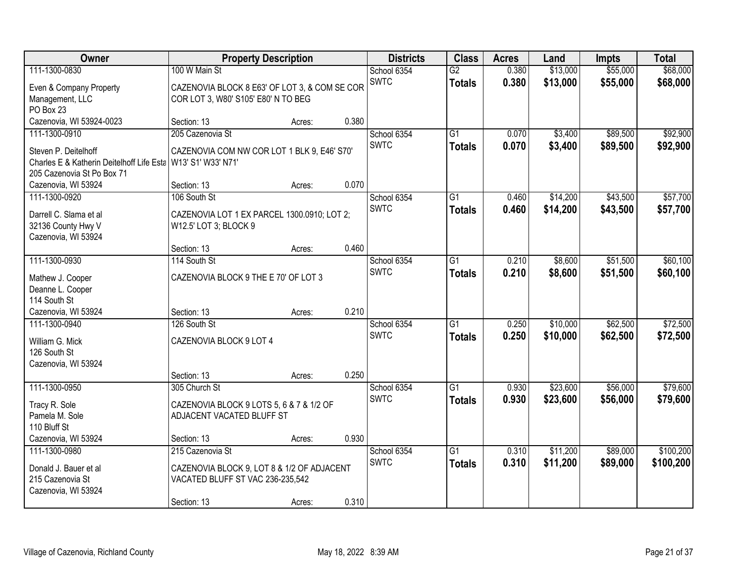| Owner                                     |                                               | <b>Property Description</b> |       | <b>Districts</b> | <b>Class</b>    | <b>Acres</b> | Land     | <b>Impts</b> | <b>Total</b> |
|-------------------------------------------|-----------------------------------------------|-----------------------------|-------|------------------|-----------------|--------------|----------|--------------|--------------|
| 111-1300-0830                             | 100 W Main St                                 |                             |       | School 6354      | $\overline{G2}$ | 0.380        | \$13,000 | \$55,000     | \$68,000     |
| Even & Company Property                   | CAZENOVIA BLOCK 8 E63' OF LOT 3, & COM SE COR |                             |       | <b>SWTC</b>      | <b>Totals</b>   | 0.380        | \$13,000 | \$55,000     | \$68,000     |
| Management, LLC                           | COR LOT 3, W80' S105' E80' N TO BEG           |                             |       |                  |                 |              |          |              |              |
| PO Box 23                                 |                                               |                             |       |                  |                 |              |          |              |              |
| Cazenovia, WI 53924-0023                  | Section: 13                                   | Acres:                      | 0.380 |                  |                 |              |          |              |              |
| 111-1300-0910                             | 205 Cazenovia St                              |                             |       | School 6354      | $\overline{G1}$ | 0.070        | \$3,400  | \$89,500     | \$92,900     |
| Steven P. Deitelhoff                      | CAZENOVIA COM NW COR LOT 1 BLK 9, E46' S70'   |                             |       | <b>SWTC</b>      | <b>Totals</b>   | 0.070        | \$3,400  | \$89,500     | \$92,900     |
| Charles E & Katherin Deitelhoff Life Esta | W13' S1' W33' N71'                            |                             |       |                  |                 |              |          |              |              |
| 205 Cazenovia St Po Box 71                |                                               |                             |       |                  |                 |              |          |              |              |
| Cazenovia, WI 53924                       | Section: 13                                   | Acres:                      | 0.070 |                  |                 |              |          |              |              |
| 111-1300-0920                             | 106 South St                                  |                             |       | School 6354      | G1              | 0.460        | \$14,200 | \$43,500     | \$57,700     |
| Darrell C. Slama et al                    | CAZENOVIA LOT 1 EX PARCEL 1300.0910; LOT 2;   |                             |       | <b>SWTC</b>      | <b>Totals</b>   | 0.460        | \$14,200 | \$43,500     | \$57,700     |
| 32136 County Hwy V                        | W12.5' LOT 3; BLOCK 9                         |                             |       |                  |                 |              |          |              |              |
| Cazenovia, WI 53924                       |                                               |                             |       |                  |                 |              |          |              |              |
|                                           | Section: 13                                   | Acres:                      | 0.460 |                  |                 |              |          |              |              |
| 111-1300-0930                             | 114 South St                                  |                             |       | School 6354      | G1              | 0.210        | \$8,600  | \$51,500     | \$60,100     |
| Mathew J. Cooper                          | CAZENOVIA BLOCK 9 THE E 70' OF LOT 3          |                             |       | <b>SWTC</b>      | <b>Totals</b>   | 0.210        | \$8,600  | \$51,500     | \$60,100     |
| Deanne L. Cooper                          |                                               |                             |       |                  |                 |              |          |              |              |
| 114 South St                              |                                               |                             |       |                  |                 |              |          |              |              |
| Cazenovia, WI 53924                       | Section: 13                                   | Acres:                      | 0.210 |                  |                 |              |          |              |              |
| 111-1300-0940                             | 126 South St                                  |                             |       | School 6354      | $\overline{G1}$ | 0.250        | \$10,000 | \$62,500     | \$72,500     |
| William G. Mick                           | CAZENOVIA BLOCK 9 LOT 4                       |                             |       | <b>SWTC</b>      | <b>Totals</b>   | 0.250        | \$10,000 | \$62,500     | \$72,500     |
| 126 South St                              |                                               |                             |       |                  |                 |              |          |              |              |
| Cazenovia, WI 53924                       |                                               |                             |       |                  |                 |              |          |              |              |
|                                           | Section: 13                                   | Acres:                      | 0.250 |                  |                 |              |          |              |              |
| 111-1300-0950                             | 305 Church St                                 |                             |       | School 6354      | $\overline{G1}$ | 0.930        | \$23,600 | \$56,000     | \$79,600     |
| Tracy R. Sole                             | CAZENOVIA BLOCK 9 LOTS 5, 6 & 7 & 1/2 OF      |                             |       | <b>SWTC</b>      | <b>Totals</b>   | 0.930        | \$23,600 | \$56,000     | \$79,600     |
| Pamela M. Sole                            | ADJACENT VACATED BLUFF ST                     |                             |       |                  |                 |              |          |              |              |
| 110 Bluff St                              |                                               |                             |       |                  |                 |              |          |              |              |
| Cazenovia, WI 53924                       | Section: 13                                   | Acres:                      | 0.930 |                  |                 |              |          |              |              |
| 111-1300-0980                             | 215 Cazenovia St                              |                             |       | School 6354      | $\overline{G1}$ | 0.310        | \$11,200 | \$89,000     | \$100,200    |
| Donald J. Bauer et al                     | CAZENOVIA BLOCK 9, LOT 8 & 1/2 OF ADJACENT    |                             |       | <b>SWTC</b>      | <b>Totals</b>   | 0.310        | \$11,200 | \$89,000     | \$100,200    |
| 215 Cazenovia St                          | VACATED BLUFF ST VAC 236-235,542              |                             |       |                  |                 |              |          |              |              |
| Cazenovia, WI 53924                       |                                               |                             |       |                  |                 |              |          |              |              |
|                                           | Section: 13                                   | Acres:                      | 0.310 |                  |                 |              |          |              |              |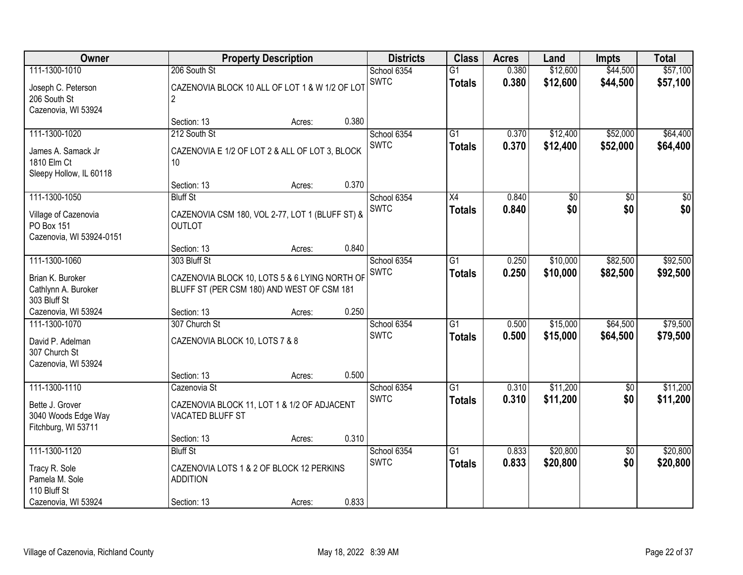| Owner                                   |                                                                                             | <b>Property Description</b> |       | <b>Districts</b>           | <b>Class</b>    | <b>Acres</b> | Land     | <b>Impts</b>    | <b>Total</b> |
|-----------------------------------------|---------------------------------------------------------------------------------------------|-----------------------------|-------|----------------------------|-----------------|--------------|----------|-----------------|--------------|
| 111-1300-1010                           | 206 South St                                                                                |                             |       | School 6354                | $\overline{G1}$ | 0.380        | \$12,600 | \$44,500        | \$57,100     |
| Joseph C. Peterson                      | CAZENOVIA BLOCK 10 ALL OF LOT 1 & W 1/2 OF LOT                                              |                             |       | <b>SWTC</b>                | <b>Totals</b>   | 0.380        | \$12,600 | \$44,500        | \$57,100     |
| 206 South St                            | 2                                                                                           |                             |       |                            |                 |              |          |                 |              |
| Cazenovia, WI 53924                     |                                                                                             |                             |       |                            |                 |              |          |                 |              |
| 111-1300-1020                           | Section: 13<br>212 South St                                                                 | Acres:                      | 0.380 |                            | $\overline{G1}$ | 0.370        | \$12,400 | \$52,000        | \$64,400     |
|                                         |                                                                                             |                             |       | School 6354<br><b>SWTC</b> |                 | 0.370        | \$12,400 | \$52,000        | \$64,400     |
| James A. Samack Jr                      | CAZENOVIA E 1/2 OF LOT 2 & ALL OF LOT 3, BLOCK                                              |                             |       |                            | <b>Totals</b>   |              |          |                 |              |
| 1810 Elm Ct                             | 10 <sup>°</sup>                                                                             |                             |       |                            |                 |              |          |                 |              |
| Sleepy Hollow, IL 60118                 | Section: 13                                                                                 | Acres:                      | 0.370 |                            |                 |              |          |                 |              |
| 111-1300-1050                           | <b>Bluff St</b>                                                                             |                             |       | School 6354                | X4              | 0.840        | \$0      | \$0             | \$0          |
|                                         |                                                                                             |                             |       | <b>SWTC</b>                | <b>Totals</b>   | 0.840        | \$0      | \$0             | \$0          |
| Village of Cazenovia                    | CAZENOVIA CSM 180, VOL 2-77, LOT 1 (BLUFF ST) &                                             |                             |       |                            |                 |              |          |                 |              |
| PO Box 151                              | <b>OUTLOT</b>                                                                               |                             |       |                            |                 |              |          |                 |              |
| Cazenovia, WI 53924-0151                | Section: 13                                                                                 | Acres:                      | 0.840 |                            |                 |              |          |                 |              |
| 111-1300-1060                           | 303 Bluff St                                                                                |                             |       | School 6354                | G1              | 0.250        | \$10,000 | \$82,500        | \$92,500     |
|                                         |                                                                                             |                             |       | <b>SWTC</b>                | <b>Totals</b>   | 0.250        | \$10,000 | \$82,500        | \$92,500     |
| Brian K. Buroker<br>Cathlynn A. Buroker | CAZENOVIA BLOCK 10, LOTS 5 & 6 LYING NORTH OF<br>BLUFF ST (PER CSM 180) AND WEST OF CSM 181 |                             |       |                            |                 |              |          |                 |              |
| 303 Bluff St                            |                                                                                             |                             |       |                            |                 |              |          |                 |              |
| Cazenovia, WI 53924                     | Section: 13                                                                                 | Acres:                      | 0.250 |                            |                 |              |          |                 |              |
| 111-1300-1070                           | 307 Church St                                                                               |                             |       | School 6354                | $\overline{G1}$ | 0.500        | \$15,000 | \$64,500        | \$79,500     |
| David P. Adelman                        | CAZENOVIA BLOCK 10, LOTS 7 & 8                                                              |                             |       | <b>SWTC</b>                | <b>Totals</b>   | 0.500        | \$15,000 | \$64,500        | \$79,500     |
| 307 Church St                           |                                                                                             |                             |       |                            |                 |              |          |                 |              |
| Cazenovia, WI 53924                     |                                                                                             |                             |       |                            |                 |              |          |                 |              |
|                                         | Section: 13                                                                                 | Acres:                      | 0.500 |                            |                 |              |          |                 |              |
| 111-1300-1110                           | Cazenovia St                                                                                |                             |       | School 6354                | $\overline{G1}$ | 0.310        | \$11,200 | $\overline{50}$ | \$11,200     |
| Bette J. Grover                         | CAZENOVIA BLOCK 11, LOT 1 & 1/2 OF ADJACENT                                                 |                             |       | <b>SWTC</b>                | <b>Totals</b>   | 0.310        | \$11,200 | \$0             | \$11,200     |
| 3040 Woods Edge Way                     | VACATED BLUFF ST                                                                            |                             |       |                            |                 |              |          |                 |              |
| Fitchburg, WI 53711                     |                                                                                             |                             |       |                            |                 |              |          |                 |              |
|                                         | Section: 13                                                                                 | Acres:                      | 0.310 |                            |                 |              |          |                 |              |
| 111-1300-1120                           | <b>Bluff St</b>                                                                             |                             |       | School 6354                | $\overline{G1}$ | 0.833        | \$20,800 | $\overline{50}$ | \$20,800     |
| Tracy R. Sole                           | CAZENOVIA LOTS 1 & 2 OF BLOCK 12 PERKINS                                                    |                             |       | <b>SWTC</b>                | <b>Totals</b>   | 0.833        | \$20,800 | \$0             | \$20,800     |
| Pamela M. Sole                          | <b>ADDITION</b>                                                                             |                             |       |                            |                 |              |          |                 |              |
| 110 Bluff St                            |                                                                                             |                             |       |                            |                 |              |          |                 |              |
| Cazenovia, WI 53924                     | Section: 13                                                                                 | Acres:                      | 0.833 |                            |                 |              |          |                 |              |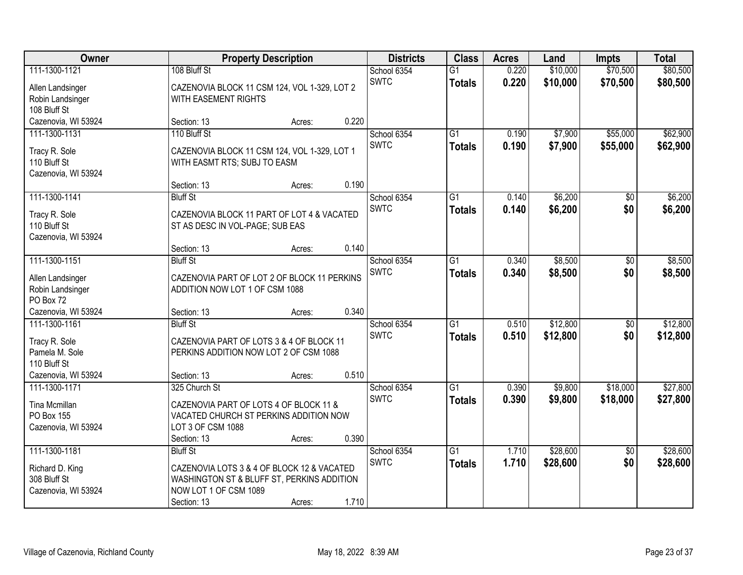| Owner                                                  |                                                                                                                                  | <b>Property Description</b> |       | <b>Districts</b>           | <b>Class</b>                     | <b>Acres</b>   | Land                 | <b>Impts</b>         | <b>Total</b>         |
|--------------------------------------------------------|----------------------------------------------------------------------------------------------------------------------------------|-----------------------------|-------|----------------------------|----------------------------------|----------------|----------------------|----------------------|----------------------|
| 111-1300-1121<br>Allen Landsinger                      | 108 Bluff St<br>CAZENOVIA BLOCK 11 CSM 124, VOL 1-329, LOT 2                                                                     |                             |       | School 6354<br><b>SWTC</b> | $\overline{G1}$<br><b>Totals</b> | 0.220<br>0.220 | \$10,000<br>\$10,000 | \$70,500<br>\$70,500 | \$80,500<br>\$80,500 |
| Robin Landsinger<br>108 Bluff St                       | WITH EASEMENT RIGHTS                                                                                                             |                             |       |                            |                                  |                |                      |                      |                      |
| Cazenovia, WI 53924                                    | Section: 13                                                                                                                      | Acres:                      | 0.220 |                            |                                  |                |                      |                      |                      |
| 111-1300-1131                                          | 110 Bluff St                                                                                                                     |                             |       | School 6354<br><b>SWTC</b> | $\overline{G1}$                  | 0.190<br>0.190 | \$7,900              | \$55,000<br>\$55,000 | \$62,900             |
| Tracy R. Sole<br>110 Bluff St<br>Cazenovia, WI 53924   | CAZENOVIA BLOCK 11 CSM 124, VOL 1-329, LOT 1<br>WITH EASMT RTS; SUBJ TO EASM                                                     |                             |       |                            | <b>Totals</b>                    |                | \$7,900              |                      | \$62,900             |
|                                                        | Section: 13                                                                                                                      | Acres:                      | 0.190 |                            |                                  |                |                      |                      |                      |
| 111-1300-1141                                          | <b>Bluff St</b>                                                                                                                  |                             |       | School 6354                | G1                               | 0.140          | \$6,200              | $\sqrt{6}$           | \$6,200              |
| Tracy R. Sole<br>110 Bluff St<br>Cazenovia, WI 53924   | CAZENOVIA BLOCK 11 PART OF LOT 4 & VACATED<br>ST AS DESC IN VOL-PAGE; SUB EAS                                                    |                             |       | <b>SWTC</b>                | <b>Totals</b>                    | 0.140          | \$6,200              | \$0                  | \$6,200              |
|                                                        | Section: 13                                                                                                                      | Acres:                      | 0.140 |                            |                                  |                |                      |                      |                      |
| 111-1300-1151                                          | <b>Bluff St</b>                                                                                                                  |                             |       | School 6354                | G1                               | 0.340          | \$8,500              | \$0                  | \$8,500              |
| Allen Landsinger<br>Robin Landsinger<br>PO Box 72      | CAZENOVIA PART OF LOT 2 OF BLOCK 11 PERKINS<br>ADDITION NOW LOT 1 OF CSM 1088                                                    |                             |       | <b>SWTC</b>                | <b>Totals</b>                    | 0.340          | \$8,500              | \$0                  | \$8,500              |
| Cazenovia, WI 53924                                    | Section: 13                                                                                                                      | Acres:                      | 0.340 |                            |                                  |                |                      |                      |                      |
| 111-1300-1161                                          | <b>Bluff St</b>                                                                                                                  |                             |       | School 6354                | $\overline{G1}$                  | 0.510          | \$12,800             | $\overline{50}$      | \$12,800             |
| Tracy R. Sole<br>Pamela M. Sole<br>110 Bluff St        | CAZENOVIA PART OF LOTS 3 & 4 OF BLOCK 11<br>PERKINS ADDITION NOW LOT 2 OF CSM 1088                                               |                             |       | <b>SWTC</b>                | <b>Totals</b>                    | 0.510          | \$12,800             | \$0                  | \$12,800             |
| Cazenovia, WI 53924                                    | Section: 13                                                                                                                      | Acres:                      | 0.510 |                            |                                  |                |                      |                      |                      |
| 111-1300-1171                                          | 325 Church St                                                                                                                    |                             |       | School 6354                | $\overline{G1}$                  | 0.390          | \$9,800              | \$18,000             | \$27,800             |
| Tina Mcmillan<br>PO Box 155<br>Cazenovia, WI 53924     | CAZENOVIA PART OF LOTS 4 OF BLOCK 11 &<br>VACATED CHURCH ST PERKINS ADDITION NOW<br>LOT 3 OF CSM 1088<br>Section: 13             | Acres:                      | 0.390 | <b>SWTC</b>                | <b>Totals</b>                    | 0.390          | \$9,800              | \$18,000             | \$27,800             |
| 111-1300-1181                                          | <b>Bluff St</b>                                                                                                                  |                             |       | School 6354                | $\overline{G1}$                  | 1.710          | \$28,600             | $\overline{50}$      | \$28,600             |
| Richard D. King<br>308 Bluff St<br>Cazenovia, WI 53924 | CAZENOVIA LOTS 3 & 4 OF BLOCK 12 & VACATED<br>WASHINGTON ST & BLUFF ST, PERKINS ADDITION<br>NOW LOT 1 OF CSM 1089<br>Section: 13 | Acres:                      | 1.710 | <b>SWTC</b>                | Totals                           | 1.710          | \$28,600             | \$0                  | \$28,600             |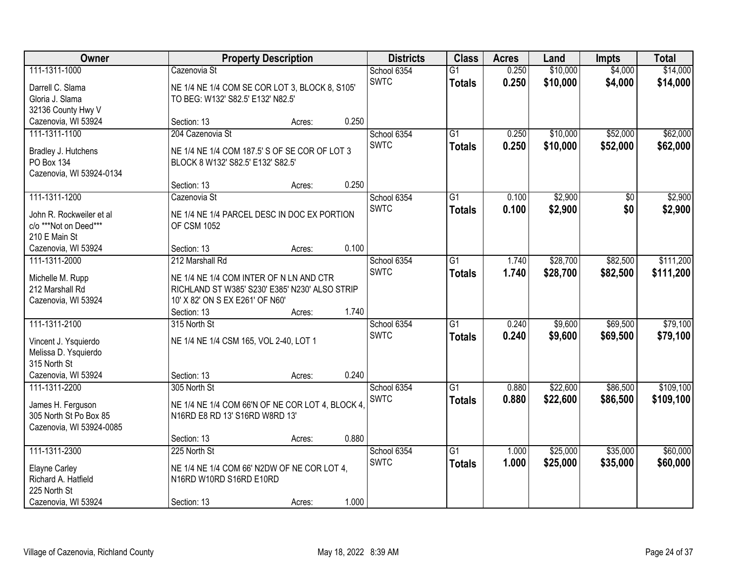| Owner                    |                                                  | <b>Property Description</b> |       | <b>Districts</b> | <b>Class</b>    | <b>Acres</b> | Land     | <b>Impts</b> | <b>Total</b> |
|--------------------------|--------------------------------------------------|-----------------------------|-------|------------------|-----------------|--------------|----------|--------------|--------------|
| 111-1311-1000            | Cazenovia St                                     |                             |       | School 6354      | $\overline{G1}$ | 0.250        | \$10,000 | \$4,000      | \$14,000     |
| Darrell C. Slama         | NE 1/4 NE 1/4 COM SE COR LOT 3, BLOCK 8, S105'   |                             |       | <b>SWTC</b>      | <b>Totals</b>   | 0.250        | \$10,000 | \$4,000      | \$14,000     |
| Gloria J. Slama          | TO BEG: W132' S82.5' E132' N82.5'                |                             |       |                  |                 |              |          |              |              |
| 32136 County Hwy V       |                                                  |                             |       |                  |                 |              |          |              |              |
| Cazenovia, WI 53924      | Section: 13                                      | Acres:                      | 0.250 |                  |                 |              |          |              |              |
| 111-1311-1100            | 204 Cazenovia St                                 |                             |       | School 6354      | $\overline{G1}$ | 0.250        | \$10,000 | \$52,000     | \$62,000     |
|                          |                                                  |                             |       | <b>SWTC</b>      | <b>Totals</b>   | 0.250        | \$10,000 | \$52,000     | \$62,000     |
| Bradley J. Hutchens      | NE 1/4 NE 1/4 COM 187.5' S OF SE COR OF LOT 3    |                             |       |                  |                 |              |          |              |              |
| PO Box 134               | BLOCK 8 W132' S82.5' E132' S82.5'                |                             |       |                  |                 |              |          |              |              |
| Cazenovia, WI 53924-0134 |                                                  |                             |       |                  |                 |              |          |              |              |
|                          | Section: 13                                      | Acres:                      | 0.250 |                  |                 |              |          |              |              |
| 111-1311-1200            | Cazenovia St                                     |                             |       | School 6354      | G1              | 0.100        | \$2,900  | \$0          | \$2,900      |
| John R. Rockweiler et al | NE 1/4 NE 1/4 PARCEL DESC IN DOC EX PORTION      |                             |       | <b>SWTC</b>      | <b>Totals</b>   | 0.100        | \$2,900  | \$0          | \$2,900      |
| c/o *** Not on Deed***   | <b>OF CSM 1052</b>                               |                             |       |                  |                 |              |          |              |              |
| 210 E Main St            |                                                  |                             |       |                  |                 |              |          |              |              |
| Cazenovia, WI 53924      | Section: 13                                      | Acres:                      | 0.100 |                  |                 |              |          |              |              |
| 111-1311-2000            | 212 Marshall Rd                                  |                             |       | School 6354      | $\overline{G1}$ | 1.740        | \$28,700 | \$82,500     | \$111,200    |
|                          |                                                  |                             |       | <b>SWTC</b>      | <b>Totals</b>   | 1.740        | \$28,700 | \$82,500     | \$111,200    |
| Michelle M. Rupp         | NE 1/4 NE 1/4 COM INTER OF N LN AND CTR          |                             |       |                  |                 |              |          |              |              |
| 212 Marshall Rd          | RICHLAND ST W385' S230' E385' N230' ALSO STRIP   |                             |       |                  |                 |              |          |              |              |
| Cazenovia, WI 53924      | 10' X 82' ON S EX E261' OF N60'                  |                             |       |                  |                 |              |          |              |              |
|                          | Section: 13                                      | Acres:                      | 1.740 |                  |                 |              |          |              |              |
| 111-1311-2100            | 315 North St                                     |                             |       | School 6354      | $\overline{G1}$ | 0.240        | \$9,600  | \$69,500     | \$79,100     |
| Vincent J. Ysquierdo     | NE 1/4 NE 1/4 CSM 165, VOL 2-40, LOT 1           |                             |       | <b>SWTC</b>      | <b>Totals</b>   | 0.240        | \$9,600  | \$69,500     | \$79,100     |
| Melissa D. Ysquierdo     |                                                  |                             |       |                  |                 |              |          |              |              |
| 315 North St             |                                                  |                             |       |                  |                 |              |          |              |              |
| Cazenovia, WI 53924      | Section: 13                                      | Acres:                      | 0.240 |                  |                 |              |          |              |              |
| 111-1311-2200            | 305 North St                                     |                             |       | School 6354      | $\overline{G1}$ | 0.880        | \$22,600 | \$86,500     | \$109,100    |
|                          |                                                  |                             |       | <b>SWTC</b>      | <b>Totals</b>   | 0.880        | \$22,600 | \$86,500     | \$109,100    |
| James H. Ferguson        | NE 1/4 NE 1/4 COM 66'N OF NE COR LOT 4, BLOCK 4, |                             |       |                  |                 |              |          |              |              |
| 305 North St Po Box 85   | N16RD E8 RD 13' S16RD W8RD 13'                   |                             |       |                  |                 |              |          |              |              |
| Cazenovia, WI 53924-0085 |                                                  |                             |       |                  |                 |              |          |              |              |
|                          | Section: 13                                      | Acres:                      | 0.880 |                  |                 |              |          |              |              |
| 111-1311-2300            | 225 North St                                     |                             |       | School 6354      | $\overline{G1}$ | 1.000        | \$25,000 | \$35,000     | \$60,000     |
| Elayne Carley            | NE 1/4 NE 1/4 COM 66' N2DW OF NE COR LOT 4,      |                             |       | <b>SWTC</b>      | <b>Totals</b>   | 1.000        | \$25,000 | \$35,000     | \$60,000     |
| Richard A. Hatfield      | N16RD W10RD S16RD E10RD                          |                             |       |                  |                 |              |          |              |              |
| 225 North St             |                                                  |                             |       |                  |                 |              |          |              |              |
| Cazenovia, WI 53924      | Section: 13                                      | Acres:                      | 1.000 |                  |                 |              |          |              |              |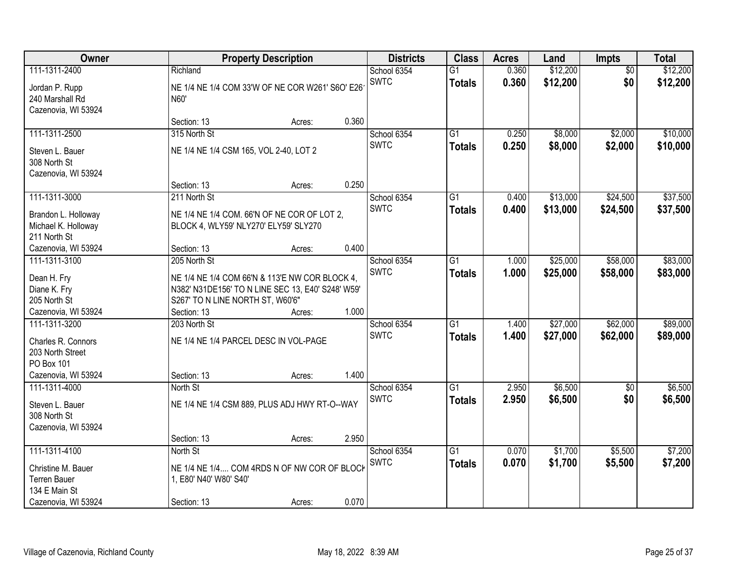| Owner                                                                                              |                                                                      | <b>Property Description</b>                                                                         |       | <b>Districts</b>           | <b>Class</b>                     | <b>Acres</b>   | Land                 | <b>Impts</b>           | <b>Total</b>         |
|----------------------------------------------------------------------------------------------------|----------------------------------------------------------------------|-----------------------------------------------------------------------------------------------------|-------|----------------------------|----------------------------------|----------------|----------------------|------------------------|----------------------|
| 111-1311-2400<br>Jordan P. Rupp<br>240 Marshall Rd<br>Cazenovia, WI 53924                          | Richland<br>N60'                                                     | NE 1/4 NE 1/4 COM 33'W OF NE COR W261' S6O' E26                                                     |       | School 6354<br><b>SWTC</b> | $\overline{G1}$<br><b>Totals</b> | 0.360<br>0.360 | \$12,200<br>\$12,200 | $\overline{30}$<br>\$0 | \$12,200<br>\$12,200 |
|                                                                                                    | Section: 13                                                          | Acres:                                                                                              | 0.360 |                            |                                  |                |                      |                        |                      |
| 111-1311-2500<br>Steven L. Bauer<br>308 North St<br>Cazenovia, WI 53924                            | 315 North St<br>NE 1/4 NE 1/4 CSM 165, VOL 2-40, LOT 2               |                                                                                                     |       | School 6354<br><b>SWTC</b> | $\overline{G1}$<br><b>Totals</b> | 0.250<br>0.250 | \$8,000<br>\$8,000   | \$2,000<br>\$2,000     | \$10,000<br>\$10,000 |
|                                                                                                    | Section: 13                                                          | Acres:                                                                                              | 0.250 |                            |                                  |                |                      |                        |                      |
| 111-1311-3000<br>Brandon L. Holloway<br>Michael K. Holloway<br>211 North St<br>Cazenovia, WI 53924 | 211 North St<br>BLOCK 4, WLY59' NLY270' ELY59' SLY270<br>Section: 13 | NE 1/4 NE 1/4 COM. 66'N OF NE COR OF LOT 2,<br>Acres:                                               | 0.400 | School 6354<br><b>SWTC</b> | $\overline{G1}$<br><b>Totals</b> | 0.400<br>0.400 | \$13,000<br>\$13,000 | \$24,500<br>\$24,500   | \$37,500<br>\$37,500 |
| 111-1311-3100                                                                                      | 205 North St                                                         |                                                                                                     |       | School 6354                | $\overline{G1}$                  | 1.000          | \$25,000             | \$58,000               | \$83,000             |
| Dean H. Fry<br>Diane K. Fry<br>205 North St                                                        | S267' TO N LINE NORTH ST, W60'6"                                     | NE 1/4 NE 1/4 COM 66'N & 113'E NW COR BLOCK 4,<br>N382' N31DE156' TO N LINE SEC 13, E40' S248' W59' | 1.000 | <b>SWTC</b>                | <b>Totals</b>                    | 1.000          | \$25,000             | \$58,000               | \$83,000             |
| Cazenovia, WI 53924<br>111-1311-3200                                                               | Section: 13<br>203 North St                                          | Acres:                                                                                              |       | School 6354                | $\overline{G1}$                  | 1.400          | \$27,000             | \$62,000               | \$89,000             |
| Charles R. Connors<br>203 North Street<br>PO Box 101<br>Cazenovia, WI 53924                        | NE 1/4 NE 1/4 PARCEL DESC IN VOL-PAGE<br>Section: 13                 | Acres:                                                                                              | 1.400 | <b>SWTC</b>                | <b>Totals</b>                    | 1.400          | \$27,000             | \$62,000               | \$89,000             |
| 111-1311-4000                                                                                      | North St                                                             |                                                                                                     |       | School 6354                | $\overline{G1}$                  | 2.950          | \$6,500              | $\sqrt{6}$             | \$6,500              |
| Steven L. Bauer<br>308 North St<br>Cazenovia, WI 53924                                             |                                                                      | NE 1/4 NE 1/4 CSM 889, PLUS ADJ HWY RT-O--WAY                                                       |       | <b>SWTC</b>                | <b>Totals</b>                    | 2.950          | \$6,500              | \$0                    | \$6,500              |
| 111-1311-4100                                                                                      | Section: 13                                                          | Acres:                                                                                              | 2.950 |                            | $\overline{G1}$                  |                | \$1,700              |                        | \$7,200              |
| Christine M. Bauer<br><b>Terren Bauer</b><br>134 E Main St<br>Cazenovia, WI 53924                  | North St<br>1, E80' N40' W80' S40'<br>Section: 13                    | NE 1/4 NE 1/4 COM 4RDS N OF NW COR OF BLOCK<br>Acres:                                               | 0.070 | School 6354<br><b>SWTC</b> | <b>Totals</b>                    | 0.070<br>0.070 | \$1,700              | \$5,500<br>\$5,500     | \$7,200              |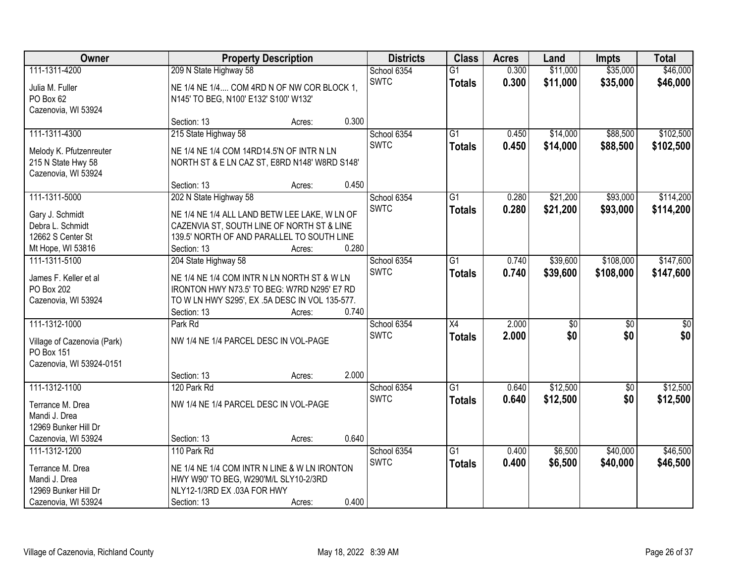| Owner                             |                                                                                       | <b>Property Description</b> |       | <b>Districts</b> | <b>Class</b>    | <b>Acres</b> | Land            | <b>Impts</b>    | <b>Total</b>    |
|-----------------------------------|---------------------------------------------------------------------------------------|-----------------------------|-------|------------------|-----------------|--------------|-----------------|-----------------|-----------------|
| 111-1311-4200                     | 209 N State Highway 58                                                                |                             |       | School 6354      | $\overline{G1}$ | 0.300        | \$11,000        | \$35,000        | \$46,000        |
| Julia M. Fuller                   | NE 1/4 NE 1/4 COM 4RD N OF NW COR BLOCK 1,                                            |                             |       | <b>SWTC</b>      | <b>Totals</b>   | 0.300        | \$11,000        | \$35,000        | \$46,000        |
| PO Box 62                         | N145' TO BEG, N100' E132' S100' W132'                                                 |                             |       |                  |                 |              |                 |                 |                 |
| Cazenovia, WI 53924               |                                                                                       |                             |       |                  |                 |              |                 |                 |                 |
|                                   | Section: 13                                                                           | Acres:                      | 0.300 |                  |                 |              |                 |                 |                 |
| 111-1311-4300                     | 215 State Highway 58                                                                  |                             |       | School 6354      | $\overline{G1}$ | 0.450        | \$14,000        | \$88,500        | \$102,500       |
| Melody K. Pfutzenreuter           | NE 1/4 NE 1/4 COM 14RD14.5'N OF INTR N LN                                             |                             |       | <b>SWTC</b>      | <b>Totals</b>   | 0.450        | \$14,000        | \$88,500        | \$102,500       |
| 215 N State Hwy 58                | NORTH ST & E LN CAZ ST, E8RD N148' W8RD S148'                                         |                             |       |                  |                 |              |                 |                 |                 |
| Cazenovia, WI 53924               |                                                                                       |                             |       |                  |                 |              |                 |                 |                 |
|                                   | Section: 13                                                                           | Acres:                      | 0.450 |                  |                 |              |                 |                 |                 |
| 111-1311-5000                     | 202 N State Highway 58                                                                |                             |       | School 6354      | $\overline{G1}$ | 0.280        | \$21,200        | \$93,000        | \$114,200       |
| Gary J. Schmidt                   | NE 1/4 NE 1/4 ALL LAND BETW LEE LAKE, W LN OF                                         |                             |       | <b>SWTC</b>      | <b>Totals</b>   | 0.280        | \$21,200        | \$93,000        | \$114,200       |
| Debra L. Schmidt                  | CAZENVIA ST, SOUTH LINE OF NORTH ST & LINE                                            |                             |       |                  |                 |              |                 |                 |                 |
| 12662 S Center St                 | 139.5' NORTH OF AND PARALLEL TO SOUTH LINE                                            |                             |       |                  |                 |              |                 |                 |                 |
| Mt Hope, WI 53816                 | Section: 13                                                                           | Acres:                      | 0.280 |                  |                 |              |                 |                 |                 |
| 111-1311-5100                     | 204 State Highway 58                                                                  |                             |       | School 6354      | $\overline{G1}$ | 0.740        | \$39,600        | \$108,000       | \$147,600       |
| James F. Keller et al             | NE 1/4 NE 1/4 COM INTR N LN NORTH ST & W LN                                           |                             |       | <b>SWTC</b>      | <b>Totals</b>   | 0.740        | \$39,600        | \$108,000       | \$147,600       |
| PO Box 202                        | IRONTON HWY N73.5' TO BEG: W7RD N295' E7 RD                                           |                             |       |                  |                 |              |                 |                 |                 |
| Cazenovia, WI 53924               | TO W LN HWY S295', EX .5A DESC IN VOL 135-577.                                        |                             |       |                  |                 |              |                 |                 |                 |
|                                   | Section: 13                                                                           | Acres:                      | 0.740 |                  |                 |              |                 |                 |                 |
| 111-1312-1000                     | Park Rd                                                                               |                             |       | School 6354      | $\overline{X4}$ | 2.000        | $\overline{50}$ | $\overline{30}$ | $\overline{30}$ |
| Village of Cazenovia (Park)       | NW 1/4 NE 1/4 PARCEL DESC IN VOL-PAGE                                                 |                             |       | <b>SWTC</b>      | <b>Totals</b>   | 2.000        | \$0             | \$0             | \$0             |
| PO Box 151                        |                                                                                       |                             |       |                  |                 |              |                 |                 |                 |
| Cazenovia, WI 53924-0151          |                                                                                       |                             |       |                  |                 |              |                 |                 |                 |
|                                   | Section: 13                                                                           | Acres:                      | 2.000 |                  |                 |              |                 |                 |                 |
| 111-1312-1100                     | 120 Park Rd                                                                           |                             |       | School 6354      | $\overline{G1}$ | 0.640        | \$12,500        | $\sqrt{$0}$     | \$12,500        |
| Terrance M. Drea                  | NW 1/4 NE 1/4 PARCEL DESC IN VOL-PAGE                                                 |                             |       | <b>SWTC</b>      | <b>Totals</b>   | 0.640        | \$12,500        | \$0             | \$12,500        |
| Mandi J. Drea                     |                                                                                       |                             |       |                  |                 |              |                 |                 |                 |
| 12969 Bunker Hill Dr              |                                                                                       |                             |       |                  |                 |              |                 |                 |                 |
| Cazenovia, WI 53924               | Section: 13                                                                           | Acres:                      | 0.640 |                  |                 |              |                 |                 |                 |
| 111-1312-1200                     | 110 Park Rd                                                                           |                             |       | School 6354      | $\overline{G1}$ | 0.400        | \$6,500         | \$40,000        | \$46,500        |
|                                   |                                                                                       |                             |       | <b>SWTC</b>      | <b>Totals</b>   | 0.400        | \$6,500         | \$40,000        | \$46,500        |
| Terrance M. Drea<br>Mandi J. Drea | NE 1/4 NE 1/4 COM INTR N LINE & W LN IRONTON<br>HWY W90' TO BEG, W290'M/L SLY10-2/3RD |                             |       |                  |                 |              |                 |                 |                 |
| 12969 Bunker Hill Dr              | NLY12-1/3RD EX .03A FOR HWY                                                           |                             |       |                  |                 |              |                 |                 |                 |
| Cazenovia, WI 53924               | Section: 13                                                                           | Acres:                      | 0.400 |                  |                 |              |                 |                 |                 |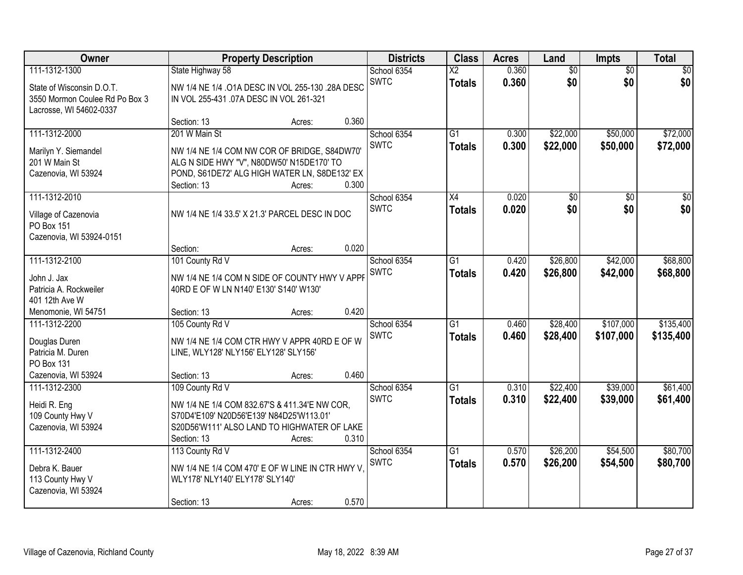| Owner                              |                                          | <b>Property Description</b>                             | <b>Districts</b> | <b>Class</b>           | <b>Acres</b> | Land            | <b>Impts</b>    | <b>Total</b>    |
|------------------------------------|------------------------------------------|---------------------------------------------------------|------------------|------------------------|--------------|-----------------|-----------------|-----------------|
| 111-1312-1300                      | State Highway 58                         |                                                         | School 6354      | $\overline{\text{X2}}$ | 0.360        | $\overline{50}$ | $\overline{50}$ | \$0             |
| State of Wisconsin D.O.T.          |                                          | NW 1/4 NE 1/4 .01A DESC IN VOL 255-130 .28A DESC        | <b>SWTC</b>      | <b>Totals</b>          | 0.360        | \$0             | \$0             | \$0             |
| 3550 Mormon Coulee Rd Po Box 3     | IN VOL 255-431 .07A DESC IN VOL 261-321  |                                                         |                  |                        |              |                 |                 |                 |
| Lacrosse, WI 54602-0337            |                                          |                                                         | 0.360            |                        |              |                 |                 |                 |
| 111-1312-2000                      | Section: 13<br>201 W Main St             | Acres:                                                  | School 6354      | $\overline{G1}$        | 0.300        | \$22,000        | \$50,000        | \$72,000        |
|                                    |                                          |                                                         | <b>SWTC</b>      | <b>Totals</b>          | 0.300        | \$22,000        | \$50,000        | \$72,000        |
| Marilyn Y. Siemandel               |                                          | NW 1/4 NE 1/4 COM NW COR OF BRIDGE, S84DW70'            |                  |                        |              |                 |                 |                 |
| 201 W Main St                      |                                          | ALG N SIDE HWY "V", N80DW50' N15DE170' TO               |                  |                        |              |                 |                 |                 |
| Cazenovia, WI 53924                | Section: 13                              | POND, S61DE72' ALG HIGH WATER LN, S8DE132' EX<br>Acres: | 0.300            |                        |              |                 |                 |                 |
| 111-1312-2010                      |                                          |                                                         | School 6354      | X4                     | 0.020        | \$0             | \$0             | $\overline{30}$ |
|                                    |                                          |                                                         | <b>SWTC</b>      | <b>Totals</b>          | 0.020        | \$0             | \$0             | \$0             |
| Village of Cazenovia<br>PO Box 151 |                                          | NW 1/4 NE 1/4 33.5' X 21.3' PARCEL DESC IN DOC          |                  |                        |              |                 |                 |                 |
| Cazenovia, WI 53924-0151           |                                          |                                                         |                  |                        |              |                 |                 |                 |
|                                    | Section:                                 | Acres:                                                  | 0.020            |                        |              |                 |                 |                 |
| 111-1312-2100                      | 101 County Rd V                          |                                                         | School 6354      | G1                     | 0.420        | \$26,800        | \$42,000        | \$68,800        |
| John J. Jax                        |                                          | NW 1/4 NE 1/4 COM N SIDE OF COUNTY HWY V APPF           | <b>SWTC</b>      | <b>Totals</b>          | 0.420        | \$26,800        | \$42,000        | \$68,800        |
| Patricia A. Rockweiler             | 40RD E OF W LN N140' E130' S140' W130'   |                                                         |                  |                        |              |                 |                 |                 |
| 401 12th Ave W                     |                                          |                                                         |                  |                        |              |                 |                 |                 |
| Menomonie, WI 54751                | Section: 13                              | Acres:                                                  | 0.420            |                        |              |                 |                 |                 |
| 111-1312-2200                      | 105 County Rd V                          |                                                         | School 6354      | $\overline{G1}$        | 0.460        | \$28,400        | \$107,000       | \$135,400       |
| Douglas Duren                      |                                          | NW 1/4 NE 1/4 COM CTR HWY V APPR 40RD E OF W            | <b>SWTC</b>      | <b>Totals</b>          | 0.460        | \$28,400        | \$107,000       | \$135,400       |
| Patricia M. Duren                  | LINE, WLY128' NLY156' ELY128' SLY156'    |                                                         |                  |                        |              |                 |                 |                 |
| PO Box 131                         |                                          |                                                         |                  |                        |              |                 |                 |                 |
| Cazenovia, WI 53924                | Section: 13                              | Acres:                                                  | 0.460            |                        |              |                 |                 |                 |
| 111-1312-2300                      | 109 County Rd V                          |                                                         | School 6354      | $\overline{G1}$        | 0.310        | \$22,400        | \$39,000        | \$61,400        |
| Heidi R. Eng                       |                                          | NW 1/4 NE 1/4 COM 832.67'S & 411.34'E NW COR,           | <b>SWTC</b>      | <b>Totals</b>          | 0.310        | \$22,400        | \$39,000        | \$61,400        |
| 109 County Hwy V                   | S70D4'E109' N20D56'E139' N84D25'W113.01' |                                                         |                  |                        |              |                 |                 |                 |
| Cazenovia, WI 53924                |                                          | S20D56'W111' ALSO LAND TO HIGHWATER OF LAKE             |                  |                        |              |                 |                 |                 |
|                                    | Section: 13                              | Acres:                                                  | 0.310            |                        |              |                 |                 |                 |
| 111-1312-2400                      | 113 County Rd V                          |                                                         | School 6354      | $\overline{G1}$        | 0.570        | \$26,200        | \$54,500        | \$80,700        |
| Debra K. Bauer                     |                                          | NW 1/4 NE 1/4 COM 470' E OF W LINE IN CTR HWY V         | <b>SWTC</b>      | <b>Totals</b>          | 0.570        | \$26,200        | \$54,500        | \$80,700        |
| 113 County Hwy V                   | WLY178' NLY140' ELY178' SLY140'          |                                                         |                  |                        |              |                 |                 |                 |
| Cazenovia, WI 53924                |                                          |                                                         |                  |                        |              |                 |                 |                 |
|                                    | Section: 13                              | Acres:                                                  | 0.570            |                        |              |                 |                 |                 |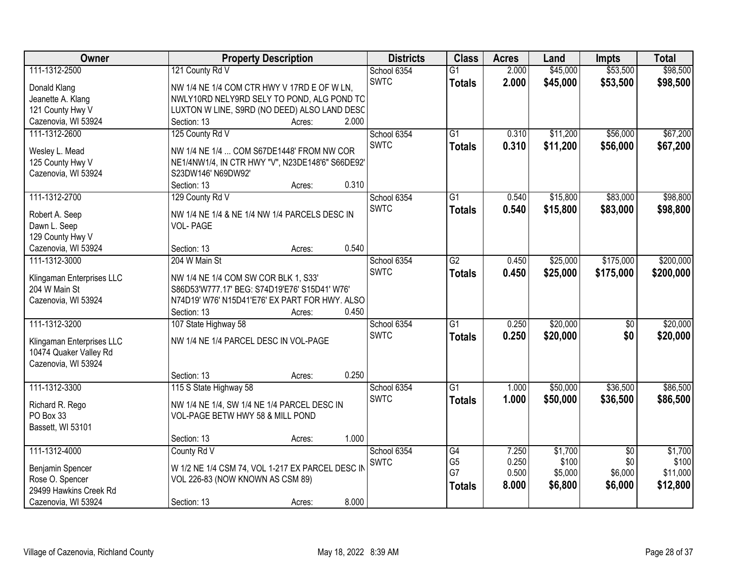| Owner                     |                                                  | <b>Property Description</b> |       | <b>Districts</b> | <b>Class</b>    | <b>Acres</b> | Land     | <b>Impts</b>    | <b>Total</b> |
|---------------------------|--------------------------------------------------|-----------------------------|-------|------------------|-----------------|--------------|----------|-----------------|--------------|
| 111-1312-2500             | 121 County Rd V                                  |                             |       | School 6354      | $\overline{G1}$ | 2.000        | \$45,000 | \$53,500        | \$98,500     |
| Donald Klang              | NW 1/4 NE 1/4 COM CTR HWY V 17RD E OF W LN,      |                             |       | <b>SWTC</b>      | <b>Totals</b>   | 2.000        | \$45,000 | \$53,500        | \$98,500     |
| Jeanette A. Klang         | NWLY10RD NELY9RD SELY TO POND, ALG POND TO       |                             |       |                  |                 |              |          |                 |              |
| 121 County Hwy V          | LUXTON W LINE, S9RD (NO DEED) ALSO LAND DESC     |                             |       |                  |                 |              |          |                 |              |
| Cazenovia, WI 53924       | Section: 13                                      | Acres:                      | 2.000 |                  |                 |              |          |                 |              |
| 111-1312-2600             | 125 County Rd V                                  |                             |       | School 6354      | $\overline{G1}$ | 0.310        | \$11,200 | \$56,000        | \$67,200     |
|                           |                                                  |                             |       | <b>SWTC</b>      | <b>Totals</b>   | 0.310        | \$11,200 | \$56,000        | \$67,200     |
| Wesley L. Mead            | NW 1/4 NE 1/4  COM S67DE1448' FROM NW COR        |                             |       |                  |                 |              |          |                 |              |
| 125 County Hwy V          | NE1/4NW1/4, IN CTR HWY "V", N23DE148'6" S66DE92' |                             |       |                  |                 |              |          |                 |              |
| Cazenovia, WI 53924       | S23DW146' N69DW92'                               |                             |       |                  |                 |              |          |                 |              |
|                           | Section: 13                                      | Acres:                      | 0.310 |                  |                 |              |          |                 |              |
| 111-1312-2700             | 129 County Rd V                                  |                             |       | School 6354      | $\overline{G1}$ | 0.540        | \$15,800 | \$83,000        | \$98,800     |
| Robert A. Seep            | NW 1/4 NE 1/4 & NE 1/4 NW 1/4 PARCELS DESC IN    |                             |       | <b>SWTC</b>      | <b>Totals</b>   | 0.540        | \$15,800 | \$83,000        | \$98,800     |
| Dawn L. Seep              | <b>VOL-PAGE</b>                                  |                             |       |                  |                 |              |          |                 |              |
| 129 County Hwy V          |                                                  |                             |       |                  |                 |              |          |                 |              |
| Cazenovia, WI 53924       | Section: 13                                      | Acres:                      | 0.540 |                  |                 |              |          |                 |              |
| 111-1312-3000             | 204 W Main St                                    |                             |       | School 6354      | $\overline{G2}$ | 0.450        | \$25,000 | \$175,000       | \$200,000    |
|                           |                                                  |                             |       | <b>SWTC</b>      | <b>Totals</b>   | 0.450        | \$25,000 | \$175,000       | \$200,000    |
| Klingaman Enterprises LLC | NW 1/4 NE 1/4 COM SW COR BLK 1, S33'             |                             |       |                  |                 |              |          |                 |              |
| 204 W Main St             | S86D53'W777.17' BEG: S74D19'E76' S15D41' W76'    |                             |       |                  |                 |              |          |                 |              |
| Cazenovia, WI 53924       | N74D19' W76' N15D41'E76' EX PART FOR HWY. ALSO   |                             |       |                  |                 |              |          |                 |              |
|                           | Section: 13                                      | Acres:                      | 0.450 |                  |                 |              |          |                 |              |
| 111-1312-3200             | 107 State Highway 58                             |                             |       | School 6354      | $\overline{G1}$ | 0.250        | \$20,000 | $\overline{50}$ | \$20,000     |
| Klingaman Enterprises LLC | NW 1/4 NE 1/4 PARCEL DESC IN VOL-PAGE            |                             |       | <b>SWTC</b>      | <b>Totals</b>   | 0.250        | \$20,000 | \$0             | \$20,000     |
| 10474 Quaker Valley Rd    |                                                  |                             |       |                  |                 |              |          |                 |              |
| Cazenovia, WI 53924       |                                                  |                             |       |                  |                 |              |          |                 |              |
|                           | Section: 13                                      | Acres:                      | 0.250 |                  |                 |              |          |                 |              |
| 111-1312-3300             | 115 S State Highway 58                           |                             |       | School 6354      | $\overline{G1}$ | 1.000        | \$50,000 | \$36,500        | \$86,500     |
|                           |                                                  |                             |       | <b>SWTC</b>      | <b>Totals</b>   | 1.000        | \$50,000 | \$36,500        | \$86,500     |
| Richard R. Rego           | NW 1/4 NE 1/4, SW 1/4 NE 1/4 PARCEL DESC IN      |                             |       |                  |                 |              |          |                 |              |
| PO Box 33                 | VOL-PAGE BETW HWY 58 & MILL POND                 |                             |       |                  |                 |              |          |                 |              |
| Bassett, WI 53101         |                                                  |                             |       |                  |                 |              |          |                 |              |
|                           | Section: 13                                      | Acres:                      | 1.000 |                  |                 |              |          |                 |              |
| 111-1312-4000             | County Rd V                                      |                             |       | School 6354      | G4              | 7.250        | \$1,700  | $\overline{50}$ | \$1,700      |
| Benjamin Spencer          | W 1/2 NE 1/4 CSM 74, VOL 1-217 EX PARCEL DESC IN |                             |       | <b>SWTC</b>      | G <sub>5</sub>  | 0.250        | \$100    | \$0             | \$100        |
| Rose O. Spencer           | VOL 226-83 (NOW KNOWN AS CSM 89)                 |                             |       |                  | G7              | 0.500        | \$5,000  | \$6,000         | \$11,000     |
| 29499 Hawkins Creek Rd    |                                                  |                             |       |                  | <b>Totals</b>   | 8.000        | \$6,800  | \$6,000         | \$12,800     |
| Cazenovia, WI 53924       | Section: 13                                      | Acres:                      | 8.000 |                  |                 |              |          |                 |              |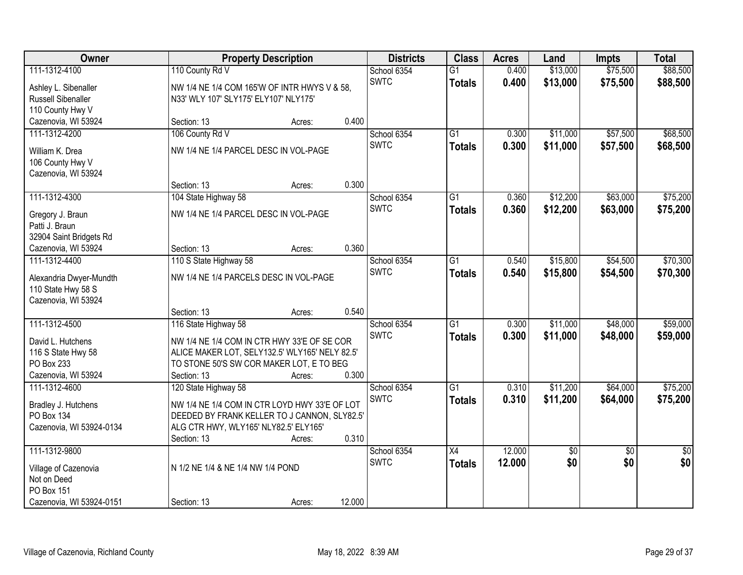| 111-1312-4100<br>110 County Rd V<br>\$13,000<br>\$75,500<br>\$88,500<br>School 6354<br>$\overline{G1}$<br>0.400<br><b>SWTC</b><br>0.400<br>\$75,500<br>\$13,000<br>\$88,500<br><b>Totals</b><br>NW 1/4 NE 1/4 COM 165'W OF INTR HWYS V & 58,<br>Ashley L. Sibenaller<br>Russell Sibenaller<br>N33' WLY 107' SLY175' ELY107' NLY175'<br>110 County Hwy V<br>0.400<br>Cazenovia, WI 53924<br>Section: 13<br>Acres:<br>106 County Rd V<br>\$57,500<br>\$68,500<br>School 6354<br>\$11,000<br>111-1312-4200<br>G1<br>0.300<br><b>SWTC</b><br>0.300<br>\$11,000<br>\$57,500<br>\$68,500<br><b>Totals</b><br>NW 1/4 NE 1/4 PARCEL DESC IN VOL-PAGE<br>William K. Drea<br>106 County Hwy V<br>Cazenovia, WI 53924<br>0.300<br>Section: 13<br>Acres:<br>\$63,000<br>111-1312-4300<br>\$12,200<br>\$75,200<br>104 State Highway 58<br>School 6354<br>G1<br>0.360<br><b>SWTC</b><br>0.360<br>\$12,200<br>\$63,000<br>\$75,200<br><b>Totals</b><br>NW 1/4 NE 1/4 PARCEL DESC IN VOL-PAGE<br>Gregory J. Braun<br>Patti J. Braun<br>32904 Saint Bridgets Rd<br>0.360<br>Cazenovia, WI 53924<br>Section: 13<br>Acres:<br>\$15,800<br>\$54,500<br>\$70,300<br>110 S State Highway 58<br>$\overline{G1}$<br>0.540<br>111-1312-4400<br>School 6354<br><b>SWTC</b><br>0.540<br>\$15,800<br>\$54,500<br>\$70,300<br><b>Totals</b><br>NW 1/4 NE 1/4 PARCELS DESC IN VOL-PAGE<br>Alexandria Dwyer-Mundth<br>110 State Hwy 58 S<br>Cazenovia, WI 53924<br>0.540<br>Section: 13<br>Acres:<br>\$59,000<br>111-1312-4500<br>$\overline{G1}$<br>\$11,000<br>\$48,000<br>116 State Highway 58<br>0.300<br>School 6354<br><b>SWTC</b><br>0.300<br>\$11,000<br>\$48,000<br>\$59,000<br><b>Totals</b><br>NW 1/4 NE 1/4 COM IN CTR HWY 33'E OF SE COR<br>David L. Hutchens<br>116 S State Hwy 58<br>ALICE MAKER LOT, SELY132.5' WLY165' NELY 82.5'<br>PO Box 233<br>TO STONE 50'S SW COR MAKER LOT, E TO BEG<br>Cazenovia, WI 53924<br>Section: 13<br>0.300<br>Acres:<br>\$64,000<br>\$75,200<br>111-1312-4600<br>School 6354<br>$\overline{G1}$<br>0.310<br>\$11,200<br>120 State Highway 58<br><b>SWTC</b><br>0.310<br>\$11,200<br>\$64,000<br>\$75,200<br><b>Totals</b><br>Bradley J. Hutchens<br>NW 1/4 NE 1/4 COM IN CTR LOYD HWY 33'E OF LOT<br>DEEDED BY FRANK KELLER TO J CANNON, SLY82.5'<br>PO Box 134<br>Cazenovia, WI 53924-0134<br>ALG CTR HWY, WLY165' NLY82.5' ELY165'<br>0.310<br>Section: 13<br>Acres:<br>12.000<br>111-1312-9800<br>$\overline{X4}$<br>\$0<br>$\overline{30}$<br>$\overline{30}$<br>School 6354<br>\$0<br>\$0<br>\$0<br><b>SWTC</b><br>12.000<br><b>Totals</b><br>N 1/2 NE 1/4 & NE 1/4 NW 1/4 POND<br>Village of Cazenovia<br>Not on Deed<br>PO Box 151 | <b>Owner</b>             |             | <b>Property Description</b> |        | <b>Districts</b> | <b>Class</b> | <b>Acres</b> | Land | <b>Impts</b> | <b>Total</b> |
|-------------------------------------------------------------------------------------------------------------------------------------------------------------------------------------------------------------------------------------------------------------------------------------------------------------------------------------------------------------------------------------------------------------------------------------------------------------------------------------------------------------------------------------------------------------------------------------------------------------------------------------------------------------------------------------------------------------------------------------------------------------------------------------------------------------------------------------------------------------------------------------------------------------------------------------------------------------------------------------------------------------------------------------------------------------------------------------------------------------------------------------------------------------------------------------------------------------------------------------------------------------------------------------------------------------------------------------------------------------------------------------------------------------------------------------------------------------------------------------------------------------------------------------------------------------------------------------------------------------------------------------------------------------------------------------------------------------------------------------------------------------------------------------------------------------------------------------------------------------------------------------------------------------------------------------------------------------------------------------------------------------------------------------------------------------------------------------------------------------------------------------------------------------------------------------------------------------------------------------------------------------------------------------------------------------------------------------------------------------------------------------------------------------------------------------------------------------------------------------------------------------------------------------------------------------------------------------------------------------------------------------------------------------|--------------------------|-------------|-----------------------------|--------|------------------|--------------|--------------|------|--------------|--------------|
|                                                                                                                                                                                                                                                                                                                                                                                                                                                                                                                                                                                                                                                                                                                                                                                                                                                                                                                                                                                                                                                                                                                                                                                                                                                                                                                                                                                                                                                                                                                                                                                                                                                                                                                                                                                                                                                                                                                                                                                                                                                                                                                                                                                                                                                                                                                                                                                                                                                                                                                                                                                                                                                             |                          |             |                             |        |                  |              |              |      |              |              |
|                                                                                                                                                                                                                                                                                                                                                                                                                                                                                                                                                                                                                                                                                                                                                                                                                                                                                                                                                                                                                                                                                                                                                                                                                                                                                                                                                                                                                                                                                                                                                                                                                                                                                                                                                                                                                                                                                                                                                                                                                                                                                                                                                                                                                                                                                                                                                                                                                                                                                                                                                                                                                                                             |                          |             |                             |        |                  |              |              |      |              |              |
|                                                                                                                                                                                                                                                                                                                                                                                                                                                                                                                                                                                                                                                                                                                                                                                                                                                                                                                                                                                                                                                                                                                                                                                                                                                                                                                                                                                                                                                                                                                                                                                                                                                                                                                                                                                                                                                                                                                                                                                                                                                                                                                                                                                                                                                                                                                                                                                                                                                                                                                                                                                                                                                             |                          |             |                             |        |                  |              |              |      |              |              |
|                                                                                                                                                                                                                                                                                                                                                                                                                                                                                                                                                                                                                                                                                                                                                                                                                                                                                                                                                                                                                                                                                                                                                                                                                                                                                                                                                                                                                                                                                                                                                                                                                                                                                                                                                                                                                                                                                                                                                                                                                                                                                                                                                                                                                                                                                                                                                                                                                                                                                                                                                                                                                                                             |                          |             |                             |        |                  |              |              |      |              |              |
|                                                                                                                                                                                                                                                                                                                                                                                                                                                                                                                                                                                                                                                                                                                                                                                                                                                                                                                                                                                                                                                                                                                                                                                                                                                                                                                                                                                                                                                                                                                                                                                                                                                                                                                                                                                                                                                                                                                                                                                                                                                                                                                                                                                                                                                                                                                                                                                                                                                                                                                                                                                                                                                             |                          |             |                             |        |                  |              |              |      |              |              |
|                                                                                                                                                                                                                                                                                                                                                                                                                                                                                                                                                                                                                                                                                                                                                                                                                                                                                                                                                                                                                                                                                                                                                                                                                                                                                                                                                                                                                                                                                                                                                                                                                                                                                                                                                                                                                                                                                                                                                                                                                                                                                                                                                                                                                                                                                                                                                                                                                                                                                                                                                                                                                                                             |                          |             |                             |        |                  |              |              |      |              |              |
|                                                                                                                                                                                                                                                                                                                                                                                                                                                                                                                                                                                                                                                                                                                                                                                                                                                                                                                                                                                                                                                                                                                                                                                                                                                                                                                                                                                                                                                                                                                                                                                                                                                                                                                                                                                                                                                                                                                                                                                                                                                                                                                                                                                                                                                                                                                                                                                                                                                                                                                                                                                                                                                             |                          |             |                             |        |                  |              |              |      |              |              |
|                                                                                                                                                                                                                                                                                                                                                                                                                                                                                                                                                                                                                                                                                                                                                                                                                                                                                                                                                                                                                                                                                                                                                                                                                                                                                                                                                                                                                                                                                                                                                                                                                                                                                                                                                                                                                                                                                                                                                                                                                                                                                                                                                                                                                                                                                                                                                                                                                                                                                                                                                                                                                                                             |                          |             |                             |        |                  |              |              |      |              |              |
|                                                                                                                                                                                                                                                                                                                                                                                                                                                                                                                                                                                                                                                                                                                                                                                                                                                                                                                                                                                                                                                                                                                                                                                                                                                                                                                                                                                                                                                                                                                                                                                                                                                                                                                                                                                                                                                                                                                                                                                                                                                                                                                                                                                                                                                                                                                                                                                                                                                                                                                                                                                                                                                             |                          |             |                             |        |                  |              |              |      |              |              |
|                                                                                                                                                                                                                                                                                                                                                                                                                                                                                                                                                                                                                                                                                                                                                                                                                                                                                                                                                                                                                                                                                                                                                                                                                                                                                                                                                                                                                                                                                                                                                                                                                                                                                                                                                                                                                                                                                                                                                                                                                                                                                                                                                                                                                                                                                                                                                                                                                                                                                                                                                                                                                                                             |                          |             |                             |        |                  |              |              |      |              |              |
|                                                                                                                                                                                                                                                                                                                                                                                                                                                                                                                                                                                                                                                                                                                                                                                                                                                                                                                                                                                                                                                                                                                                                                                                                                                                                                                                                                                                                                                                                                                                                                                                                                                                                                                                                                                                                                                                                                                                                                                                                                                                                                                                                                                                                                                                                                                                                                                                                                                                                                                                                                                                                                                             |                          |             |                             |        |                  |              |              |      |              |              |
|                                                                                                                                                                                                                                                                                                                                                                                                                                                                                                                                                                                                                                                                                                                                                                                                                                                                                                                                                                                                                                                                                                                                                                                                                                                                                                                                                                                                                                                                                                                                                                                                                                                                                                                                                                                                                                                                                                                                                                                                                                                                                                                                                                                                                                                                                                                                                                                                                                                                                                                                                                                                                                                             |                          |             |                             |        |                  |              |              |      |              |              |
|                                                                                                                                                                                                                                                                                                                                                                                                                                                                                                                                                                                                                                                                                                                                                                                                                                                                                                                                                                                                                                                                                                                                                                                                                                                                                                                                                                                                                                                                                                                                                                                                                                                                                                                                                                                                                                                                                                                                                                                                                                                                                                                                                                                                                                                                                                                                                                                                                                                                                                                                                                                                                                                             |                          |             |                             |        |                  |              |              |      |              |              |
|                                                                                                                                                                                                                                                                                                                                                                                                                                                                                                                                                                                                                                                                                                                                                                                                                                                                                                                                                                                                                                                                                                                                                                                                                                                                                                                                                                                                                                                                                                                                                                                                                                                                                                                                                                                                                                                                                                                                                                                                                                                                                                                                                                                                                                                                                                                                                                                                                                                                                                                                                                                                                                                             |                          |             |                             |        |                  |              |              |      |              |              |
|                                                                                                                                                                                                                                                                                                                                                                                                                                                                                                                                                                                                                                                                                                                                                                                                                                                                                                                                                                                                                                                                                                                                                                                                                                                                                                                                                                                                                                                                                                                                                                                                                                                                                                                                                                                                                                                                                                                                                                                                                                                                                                                                                                                                                                                                                                                                                                                                                                                                                                                                                                                                                                                             |                          |             |                             |        |                  |              |              |      |              |              |
|                                                                                                                                                                                                                                                                                                                                                                                                                                                                                                                                                                                                                                                                                                                                                                                                                                                                                                                                                                                                                                                                                                                                                                                                                                                                                                                                                                                                                                                                                                                                                                                                                                                                                                                                                                                                                                                                                                                                                                                                                                                                                                                                                                                                                                                                                                                                                                                                                                                                                                                                                                                                                                                             |                          |             |                             |        |                  |              |              |      |              |              |
|                                                                                                                                                                                                                                                                                                                                                                                                                                                                                                                                                                                                                                                                                                                                                                                                                                                                                                                                                                                                                                                                                                                                                                                                                                                                                                                                                                                                                                                                                                                                                                                                                                                                                                                                                                                                                                                                                                                                                                                                                                                                                                                                                                                                                                                                                                                                                                                                                                                                                                                                                                                                                                                             |                          |             |                             |        |                  |              |              |      |              |              |
|                                                                                                                                                                                                                                                                                                                                                                                                                                                                                                                                                                                                                                                                                                                                                                                                                                                                                                                                                                                                                                                                                                                                                                                                                                                                                                                                                                                                                                                                                                                                                                                                                                                                                                                                                                                                                                                                                                                                                                                                                                                                                                                                                                                                                                                                                                                                                                                                                                                                                                                                                                                                                                                             |                          |             |                             |        |                  |              |              |      |              |              |
|                                                                                                                                                                                                                                                                                                                                                                                                                                                                                                                                                                                                                                                                                                                                                                                                                                                                                                                                                                                                                                                                                                                                                                                                                                                                                                                                                                                                                                                                                                                                                                                                                                                                                                                                                                                                                                                                                                                                                                                                                                                                                                                                                                                                                                                                                                                                                                                                                                                                                                                                                                                                                                                             |                          |             |                             |        |                  |              |              |      |              |              |
|                                                                                                                                                                                                                                                                                                                                                                                                                                                                                                                                                                                                                                                                                                                                                                                                                                                                                                                                                                                                                                                                                                                                                                                                                                                                                                                                                                                                                                                                                                                                                                                                                                                                                                                                                                                                                                                                                                                                                                                                                                                                                                                                                                                                                                                                                                                                                                                                                                                                                                                                                                                                                                                             |                          |             |                             |        |                  |              |              |      |              |              |
|                                                                                                                                                                                                                                                                                                                                                                                                                                                                                                                                                                                                                                                                                                                                                                                                                                                                                                                                                                                                                                                                                                                                                                                                                                                                                                                                                                                                                                                                                                                                                                                                                                                                                                                                                                                                                                                                                                                                                                                                                                                                                                                                                                                                                                                                                                                                                                                                                                                                                                                                                                                                                                                             |                          |             |                             |        |                  |              |              |      |              |              |
|                                                                                                                                                                                                                                                                                                                                                                                                                                                                                                                                                                                                                                                                                                                                                                                                                                                                                                                                                                                                                                                                                                                                                                                                                                                                                                                                                                                                                                                                                                                                                                                                                                                                                                                                                                                                                                                                                                                                                                                                                                                                                                                                                                                                                                                                                                                                                                                                                                                                                                                                                                                                                                                             |                          |             |                             |        |                  |              |              |      |              |              |
|                                                                                                                                                                                                                                                                                                                                                                                                                                                                                                                                                                                                                                                                                                                                                                                                                                                                                                                                                                                                                                                                                                                                                                                                                                                                                                                                                                                                                                                                                                                                                                                                                                                                                                                                                                                                                                                                                                                                                                                                                                                                                                                                                                                                                                                                                                                                                                                                                                                                                                                                                                                                                                                             |                          |             |                             |        |                  |              |              |      |              |              |
|                                                                                                                                                                                                                                                                                                                                                                                                                                                                                                                                                                                                                                                                                                                                                                                                                                                                                                                                                                                                                                                                                                                                                                                                                                                                                                                                                                                                                                                                                                                                                                                                                                                                                                                                                                                                                                                                                                                                                                                                                                                                                                                                                                                                                                                                                                                                                                                                                                                                                                                                                                                                                                                             |                          |             |                             |        |                  |              |              |      |              |              |
|                                                                                                                                                                                                                                                                                                                                                                                                                                                                                                                                                                                                                                                                                                                                                                                                                                                                                                                                                                                                                                                                                                                                                                                                                                                                                                                                                                                                                                                                                                                                                                                                                                                                                                                                                                                                                                                                                                                                                                                                                                                                                                                                                                                                                                                                                                                                                                                                                                                                                                                                                                                                                                                             |                          |             |                             |        |                  |              |              |      |              |              |
|                                                                                                                                                                                                                                                                                                                                                                                                                                                                                                                                                                                                                                                                                                                                                                                                                                                                                                                                                                                                                                                                                                                                                                                                                                                                                                                                                                                                                                                                                                                                                                                                                                                                                                                                                                                                                                                                                                                                                                                                                                                                                                                                                                                                                                                                                                                                                                                                                                                                                                                                                                                                                                                             |                          |             |                             |        |                  |              |              |      |              |              |
|                                                                                                                                                                                                                                                                                                                                                                                                                                                                                                                                                                                                                                                                                                                                                                                                                                                                                                                                                                                                                                                                                                                                                                                                                                                                                                                                                                                                                                                                                                                                                                                                                                                                                                                                                                                                                                                                                                                                                                                                                                                                                                                                                                                                                                                                                                                                                                                                                                                                                                                                                                                                                                                             |                          |             |                             |        |                  |              |              |      |              |              |
|                                                                                                                                                                                                                                                                                                                                                                                                                                                                                                                                                                                                                                                                                                                                                                                                                                                                                                                                                                                                                                                                                                                                                                                                                                                                                                                                                                                                                                                                                                                                                                                                                                                                                                                                                                                                                                                                                                                                                                                                                                                                                                                                                                                                                                                                                                                                                                                                                                                                                                                                                                                                                                                             |                          |             |                             |        |                  |              |              |      |              |              |
|                                                                                                                                                                                                                                                                                                                                                                                                                                                                                                                                                                                                                                                                                                                                                                                                                                                                                                                                                                                                                                                                                                                                                                                                                                                                                                                                                                                                                                                                                                                                                                                                                                                                                                                                                                                                                                                                                                                                                                                                                                                                                                                                                                                                                                                                                                                                                                                                                                                                                                                                                                                                                                                             |                          |             |                             |        |                  |              |              |      |              |              |
|                                                                                                                                                                                                                                                                                                                                                                                                                                                                                                                                                                                                                                                                                                                                                                                                                                                                                                                                                                                                                                                                                                                                                                                                                                                                                                                                                                                                                                                                                                                                                                                                                                                                                                                                                                                                                                                                                                                                                                                                                                                                                                                                                                                                                                                                                                                                                                                                                                                                                                                                                                                                                                                             |                          |             |                             |        |                  |              |              |      |              |              |
|                                                                                                                                                                                                                                                                                                                                                                                                                                                                                                                                                                                                                                                                                                                                                                                                                                                                                                                                                                                                                                                                                                                                                                                                                                                                                                                                                                                                                                                                                                                                                                                                                                                                                                                                                                                                                                                                                                                                                                                                                                                                                                                                                                                                                                                                                                                                                                                                                                                                                                                                                                                                                                                             |                          |             |                             |        |                  |              |              |      |              |              |
|                                                                                                                                                                                                                                                                                                                                                                                                                                                                                                                                                                                                                                                                                                                                                                                                                                                                                                                                                                                                                                                                                                                                                                                                                                                                                                                                                                                                                                                                                                                                                                                                                                                                                                                                                                                                                                                                                                                                                                                                                                                                                                                                                                                                                                                                                                                                                                                                                                                                                                                                                                                                                                                             |                          |             |                             |        |                  |              |              |      |              |              |
|                                                                                                                                                                                                                                                                                                                                                                                                                                                                                                                                                                                                                                                                                                                                                                                                                                                                                                                                                                                                                                                                                                                                                                                                                                                                                                                                                                                                                                                                                                                                                                                                                                                                                                                                                                                                                                                                                                                                                                                                                                                                                                                                                                                                                                                                                                                                                                                                                                                                                                                                                                                                                                                             |                          |             |                             |        |                  |              |              |      |              |              |
|                                                                                                                                                                                                                                                                                                                                                                                                                                                                                                                                                                                                                                                                                                                                                                                                                                                                                                                                                                                                                                                                                                                                                                                                                                                                                                                                                                                                                                                                                                                                                                                                                                                                                                                                                                                                                                                                                                                                                                                                                                                                                                                                                                                                                                                                                                                                                                                                                                                                                                                                                                                                                                                             |                          |             |                             |        |                  |              |              |      |              |              |
|                                                                                                                                                                                                                                                                                                                                                                                                                                                                                                                                                                                                                                                                                                                                                                                                                                                                                                                                                                                                                                                                                                                                                                                                                                                                                                                                                                                                                                                                                                                                                                                                                                                                                                                                                                                                                                                                                                                                                                                                                                                                                                                                                                                                                                                                                                                                                                                                                                                                                                                                                                                                                                                             | Cazenovia, WI 53924-0151 | Section: 13 | Acres:                      | 12.000 |                  |              |              |      |              |              |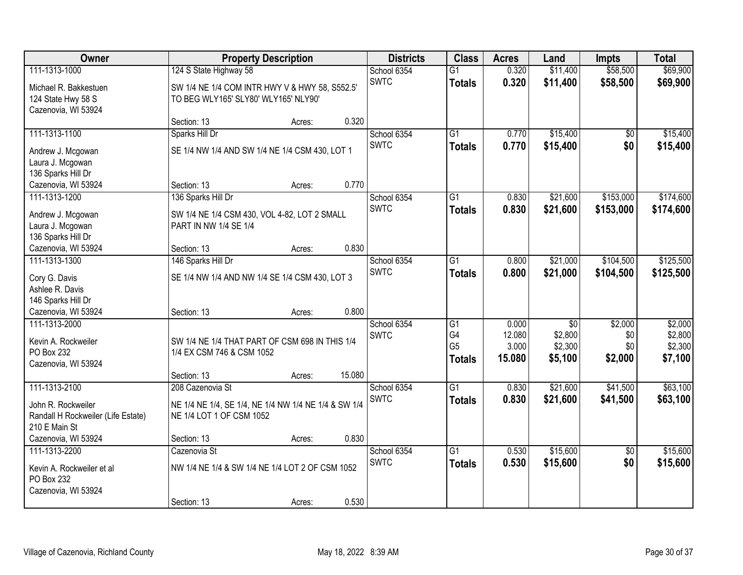| Owner                              |                                                      | <b>Property Description</b> |        | <b>Districts</b> | <b>Class</b>    | <b>Acres</b> | Land            | <b>Impts</b>    | <b>Total</b> |
|------------------------------------|------------------------------------------------------|-----------------------------|--------|------------------|-----------------|--------------|-----------------|-----------------|--------------|
| 111-1313-1000                      | 124 S State Highway 58                               |                             |        | School 6354      | $\overline{G1}$ | 0.320        | \$11,400        | \$58,500        | \$69,900     |
| Michael R. Bakkestuen              | SW 1/4 NE 1/4 COM INTR HWY V & HWY 58, S552.5'       |                             |        | <b>SWTC</b>      | <b>Totals</b>   | 0.320        | \$11,400        | \$58,500        | \$69,900     |
| 124 State Hwy 58 S                 | TO BEG WLY165' SLY80' WLY165' NLY90'                 |                             |        |                  |                 |              |                 |                 |              |
| Cazenovia, WI 53924                |                                                      |                             |        |                  |                 |              |                 |                 |              |
|                                    | Section: 13                                          | Acres:                      | 0.320  |                  |                 |              |                 |                 |              |
| 111-1313-1100                      | Sparks Hill Dr                                       |                             |        | School 6354      | $\overline{G1}$ | 0.770        | \$15,400        | \$0             | \$15,400     |
| Andrew J. Mcgowan                  | SE 1/4 NW 1/4 AND SW 1/4 NE 1/4 CSM 430, LOT 1       |                             |        | <b>SWTC</b>      | <b>Totals</b>   | 0.770        | \$15,400        | \$0             | \$15,400     |
| Laura J. Mcgowan                   |                                                      |                             |        |                  |                 |              |                 |                 |              |
| 136 Sparks Hill Dr                 |                                                      |                             |        |                  |                 |              |                 |                 |              |
| Cazenovia, WI 53924                | Section: 13                                          | Acres:                      | 0.770  |                  |                 |              |                 |                 |              |
| 111-1313-1200                      | 136 Sparks Hill Dr                                   |                             |        | School 6354      | $\overline{G1}$ | 0.830        | \$21,600        | \$153,000       | \$174,600    |
| Andrew J. Mcgowan                  | SW 1/4 NE 1/4 CSM 430, VOL 4-82, LOT 2 SMALL         |                             |        | <b>SWTC</b>      | <b>Totals</b>   | 0.830        | \$21,600        | \$153,000       | \$174,600    |
| Laura J. Mcgowan                   | PART IN NW 1/4 SE 1/4                                |                             |        |                  |                 |              |                 |                 |              |
| 136 Sparks Hill Dr                 |                                                      |                             |        |                  |                 |              |                 |                 |              |
| Cazenovia, WI 53924                | Section: 13                                          | Acres:                      | 0.830  |                  |                 |              |                 |                 |              |
| 111-1313-1300                      | 146 Sparks Hill Dr                                   |                             |        | School 6354      | G1              | 0.800        | \$21,000        | \$104,500       | \$125,500    |
| Cory G. Davis                      | SE 1/4 NW 1/4 AND NW 1/4 SE 1/4 CSM 430, LOT 3       |                             |        | <b>SWTC</b>      | <b>Totals</b>   | 0.800        | \$21,000        | \$104,500       | \$125,500    |
| Ashlee R. Davis                    |                                                      |                             |        |                  |                 |              |                 |                 |              |
| 146 Sparks Hill Dr                 |                                                      |                             |        |                  |                 |              |                 |                 |              |
| Cazenovia, WI 53924                | Section: 13                                          | Acres:                      | 0.800  |                  |                 |              |                 |                 |              |
| 111-1313-2000                      |                                                      |                             |        | School 6354      | $\overline{G1}$ | 0.000        | $\overline{50}$ | \$2,000         | \$2,000      |
| Kevin A. Rockweiler                | SW 1/4 NE 1/4 THAT PART OF CSM 698 IN THIS 1/4       |                             |        | <b>SWTC</b>      | G <sub>4</sub>  | 12.080       | \$2,800         | \$0             | \$2,800      |
| PO Box 232                         | 1/4 EX CSM 746 & CSM 1052                            |                             |        |                  | G <sub>5</sub>  | 3.000        | \$2,300         | \$0             | \$2,300      |
| Cazenovia, WI 53924                |                                                      |                             |        |                  | <b>Totals</b>   | 15.080       | \$5,100         | \$2,000         | \$7,100      |
|                                    | Section: 13                                          | Acres:                      | 15.080 |                  |                 |              |                 |                 |              |
| 111-1313-2100                      | 208 Cazenovia St                                     |                             |        | School 6354      | $\overline{G1}$ | 0.830        | \$21,600        | \$41,500        | \$63,100     |
| John R. Rockweiler                 | NE 1/4 NE 1/4, SE 1/4, NE 1/4 NW 1/4 NE 1/4 & SW 1/4 |                             |        | <b>SWTC</b>      | <b>Totals</b>   | 0.830        | \$21,600        | \$41,500        | \$63,100     |
| Randall H Rockweiler (Life Estate) | NE 1/4 LOT 1 OF CSM 1052                             |                             |        |                  |                 |              |                 |                 |              |
| 210 E Main St                      |                                                      |                             |        |                  |                 |              |                 |                 |              |
| Cazenovia, WI 53924                | Section: 13                                          | Acres:                      | 0.830  |                  |                 |              |                 |                 |              |
| 111-1313-2200                      | Cazenovia St                                         |                             |        | School 6354      | $\overline{G1}$ | 0.530        | \$15,600        | $\overline{50}$ | \$15,600     |
| Kevin A. Rockweiler et al          | NW 1/4 NE 1/4 & SW 1/4 NE 1/4 LOT 2 OF CSM 1052      |                             |        | <b>SWTC</b>      | <b>Totals</b>   | 0.530        | \$15,600        | \$0             | \$15,600     |
| PO Box 232                         |                                                      |                             |        |                  |                 |              |                 |                 |              |
| Cazenovia, WI 53924                |                                                      |                             |        |                  |                 |              |                 |                 |              |
|                                    | Section: 13                                          | Acres:                      | 0.530  |                  |                 |              |                 |                 |              |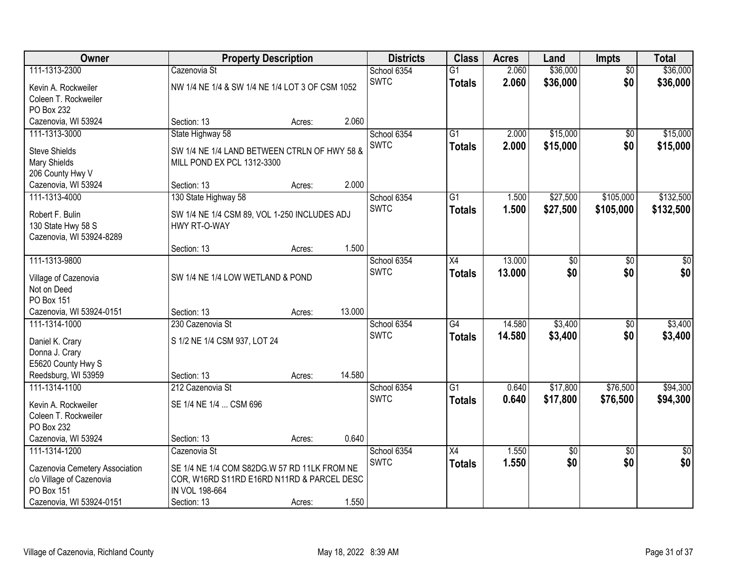| <b>Owner</b>                   |                                                 | <b>Property Description</b> |        | <b>Districts</b> | <b>Class</b>    | <b>Acres</b> | Land            | <b>Impts</b>    | <b>Total</b>    |
|--------------------------------|-------------------------------------------------|-----------------------------|--------|------------------|-----------------|--------------|-----------------|-----------------|-----------------|
| 111-1313-2300                  | Cazenovia St                                    |                             |        | School 6354      | $\overline{G1}$ | 2.060        | \$36,000        | $\overline{50}$ | \$36,000        |
| Kevin A. Rockweiler            | NW 1/4 NE 1/4 & SW 1/4 NE 1/4 LOT 3 OF CSM 1052 |                             |        | <b>SWTC</b>      | <b>Totals</b>   | 2.060        | \$36,000        | \$0             | \$36,000        |
| Coleen T. Rockweiler           |                                                 |                             |        |                  |                 |              |                 |                 |                 |
| PO Box 232                     |                                                 |                             |        |                  |                 |              |                 |                 |                 |
| Cazenovia, WI 53924            | Section: 13                                     | Acres:                      | 2.060  |                  |                 |              |                 |                 |                 |
| 111-1313-3000                  | State Highway 58                                |                             |        | School 6354      | $\overline{G1}$ | 2.000        | \$15,000        | $\overline{50}$ | \$15,000        |
| <b>Steve Shields</b>           | SW 1/4 NE 1/4 LAND BETWEEN CTRLN OF HWY 58 &    |                             |        | <b>SWTC</b>      | <b>Totals</b>   | 2.000        | \$15,000        | \$0             | \$15,000        |
| Mary Shields                   | MILL POND EX PCL 1312-3300                      |                             |        |                  |                 |              |                 |                 |                 |
| 206 County Hwy V               |                                                 |                             |        |                  |                 |              |                 |                 |                 |
| Cazenovia, WI 53924            | Section: 13                                     | Acres:                      | 2.000  |                  |                 |              |                 |                 |                 |
| 111-1313-4000                  | 130 State Highway 58                            |                             |        | School 6354      | $\overline{G1}$ | 1.500        | \$27,500        | \$105,000       | \$132,500       |
| Robert F. Bulin                | SW 1/4 NE 1/4 CSM 89, VOL 1-250 INCLUDES ADJ    |                             |        | <b>SWTC</b>      | <b>Totals</b>   | 1.500        | \$27,500        | \$105,000       | \$132,500       |
| 130 State Hwy 58 S             | HWY RT-O-WAY                                    |                             |        |                  |                 |              |                 |                 |                 |
| Cazenovia, WI 53924-8289       |                                                 |                             |        |                  |                 |              |                 |                 |                 |
|                                | Section: 13                                     | Acres:                      | 1.500  |                  |                 |              |                 |                 |                 |
| 111-1313-9800                  |                                                 |                             |        | School 6354      | X4              | 13.000       | $\overline{50}$ | \$0             | \$0             |
| Village of Cazenovia           | SW 1/4 NE 1/4 LOW WETLAND & POND                |                             |        | <b>SWTC</b>      | <b>Totals</b>   | 13.000       | \$0             | \$0             | \$0             |
| Not on Deed                    |                                                 |                             |        |                  |                 |              |                 |                 |                 |
| PO Box 151                     |                                                 |                             |        |                  |                 |              |                 |                 |                 |
| Cazenovia, WI 53924-0151       | Section: 13                                     | Acres:                      | 13.000 |                  |                 |              |                 |                 |                 |
| 111-1314-1000                  | 230 Cazenovia St                                |                             |        | School 6354      | $\overline{G4}$ | 14.580       | \$3,400         | \$0             | \$3,400         |
| Daniel K. Crary                | S 1/2 NE 1/4 CSM 937, LOT 24                    |                             |        | <b>SWTC</b>      | <b>Totals</b>   | 14.580       | \$3,400         | \$0             | \$3,400         |
| Donna J. Crary                 |                                                 |                             |        |                  |                 |              |                 |                 |                 |
| E5620 County Hwy S             |                                                 |                             |        |                  |                 |              |                 |                 |                 |
| Reedsburg, WI 53959            | Section: 13                                     | Acres:                      | 14.580 |                  |                 |              |                 |                 |                 |
| 111-1314-1100                  | 212 Cazenovia St                                |                             |        | School 6354      | $\overline{G1}$ | 0.640        | \$17,800        | \$76,500        | \$94,300        |
| Kevin A. Rockweiler            | SE 1/4 NE 1/4  CSM 696                          |                             |        | <b>SWTC</b>      | <b>Totals</b>   | 0.640        | \$17,800        | \$76,500        | \$94,300        |
| Coleen T. Rockweiler           |                                                 |                             |        |                  |                 |              |                 |                 |                 |
| PO Box 232                     |                                                 |                             |        |                  |                 |              |                 |                 |                 |
| Cazenovia, WI 53924            | Section: 13                                     | Acres:                      | 0.640  |                  |                 |              |                 |                 |                 |
| 111-1314-1200                  | Cazenovia St                                    |                             |        | School 6354      | $\overline{X4}$ | 1.550        | $\overline{50}$ | $\overline{50}$ | $\overline{50}$ |
| Cazenovia Cemetery Association | SE 1/4 NE 1/4 COM S82DG.W 57 RD 11LK FROM NE    |                             |        | <b>SWTC</b>      | <b>Totals</b>   | 1.550        | \$0             | \$0             | \$0             |
| c/o Village of Cazenovia       | COR, W16RD S11RD E16RD N11RD & PARCEL DESC      |                             |        |                  |                 |              |                 |                 |                 |
| PO Box 151                     | IN VOL 198-664                                  |                             |        |                  |                 |              |                 |                 |                 |
| Cazenovia, WI 53924-0151       | Section: 13                                     | Acres:                      | 1.550  |                  |                 |              |                 |                 |                 |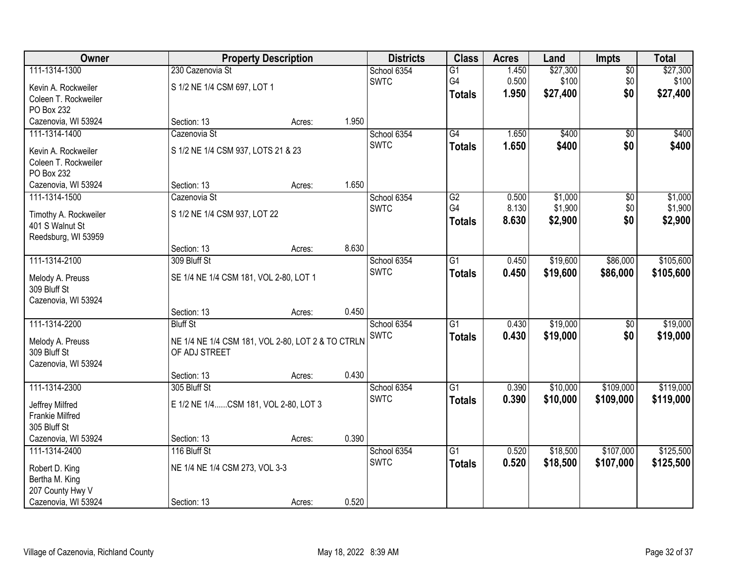| Owner                  |                                        | <b>Property Description</b>                       | <b>Districts</b> | <b>Class</b>    | <b>Acres</b> | Land     | <b>Impts</b>    | <b>Total</b> |
|------------------------|----------------------------------------|---------------------------------------------------|------------------|-----------------|--------------|----------|-----------------|--------------|
| 111-1314-1300          | 230 Cazenovia St                       |                                                   | School 6354      | $\overline{G1}$ | 1.450        | \$27,300 | $\overline{50}$ | \$27,300     |
| Kevin A. Rockweiler    | S 1/2 NE 1/4 CSM 697, LOT 1            |                                                   | <b>SWTC</b>      | G4              | 0.500        | \$100    | \$0             | \$100        |
| Coleen T. Rockweiler   |                                        |                                                   |                  | <b>Totals</b>   | 1.950        | \$27,400 | \$0             | \$27,400     |
| PO Box 232             |                                        |                                                   |                  |                 |              |          |                 |              |
| Cazenovia, WI 53924    | Section: 13                            | Acres:                                            | 1.950            |                 |              |          |                 |              |
| 111-1314-1400          | Cazenovia St                           |                                                   | School 6354      | G4              | 1.650        | \$400    | $\overline{50}$ | \$400        |
| Kevin A. Rockweiler    | S 1/2 NE 1/4 CSM 937, LOTS 21 & 23     |                                                   | <b>SWTC</b>      | <b>Totals</b>   | 1.650        | \$400    | \$0             | \$400        |
| Coleen T. Rockweiler   |                                        |                                                   |                  |                 |              |          |                 |              |
| PO Box 232             |                                        |                                                   |                  |                 |              |          |                 |              |
| Cazenovia, WI 53924    | Section: 13                            | Acres:                                            | 1.650            |                 |              |          |                 |              |
| 111-1314-1500          | Cazenovia St                           |                                                   | School 6354      | G2              | 0.500        | \$1,000  | \$0             | \$1,000      |
| Timothy A. Rockweiler  | S 1/2 NE 1/4 CSM 937, LOT 22           |                                                   | <b>SWTC</b>      | G4              | 8.130        | \$1,900  | \$0             | \$1,900      |
| 401 S Walnut St        |                                        |                                                   |                  | <b>Totals</b>   | 8.630        | \$2,900  | \$0             | \$2,900      |
| Reedsburg, WI 53959    |                                        |                                                   |                  |                 |              |          |                 |              |
|                        | Section: 13                            | Acres:                                            | 8.630            |                 |              |          |                 |              |
| 111-1314-2100          | 309 Bluff St                           |                                                   | School 6354      | $\overline{G1}$ | 0.450        | \$19,600 | \$86,000        | \$105,600    |
| Melody A. Preuss       | SE 1/4 NE 1/4 CSM 181, VOL 2-80, LOT 1 |                                                   | <b>SWTC</b>      | <b>Totals</b>   | 0.450        | \$19,600 | \$86,000        | \$105,600    |
| 309 Bluff St           |                                        |                                                   |                  |                 |              |          |                 |              |
| Cazenovia, WI 53924    |                                        |                                                   |                  |                 |              |          |                 |              |
|                        | Section: 13                            | Acres:                                            | 0.450            |                 |              |          |                 |              |
| 111-1314-2200          | <b>Bluff St</b>                        |                                                   | School 6354      | $\overline{G1}$ | 0.430        | \$19,000 | \$0             | \$19,000     |
| Melody A. Preuss       |                                        | NE 1/4 NE 1/4 CSM 181, VOL 2-80, LOT 2 & TO CTRLN | <b>SWTC</b>      | <b>Totals</b>   | 0.430        | \$19,000 | \$0             | \$19,000     |
| 309 Bluff St           | OF ADJ STREET                          |                                                   |                  |                 |              |          |                 |              |
| Cazenovia, WI 53924    |                                        |                                                   |                  |                 |              |          |                 |              |
|                        | Section: 13                            | Acres:                                            | 0.430            |                 |              |          |                 |              |
| 111-1314-2300          | 305 Bluff St                           |                                                   | School 6354      | $\overline{G1}$ | 0.390        | \$10,000 | \$109,000       | \$119,000    |
| Jeffrey Milfred        | E 1/2 NE 1/4CSM 181, VOL 2-80, LOT 3   |                                                   | <b>SWTC</b>      | <b>Totals</b>   | 0.390        | \$10,000 | \$109,000       | \$119,000    |
| <b>Frankie Milfred</b> |                                        |                                                   |                  |                 |              |          |                 |              |
| 305 Bluff St           |                                        |                                                   |                  |                 |              |          |                 |              |
| Cazenovia, WI 53924    | Section: 13                            | Acres:                                            | 0.390            |                 |              |          |                 |              |
| 111-1314-2400          | 116 Bluff St                           |                                                   | School 6354      | $\overline{G1}$ | 0.520        | \$18,500 | \$107,000       | \$125,500    |
| Robert D. King         | NE 1/4 NE 1/4 CSM 273, VOL 3-3         |                                                   | <b>SWTC</b>      | <b>Totals</b>   | 0.520        | \$18,500 | \$107,000       | \$125,500    |
| Bertha M. King         |                                        |                                                   |                  |                 |              |          |                 |              |
| 207 County Hwy V       |                                        |                                                   |                  |                 |              |          |                 |              |
| Cazenovia, WI 53924    | Section: 13                            | Acres:                                            | 0.520            |                 |              |          |                 |              |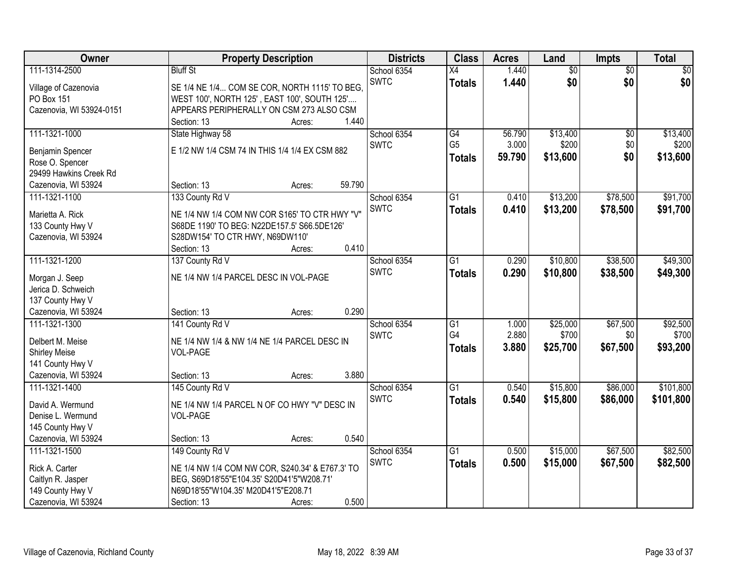| Owner                    | <b>Property Description</b>                                       | <b>Districts</b> | <b>Class</b>          | <b>Acres</b> | Land     | <b>Impts</b>    | <b>Total</b>    |
|--------------------------|-------------------------------------------------------------------|------------------|-----------------------|--------------|----------|-----------------|-----------------|
| 111-1314-2500            | <b>Bluff St</b>                                                   | School 6354      | X4                    | 1.440        | \$0      | $\overline{50}$ | $\overline{50}$ |
| Village of Cazenovia     | SE 1/4 NE 1/4 COM SE COR, NORTH 1115' TO BEG,                     | <b>SWTC</b>      | <b>Totals</b>         | 1.440        | \$0      | \$0             | \$0             |
| PO Box 151               | WEST 100', NORTH 125', EAST 100', SOUTH 125'                      |                  |                       |              |          |                 |                 |
| Cazenovia, WI 53924-0151 | APPEARS PERIPHERALLY ON CSM 273 ALSO CSM                          |                  |                       |              |          |                 |                 |
|                          | 1.440<br>Section: 13<br>Acres:                                    |                  |                       |              |          |                 |                 |
| 111-1321-1000            | State Highway 58                                                  | School 6354      | G4                    | 56.790       | \$13,400 | $\overline{60}$ | \$13,400        |
| Benjamin Spencer         | E 1/2 NW 1/4 CSM 74 IN THIS 1/4 1/4 EX CSM 882                    | <b>SWTC</b>      | G <sub>5</sub>        | 3.000        | \$200    | \$0             | \$200           |
| Rose O. Spencer          |                                                                   |                  | <b>Totals</b>         | 59.790       | \$13,600 | \$0             | \$13,600        |
| 29499 Hawkins Creek Rd   |                                                                   |                  |                       |              |          |                 |                 |
| Cazenovia, WI 53924      | 59.790<br>Section: 13<br>Acres:                                   |                  |                       |              |          |                 |                 |
| 111-1321-1100            | 133 County Rd V                                                   | School 6354      | $\overline{G1}$       | 0.410        | \$13,200 | \$78,500        | \$91,700        |
|                          |                                                                   | <b>SWTC</b>      | <b>Totals</b>         | 0.410        | \$13,200 | \$78,500        | \$91,700        |
| Marietta A. Rick         | NE 1/4 NW 1/4 COM NW COR S165' TO CTR HWY "V"                     |                  |                       |              |          |                 |                 |
| 133 County Hwy V         | S68DE 1190' TO BEG: N22DE157.5' S66.5DE126'                       |                  |                       |              |          |                 |                 |
| Cazenovia, WI 53924      | S28DW154' TO CTR HWY, N69DW110'<br>0.410<br>Section: 13<br>Acres: |                  |                       |              |          |                 |                 |
| 111-1321-1200            | 137 County Rd V                                                   | School 6354      | $\overline{G1}$       | 0.290        | \$10,800 | \$38,500        | \$49,300        |
|                          |                                                                   | <b>SWTC</b>      | <b>Totals</b>         | 0.290        | \$10,800 | \$38,500        | \$49,300        |
| Morgan J. Seep           | NE 1/4 NW 1/4 PARCEL DESC IN VOL-PAGE                             |                  |                       |              |          |                 |                 |
| Jerica D. Schweich       |                                                                   |                  |                       |              |          |                 |                 |
| 137 County Hwy V         |                                                                   |                  |                       |              |          |                 |                 |
| Cazenovia, WI 53924      | 0.290<br>Section: 13<br>Acres:                                    |                  |                       |              |          |                 |                 |
| 111-1321-1300            | 141 County Rd V                                                   | School 6354      | $\overline{G1}$<br>G4 | 1.000        | \$25,000 | \$67,500        | \$92,500        |
| Delbert M. Meise         | NE 1/4 NW 1/4 & NW 1/4 NE 1/4 PARCEL DESC IN                      | <b>SWTC</b>      |                       | 2.880        | \$700    | \$0             | \$700           |
| <b>Shirley Meise</b>     | <b>VOL-PAGE</b>                                                   |                  | <b>Totals</b>         | 3.880        | \$25,700 | \$67,500        | \$93,200        |
| 141 County Hwy V         |                                                                   |                  |                       |              |          |                 |                 |
| Cazenovia, WI 53924      | 3.880<br>Section: 13<br>Acres:                                    |                  |                       |              |          |                 |                 |
| 111-1321-1400            | 145 County Rd V                                                   | School 6354      | $\overline{G1}$       | 0.540        | \$15,800 | \$86,000        | \$101,800       |
| David A. Wermund         | NE 1/4 NW 1/4 PARCEL N OF CO HWY "V" DESC IN                      | <b>SWTC</b>      | <b>Totals</b>         | 0.540        | \$15,800 | \$86,000        | \$101,800       |
| Denise L. Wermund        | <b>VOL-PAGE</b>                                                   |                  |                       |              |          |                 |                 |
| 145 County Hwy V         |                                                                   |                  |                       |              |          |                 |                 |
| Cazenovia, WI 53924      | 0.540<br>Section: 13<br>Acres:                                    |                  |                       |              |          |                 |                 |
| 111-1321-1500            | 149 County Rd V                                                   | School 6354      | $\overline{G1}$       | 0.500        | \$15,000 | \$67,500        | \$82,500        |
| Rick A. Carter           | NE 1/4 NW 1/4 COM NW COR, S240.34' & E767.3' TO                   | <b>SWTC</b>      | <b>Totals</b>         | 0.500        | \$15,000 | \$67,500        | \$82,500        |
| Caitlyn R. Jasper        | BEG, S69D18'55"E104.35' S20D41'5"W208.71'                         |                  |                       |              |          |                 |                 |
| 149 County Hwy V         | N69D18'55"W104.35' M20D41'5"E208.71                               |                  |                       |              |          |                 |                 |
| Cazenovia, WI 53924      | 0.500<br>Section: 13<br>Acres:                                    |                  |                       |              |          |                 |                 |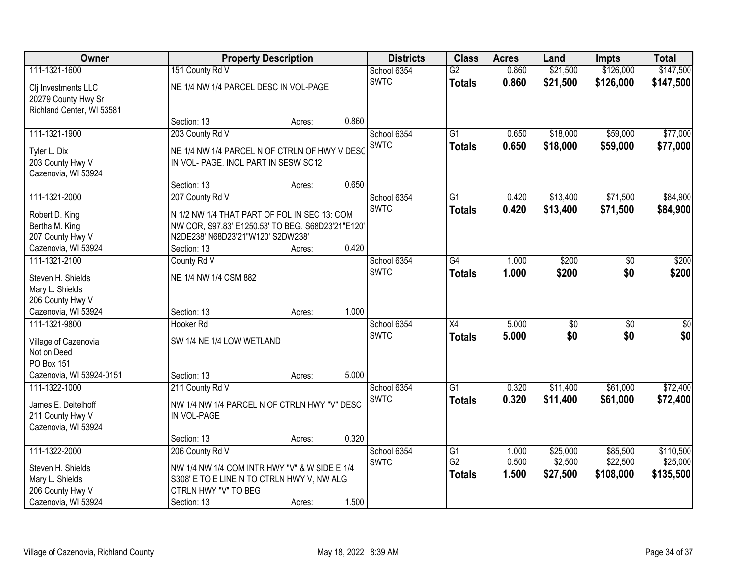| Owner                                |                                                                                             | <b>Property Description</b> |       | <b>Districts</b> | <b>Class</b>    | <b>Acres</b> | Land            | <b>Impts</b>    | <b>Total</b> |
|--------------------------------------|---------------------------------------------------------------------------------------------|-----------------------------|-------|------------------|-----------------|--------------|-----------------|-----------------|--------------|
| 111-1321-1600                        | 151 County Rd V                                                                             |                             |       | School 6354      | $\overline{G2}$ | 0.860        | \$21,500        | \$126,000       | \$147,500    |
| Clj Investments LLC                  | NE 1/4 NW 1/4 PARCEL DESC IN VOL-PAGE                                                       |                             |       | <b>SWTC</b>      | <b>Totals</b>   | 0.860        | \$21,500        | \$126,000       | \$147,500    |
| 20279 County Hwy Sr                  |                                                                                             |                             |       |                  |                 |              |                 |                 |              |
| Richland Center, WI 53581            |                                                                                             |                             |       |                  |                 |              |                 |                 |              |
|                                      | Section: 13                                                                                 | Acres:                      | 0.860 |                  |                 |              |                 |                 |              |
| 111-1321-1900                        | 203 County Rd V                                                                             |                             |       | School 6354      | $\overline{G1}$ | 0.650        | \$18,000        | \$59,000        | \$77,000     |
| Tyler L. Dix                         | NE 1/4 NW 1/4 PARCEL N OF CTRLN OF HWY V DESO                                               |                             |       | <b>SWTC</b>      | <b>Totals</b>   | 0.650        | \$18,000        | \$59,000        | \$77,000     |
| 203 County Hwy V                     | IN VOL- PAGE. INCL PART IN SESW SC12                                                        |                             |       |                  |                 |              |                 |                 |              |
| Cazenovia, WI 53924                  |                                                                                             |                             |       |                  |                 |              |                 |                 |              |
|                                      | Section: 13                                                                                 | Acres:                      | 0.650 |                  |                 |              |                 |                 |              |
| 111-1321-2000                        | 207 County Rd V                                                                             |                             |       | School 6354      | $\overline{G1}$ | 0.420        | \$13,400        | \$71,500        | \$84,900     |
| Robert D. King                       | N 1/2 NW 1/4 THAT PART OF FOL IN SEC 13: COM                                                |                             |       | <b>SWTC</b>      | <b>Totals</b>   | 0.420        | \$13,400        | \$71,500        | \$84,900     |
| Bertha M. King                       | NW COR, S97.83' E1250.53' TO BEG, S68D23'21"E120'                                           |                             |       |                  |                 |              |                 |                 |              |
| 207 County Hwy V                     | N2DE238' N68D23'21"W120' S2DW238'                                                           |                             |       |                  |                 |              |                 |                 |              |
| Cazenovia, WI 53924                  | Section: 13                                                                                 | Acres:                      | 0.420 |                  |                 |              |                 |                 |              |
| 111-1321-2100                        | County Rd V                                                                                 |                             |       | School 6354      | G4              | 1.000        | \$200           | \$0             | \$200        |
| Steven H. Shields                    | NE 1/4 NW 1/4 CSM 882                                                                       |                             |       | <b>SWTC</b>      | <b>Totals</b>   | 1.000        | \$200           | \$0             | \$200        |
| Mary L. Shields                      |                                                                                             |                             |       |                  |                 |              |                 |                 |              |
| 206 County Hwy V                     |                                                                                             |                             |       |                  |                 |              |                 |                 |              |
| Cazenovia, WI 53924                  | Section: 13                                                                                 | Acres:                      | 1.000 |                  |                 |              |                 |                 |              |
| 111-1321-9800                        | Hooker <sub>Rd</sub>                                                                        |                             |       | School 6354      | $\overline{X4}$ | 5.000        | $\overline{50}$ | $\overline{30}$ | $\sqrt{50}$  |
|                                      | SW 1/4 NE 1/4 LOW WETLAND                                                                   |                             |       | <b>SWTC</b>      | <b>Totals</b>   | 5.000        | \$0             | \$0             | \$0          |
| Village of Cazenovia<br>Not on Deed  |                                                                                             |                             |       |                  |                 |              |                 |                 |              |
| <b>PO Box 151</b>                    |                                                                                             |                             |       |                  |                 |              |                 |                 |              |
| Cazenovia, WI 53924-0151             | Section: 13                                                                                 | Acres:                      | 5.000 |                  |                 |              |                 |                 |              |
| 111-1322-1000                        | 211 County Rd V                                                                             |                             |       | School 6354      | $\overline{G1}$ | 0.320        | \$11,400        | \$61,000        | \$72,400     |
| James E. Deitelhoff                  |                                                                                             |                             |       | <b>SWTC</b>      | <b>Totals</b>   | 0.320        | \$11,400        | \$61,000        | \$72,400     |
| 211 County Hwy V                     | NW 1/4 NW 1/4 PARCEL N OF CTRLN HWY "V" DESC<br>IN VOL-PAGE                                 |                             |       |                  |                 |              |                 |                 |              |
| Cazenovia, WI 53924                  |                                                                                             |                             |       |                  |                 |              |                 |                 |              |
|                                      | Section: 13                                                                                 | Acres:                      | 0.320 |                  |                 |              |                 |                 |              |
| 111-1322-2000                        | 206 County Rd V                                                                             |                             |       | School 6354      | $\overline{G1}$ | 1.000        | \$25,000        | \$85,500        | \$110,500    |
|                                      |                                                                                             |                             |       | <b>SWTC</b>      | G <sub>2</sub>  | 0.500        | \$2,500         | \$22,500        | \$25,000     |
| Steven H. Shields<br>Mary L. Shields | NW 1/4 NW 1/4 COM INTR HWY "V" & W SIDE E 1/4<br>S308' E TO E LINE N TO CTRLN HWY V, NW ALG |                             |       |                  | <b>Totals</b>   | 1.500        | \$27,500        | \$108,000       | \$135,500    |
| 206 County Hwy V                     | CTRLN HWY "V" TO BEG                                                                        |                             |       |                  |                 |              |                 |                 |              |
| Cazenovia, WI 53924                  | Section: 13                                                                                 | Acres:                      | 1.500 |                  |                 |              |                 |                 |              |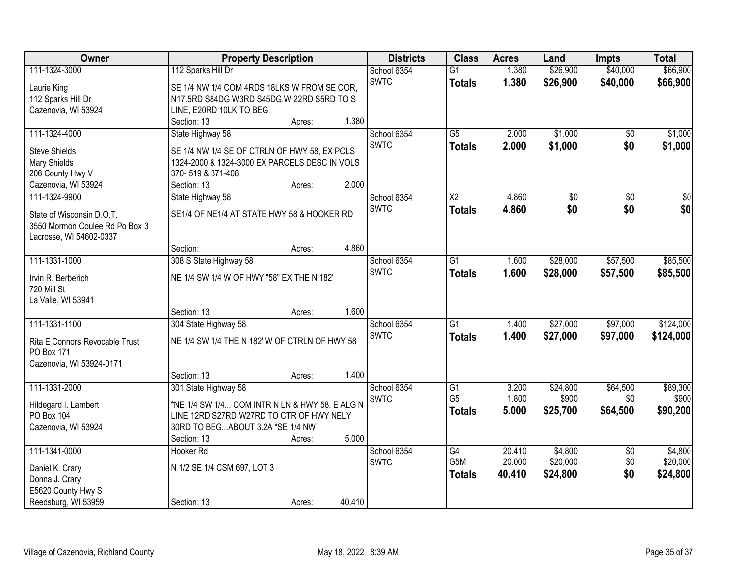| Owner                          | <b>Property Description</b>                    | <b>Districts</b> | <b>Class</b>    | <b>Acres</b> | Land     | <b>Impts</b>    | <b>Total</b> |
|--------------------------------|------------------------------------------------|------------------|-----------------|--------------|----------|-----------------|--------------|
| 111-1324-3000                  | 112 Sparks Hill Dr                             | School 6354      | $\overline{G1}$ | 1.380        | \$26,900 | \$40,000        | \$66,900     |
| Laurie King                    | SE 1/4 NW 1/4 COM 4RDS 18LKS W FROM SE COR,    | <b>SWTC</b>      | <b>Totals</b>   | 1.380        | \$26,900 | \$40,000        | \$66,900     |
| 112 Sparks Hill Dr             | N17.5RD S84DG W3RD S45DG.W 22RD S5RD TO S      |                  |                 |              |          |                 |              |
| Cazenovia, WI 53924            | LINE, E20RD 10LK TO BEG                        |                  |                 |              |          |                 |              |
|                                | 1.380<br>Section: 13<br>Acres:                 |                  |                 |              |          |                 |              |
| 111-1324-4000                  | State Highway 58                               | School 6354      | $\overline{G5}$ | 2.000        | \$1,000  | $\overline{50}$ | \$1,000      |
|                                |                                                | <b>SWTC</b>      | <b>Totals</b>   | 2.000        | \$1,000  | \$0             | \$1,000      |
| <b>Steve Shields</b>           | SE 1/4 NW 1/4 SE OF CTRLN OF HWY 58, EX PCLS   |                  |                 |              |          |                 |              |
| Mary Shields                   | 1324-2000 & 1324-3000 EX PARCELS DESC IN VOLS  |                  |                 |              |          |                 |              |
| 206 County Hwy V               | 370-519 & 371-408<br>2.000                     |                  |                 |              |          |                 |              |
| Cazenovia, WI 53924            | Section: 13<br>Acres:                          |                  |                 |              |          |                 |              |
| 111-1324-9900                  | State Highway 58                               | School 6354      | X <sub>2</sub>  | 4.860        | \$0      | \$0             | \$0          |
| State of Wisconsin D.O.T.      | SE1/4 OF NE1/4 AT STATE HWY 58 & HOOKER RD     | <b>SWTC</b>      | <b>Totals</b>   | 4.860        | \$0      | \$0             | \$0          |
| 3550 Mormon Coulee Rd Po Box 3 |                                                |                  |                 |              |          |                 |              |
| Lacrosse, WI 54602-0337        |                                                |                  |                 |              |          |                 |              |
|                                | 4.860<br>Section:<br>Acres:                    |                  |                 |              |          |                 |              |
| 111-1331-1000                  | 308 S State Highway 58                         | School 6354      | $\overline{G1}$ | 1.600        | \$28,000 | \$57,500        | \$85,500     |
| Irvin R. Berberich             | NE 1/4 SW 1/4 W OF HWY "58" EX THE N 182'      | <b>SWTC</b>      | <b>Totals</b>   | 1.600        | \$28,000 | \$57,500        | \$85,500     |
| 720 Mill St                    |                                                |                  |                 |              |          |                 |              |
| La Valle, WI 53941             |                                                |                  |                 |              |          |                 |              |
|                                | 1.600<br>Section: 13                           |                  |                 |              |          |                 |              |
| 111-1331-1100                  | Acres:<br>304 State Highway 58                 | School 6354      | $\overline{G1}$ | 1.400        | \$27,000 | \$97,000        | \$124,000    |
|                                |                                                |                  |                 |              |          |                 |              |
| Rita E Connors Revocable Trust | NE 1/4 SW 1/4 THE N 182' W OF CTRLN OF HWY 58  | <b>SWTC</b>      | <b>Totals</b>   | 1.400        | \$27,000 | \$97,000        | \$124,000    |
| PO Box 171                     |                                                |                  |                 |              |          |                 |              |
| Cazenovia, WI 53924-0171       |                                                |                  |                 |              |          |                 |              |
|                                | 1.400<br>Section: 13<br>Acres:                 |                  |                 |              |          |                 |              |
| 111-1331-2000                  | 301 State Highway 58                           | School 6354      | $\overline{G1}$ | 3.200        | \$24,800 | \$64,500        | \$89,300     |
| Hildegard I. Lambert           | *NE 1/4 SW 1/4 COM INTR N LN & HWY 58, E ALG N | SWTC             | G <sub>5</sub>  | 1.800        | \$900    | \$0             | \$900        |
| PO Box 104                     | LINE 12RD S27RD W27RD TO CTR OF HWY NELY       |                  | <b>Totals</b>   | 5.000        | \$25,700 | \$64,500        | \$90,200     |
| Cazenovia, WI 53924            | 30RD TO BEGABOUT 3.2A *SE 1/4 NW               |                  |                 |              |          |                 |              |
|                                | 5.000<br>Section: 13<br>Acres:                 |                  |                 |              |          |                 |              |
| 111-1341-0000                  | Hooker <sub>Rd</sub>                           | School 6354      | $\overline{G4}$ | 20.410       | \$4,800  | $\overline{50}$ | \$4,800      |
|                                |                                                | <b>SWTC</b>      | G5M             | 20.000       | \$20,000 | \$0             | \$20,000     |
| Daniel K. Crary                | N 1/2 SE 1/4 CSM 697, LOT 3                    |                  | <b>Totals</b>   | 40.410       | \$24,800 | \$0             | \$24,800     |
| Donna J. Crary                 |                                                |                  |                 |              |          |                 |              |
| E5620 County Hwy S             |                                                |                  |                 |              |          |                 |              |
| Reedsburg, WI 53959            | 40.410<br>Section: 13<br>Acres:                |                  |                 |              |          |                 |              |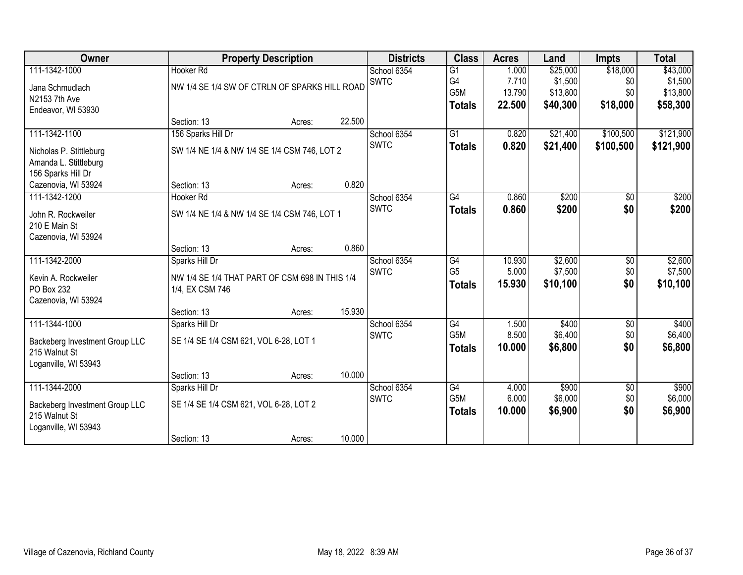| Owner                                                                   |                                                                   | <b>Property Description</b> |        | <b>Districts</b> | <b>Class</b>                      | <b>Acres</b>    | Land                | <b>Impts</b>    | <b>Total</b>        |
|-------------------------------------------------------------------------|-------------------------------------------------------------------|-----------------------------|--------|------------------|-----------------------------------|-----------------|---------------------|-----------------|---------------------|
| 111-1342-1000                                                           | <b>Hooker Rd</b>                                                  |                             |        | School 6354      | $\overline{G1}$                   | 1.000           | \$25,000            | \$18,000        | \$43,000            |
| Jana Schmudlach                                                         | NW 1/4 SE 1/4 SW OF CTRLN OF SPARKS HILL ROAD                     |                             |        | <b>SWTC</b>      | G4                                | 7.710           | \$1,500             | \$0             | \$1,500             |
| N2153 7th Ave                                                           |                                                                   |                             |        |                  | G5M                               | 13.790          | \$13,800            | \$0             | \$13,800            |
| Endeavor, WI 53930                                                      |                                                                   |                             |        |                  | <b>Totals</b>                     | 22.500          | \$40,300            | \$18,000        | \$58,300            |
|                                                                         | Section: 13                                                       | Acres:                      | 22.500 |                  |                                   |                 |                     |                 |                     |
| 111-1342-1100                                                           | 156 Sparks Hill Dr                                                |                             |        | School 6354      | $\overline{G1}$                   | 0.820           | \$21,400            | \$100,500       | \$121,900           |
| Nicholas P. Stittleburg<br>Amanda L. Stittleburg<br>156 Sparks Hill Dr  | SW 1/4 NE 1/4 & NW 1/4 SE 1/4 CSM 746, LOT 2                      |                             |        | <b>SWTC</b>      | <b>Totals</b>                     | 0.820           | \$21,400            | \$100,500       | \$121,900           |
| Cazenovia, WI 53924                                                     | Section: 13                                                       | Acres:                      | 0.820  |                  |                                   |                 |                     |                 |                     |
| 111-1342-1200                                                           | Hooker <sub>Rd</sub>                                              |                             |        | School 6354      | $\overline{G4}$                   | 0.860           | \$200               | \$0             | \$200               |
| John R. Rockweiler<br>210 E Main St<br>Cazenovia, WI 53924              | SW 1/4 NE 1/4 & NW 1/4 SE 1/4 CSM 746, LOT 1                      |                             |        | <b>SWTC</b>      | <b>Totals</b>                     | 0.860           | \$200               | \$0             | \$200               |
|                                                                         | Section: 13                                                       | Acres:                      | 0.860  |                  |                                   |                 |                     |                 |                     |
| 111-1342-2000                                                           | Sparks Hill Dr                                                    |                             |        | School 6354      | $\overline{G4}$                   | 10.930          | \$2,600             | \$0             | \$2,600             |
| Kevin A. Rockweiler<br>PO Box 232                                       | NW 1/4 SE 1/4 THAT PART OF CSM 698 IN THIS 1/4<br>1/4, EX CSM 746 |                             |        | <b>SWTC</b>      | G <sub>5</sub><br><b>Totals</b>   | 5.000<br>15.930 | \$7,500<br>\$10,100 | \$0<br>\$0      | \$7,500<br>\$10,100 |
| Cazenovia, WI 53924                                                     |                                                                   |                             |        |                  |                                   |                 |                     |                 |                     |
|                                                                         | Section: 13                                                       | Acres:                      | 15.930 |                  |                                   |                 |                     |                 |                     |
| 111-1344-1000                                                           | Sparks Hill Dr                                                    |                             |        | School 6354      | $\overline{G4}$                   | 1.500           | \$400               | $\overline{50}$ | \$400               |
| Backeberg Investment Group LLC<br>215 Walnut St<br>Loganville, WI 53943 | SE 1/4 SE 1/4 CSM 621, VOL 6-28, LOT 1                            |                             |        | <b>SWTC</b>      | G <sub>5</sub> M<br><b>Totals</b> | 8.500<br>10.000 | \$6,400<br>\$6,800  | \$0<br>\$0      | \$6,400<br>\$6,800  |
|                                                                         | Section: 13                                                       | Acres:                      | 10.000 |                  |                                   |                 |                     |                 |                     |
| 111-1344-2000                                                           | Sparks Hill Dr                                                    |                             |        | School 6354      | G4                                | 4.000           | \$900               | $\overline{60}$ | \$900               |
| Backeberg Investment Group LLC                                          | SE 1/4 SE 1/4 CSM 621, VOL 6-28, LOT 2                            |                             |        | <b>SWTC</b>      | G5M                               | 6.000           | \$6,000             | \$0             | \$6,000             |
| 215 Walnut St<br>Loganville, WI 53943                                   |                                                                   |                             |        |                  | <b>Totals</b>                     | 10,000          | \$6,900             | \$0             | \$6,900             |
|                                                                         | Section: 13                                                       | Acres:                      | 10.000 |                  |                                   |                 |                     |                 |                     |